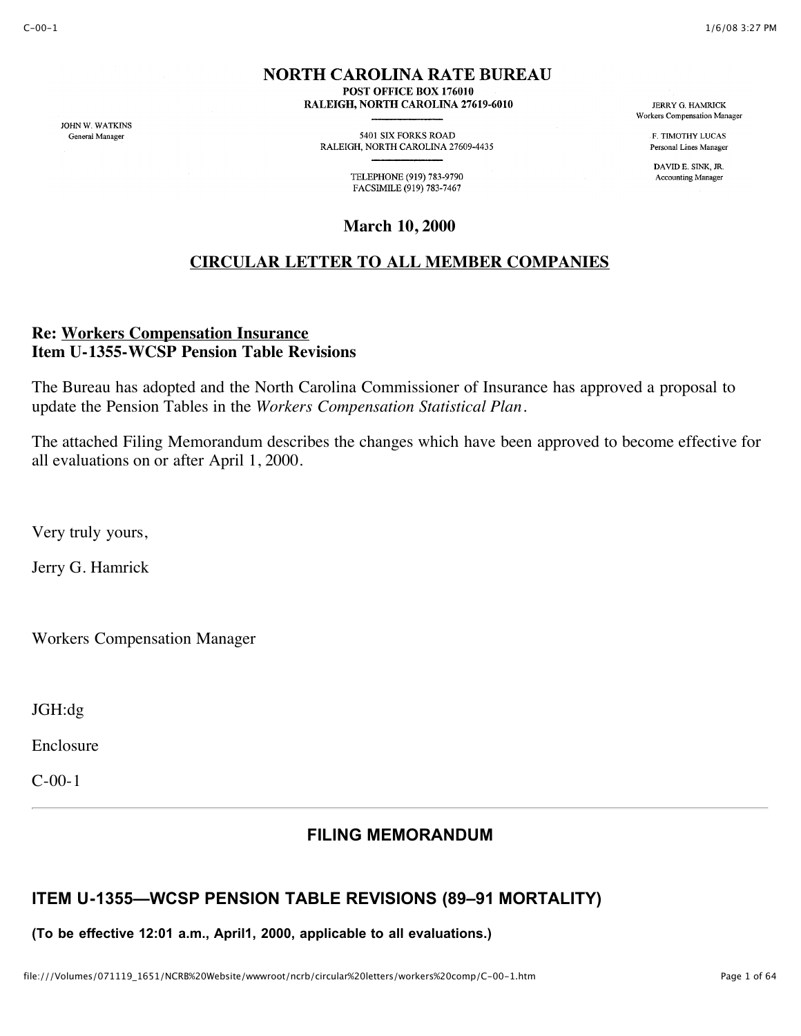## **NORTH CAROLINA RATE BUREAU** POST OFFICE BOX 176010

RALEIGH, NORTH CAROLINA 27619-6010

JOHN W. WATKINS General Manager

5401 SIX FORKS ROAD RALEIGH, NORTH CAROLINA 27609-4435

> TELEPHONE (919) 783-9790 FACSIMILE (919) 783-7467

**March 10, 2000**

# **CIRCULAR LETTER TO ALL MEMBER COMPANIES**

## **Re: Workers Compensation Insurance Item U-1355-WCSP Pension Table Revisions**

The Bureau has adopted and the North Carolina Commissioner of Insurance has approved a proposal to update the Pension Tables in the *Workers Compensation Statistical Plan*.

The attached Filing Memorandum describes the changes which have been approved to become effective for all evaluations on or after April 1, 2000.

Very truly yours,

Jerry G. Hamrick

Workers Compensation Manager

JGH:dg

Enclosure

C-00-1

# **FILING MEMORANDUM**

# **ITEM U-1355—WCSP PENSION TABLE REVISIONS (89–91 MORTALITY)**

**(To be effective 12:01 a.m., April1, 2000, applicable to all evaluations.)**

**JERRY G. HAMRICK** Workers Compensation Manager

> F. TIMOTHY LUCAS Personal Lines Manager

DAVID E. SINK, JR. **Accounting Manager**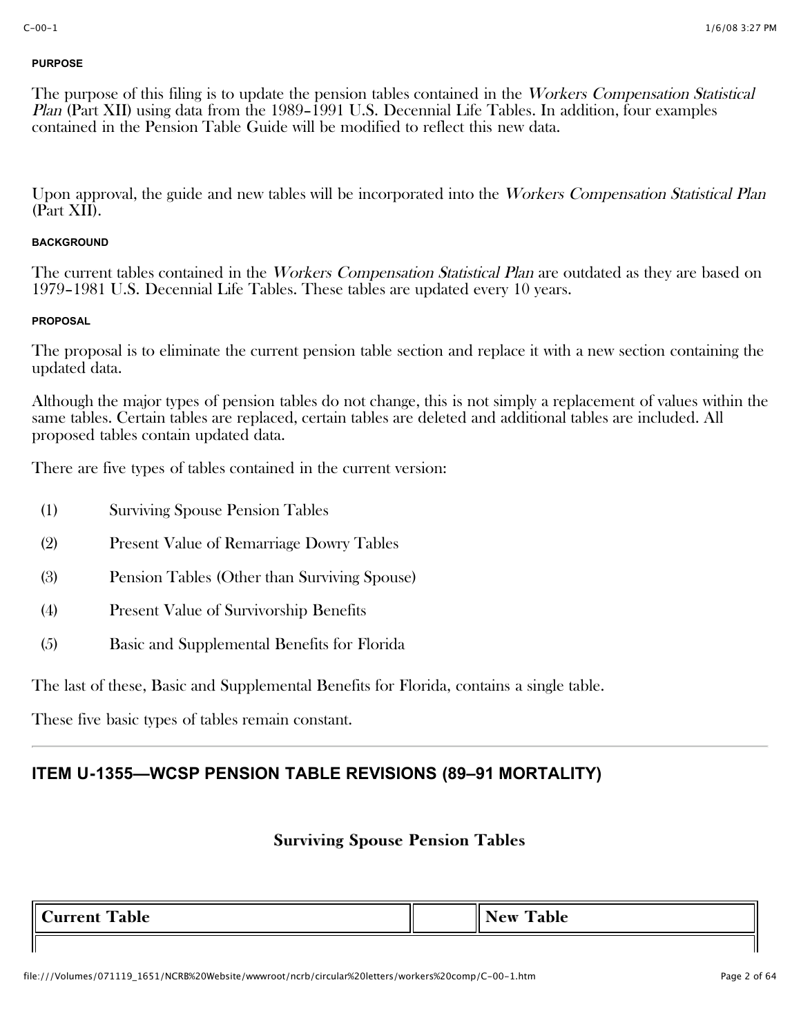### **PURPOSE**

The purpose of this filing is to update the pension tables contained in the Workers Compensation Statistical Plan (Part XII) using data from the 1989–1991 U.S. Decennial Life Tables. In addition, four examples contained in the Pension Table Guide will be modified to reflect this new data.

Upon approval, the guide and new tables will be incorporated into the Workers Compensation Statistical Plan (Part XII).

## **BACKGROUND**

The current tables contained in the *Workers Compensation Statistical Plan* are outdated as they are based on 1979–1981 U.S. Decennial Life Tables. These tables are updated every 10 years.

## **PROPOSAL**

The proposal is to eliminate the current pension table section and replace it with a new section containing the updated data.

Although the major types of pension tables do not change, this is not simply a replacement of values within the same tables. Certain tables are replaced, certain tables are deleted and additional tables are included. All proposed tables contain updated data.

There are five types of tables contained in the current version:

- (1) Surviving Spouse Pension Tables
- (2) Present Value of Remarriage Dowry Tables
- (3) Pension Tables (Other than Surviving Spouse)
- (4) Present Value of Survivorship Benefits
- (5) Basic and Supplemental Benefits for Florida

The last of these, Basic and Supplemental Benefits for Florida, contains a single table.

These five basic types of tables remain constant.

# **ITEM U-1355—WCSP PENSION TABLE REVISIONS (89–91 MORTALITY)**

| $\mathsf{L}$<br>11<br>$\mathbf{r}$<br><b>Table</b><br><b>Vurrent</b> | $\mathbf{r}$<br><b>Table</b><br>--<br>New |
|----------------------------------------------------------------------|-------------------------------------------|
| . .                                                                  |                                           |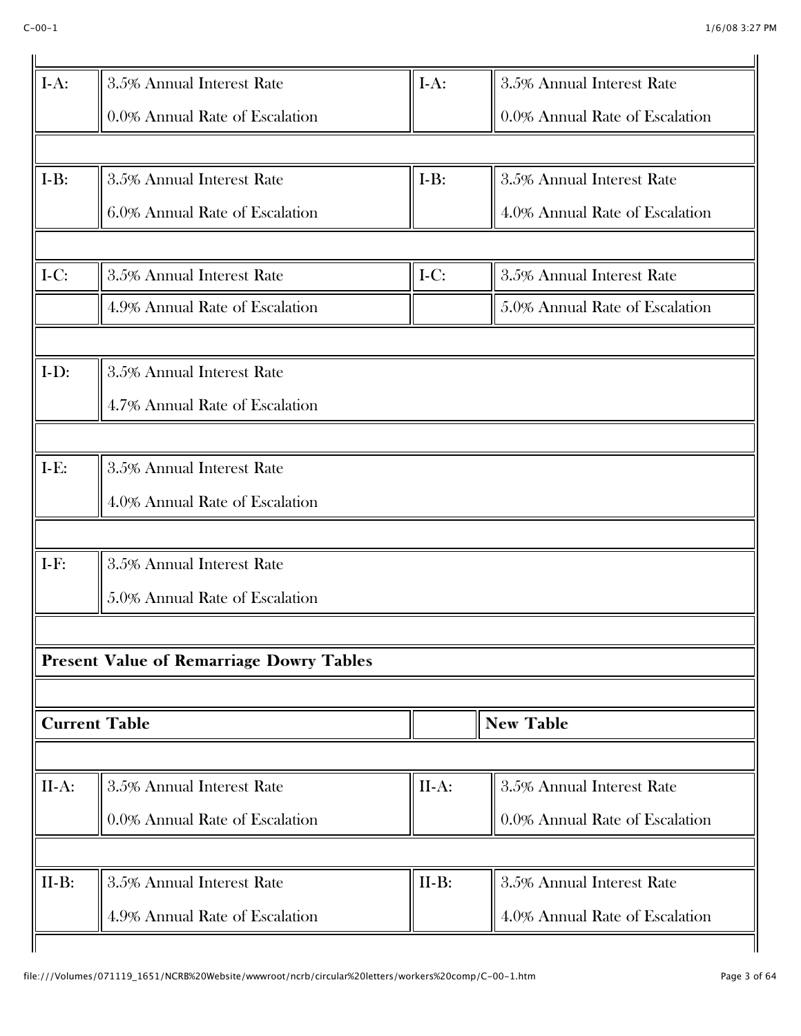| $I-A:$  | 3.5% Annual Interest Rate                       | $I-A:$  | 3.5% Annual Interest Rate      |
|---------|-------------------------------------------------|---------|--------------------------------|
|         | 0.0% Annual Rate of Escalation                  |         | 0.0% Annual Rate of Escalation |
|         |                                                 |         |                                |
| $I-B:$  | 3.5% Annual Interest Rate                       | $I-B:$  | 3.5% Annual Interest Rate      |
|         | 6.0% Annual Rate of Escalation                  |         | 4.0% Annual Rate of Escalation |
| $I-C:$  | 3.5% Annual Interest Rate                       | $I-C:$  | 3.5% Annual Interest Rate      |
|         | 4.9% Annual Rate of Escalation                  |         | 5.0% Annual Rate of Escalation |
|         |                                                 |         |                                |
| $I-D:$  | 3.5% Annual Interest Rate                       |         |                                |
|         | 4.7% Annual Rate of Escalation                  |         |                                |
| $I-E:$  | 3.5% Annual Interest Rate                       |         |                                |
|         | 4.0% Annual Rate of Escalation                  |         |                                |
|         |                                                 |         |                                |
| $I-F:$  | 3.5% Annual Interest Rate                       |         |                                |
|         | 5.0% Annual Rate of Escalation                  |         |                                |
|         |                                                 |         |                                |
|         | <b>Present Value of Remarriage Dowry Tables</b> |         |                                |
|         | <b>Current Table</b>                            |         | <b>New Table</b>               |
|         |                                                 |         |                                |
| $II-A:$ | 3.5% Annual Interest Rate                       | $II-A:$ | 3.5% Annual Interest Rate      |
|         | 0.0% Annual Rate of Escalation                  |         | 0.0% Annual Rate of Escalation |
|         |                                                 |         |                                |
|         |                                                 |         |                                |
| $II-B:$ | 3.5% Annual Interest Rate                       | $II-B:$ | 3.5% Annual Interest Rate      |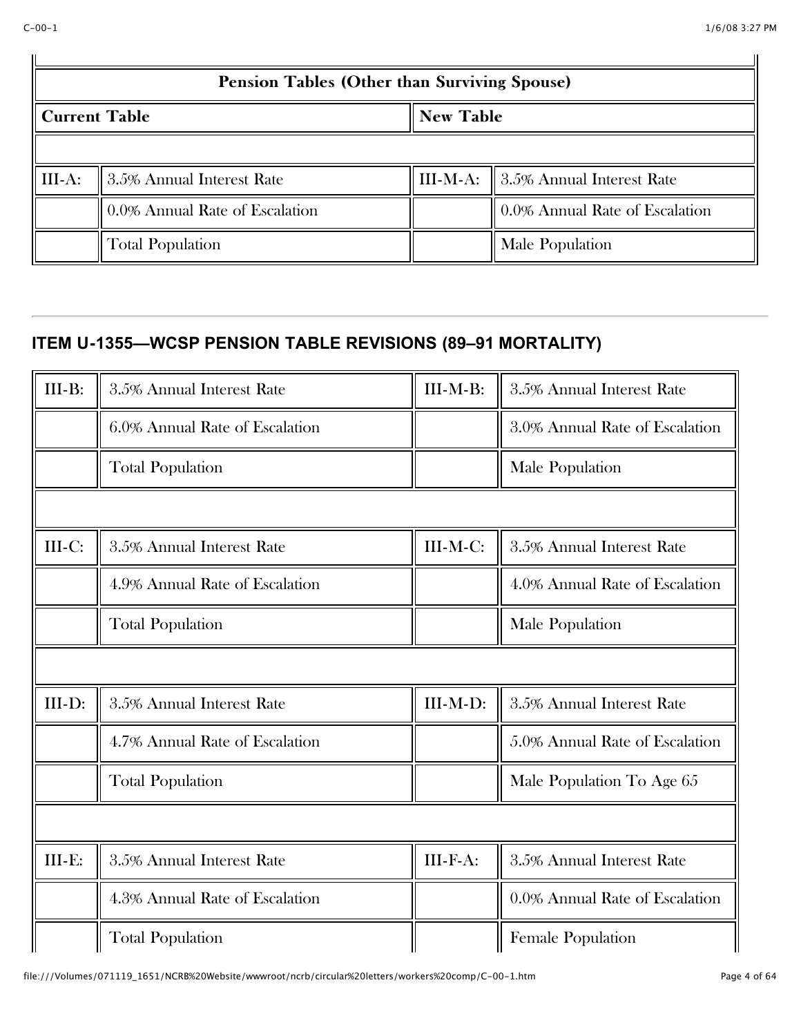|                                      | Pension Tables (Other than Surviving Spouse) |  |                                                |  |
|--------------------------------------|----------------------------------------------|--|------------------------------------------------|--|
| <b>New Table</b><br>   Current Table |                                              |  |                                                |  |
|                                      |                                              |  |                                                |  |
| $\parallel$ III-A:                   | 3.5% Annual Interest Rate                    |  | III-M-A: $\parallel$ 3.5% Annual Interest Rate |  |
|                                      | 0.0% Annual Rate of Escalation               |  | 0.0% Annual Rate of Escalation                 |  |
|                                      | Total Population                             |  | Male Population                                |  |

# **ITEM U-1355—WCSP PENSION TABLE REVISIONS (89–91 MORTALITY)**

| $III-B:$ | 3.5% Annual Interest Rate      | III-M-B: | 3.5% Annual Interest Rate      |
|----------|--------------------------------|----------|--------------------------------|
|          | 6.0% Annual Rate of Escalation |          | 3.0% Annual Rate of Escalation |
|          | <b>Total Population</b>        |          | Male Population                |
|          |                                |          |                                |
| $III-C:$ | 3.5% Annual Interest Rate      | III-M-C: | 3.5% Annual Interest Rate      |
|          | 4.9% Annual Rate of Escalation |          | 4.0% Annual Rate of Escalation |
|          | <b>Total Population</b>        |          | Male Population                |
|          |                                |          |                                |
| $III-D:$ | 3.5% Annual Interest Rate      | III-M-D: | 3.5% Annual Interest Rate      |
|          | 4.7% Annual Rate of Escalation |          | 5.0% Annual Rate of Escalation |
|          | <b>Total Population</b>        |          | Male Population To Age 65      |
|          |                                |          |                                |
| $III-E:$ | 3.5% Annual Interest Rate      | III-F-A: | 3.5% Annual Interest Rate      |
|          | 4.3% Annual Rate of Escalation |          | 0.0% Annual Rate of Escalation |
|          | <b>Total Population</b>        |          | <b>Female Population</b>       |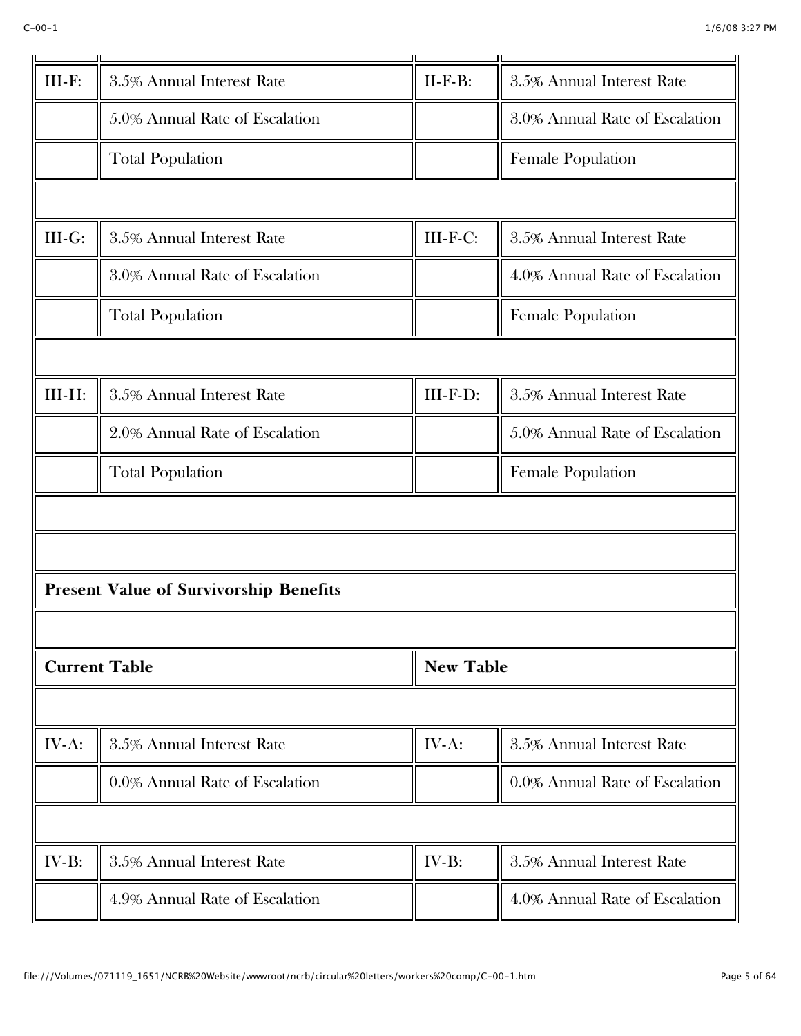| $III-F:$ | 3.5% Annual Interest Rate                     | $II-F-B:$        | 3.5% Annual Interest Rate      |
|----------|-----------------------------------------------|------------------|--------------------------------|
|          | 5.0% Annual Rate of Escalation                |                  | 3.0% Annual Rate of Escalation |
|          | <b>Total Population</b>                       |                  | <b>Female Population</b>       |
|          |                                               |                  |                                |
| $III-G:$ | 3.5% Annual Interest Rate                     | III-F-C:         | 3.5% Annual Interest Rate      |
|          | 3.0% Annual Rate of Escalation                |                  | 4.0% Annual Rate of Escalation |
|          | <b>Total Population</b>                       |                  | <b>Female Population</b>       |
|          |                                               |                  |                                |
| III-H:   | 3.5% Annual Interest Rate                     | III-F-D:         | 3.5% Annual Interest Rate      |
|          | 2.0% Annual Rate of Escalation                |                  | 5.0% Annual Rate of Escalation |
|          | <b>Total Population</b>                       |                  | Female Population              |
|          |                                               |                  |                                |
|          |                                               |                  |                                |
|          | <b>Present Value of Survivorship Benefits</b> |                  |                                |
|          |                                               |                  |                                |
|          | <b>Current Table</b>                          | <b>New Table</b> |                                |
|          |                                               |                  |                                |
| IV-A:    | 3.5% Annual Interest Rate                     | IV-A:            | 3.5% Annual Interest Rate      |
|          | 0.0% Annual Rate of Escalation                |                  | 0.0% Annual Rate of Escalation |
|          |                                               |                  |                                |
| $IV-B:$  | 3.5% Annual Interest Rate                     | IV-B:            | 3.5% Annual Interest Rate      |
|          | 4.9% Annual Rate of Escalation                |                  | 4.0% Annual Rate of Escalation |
|          |                                               |                  |                                |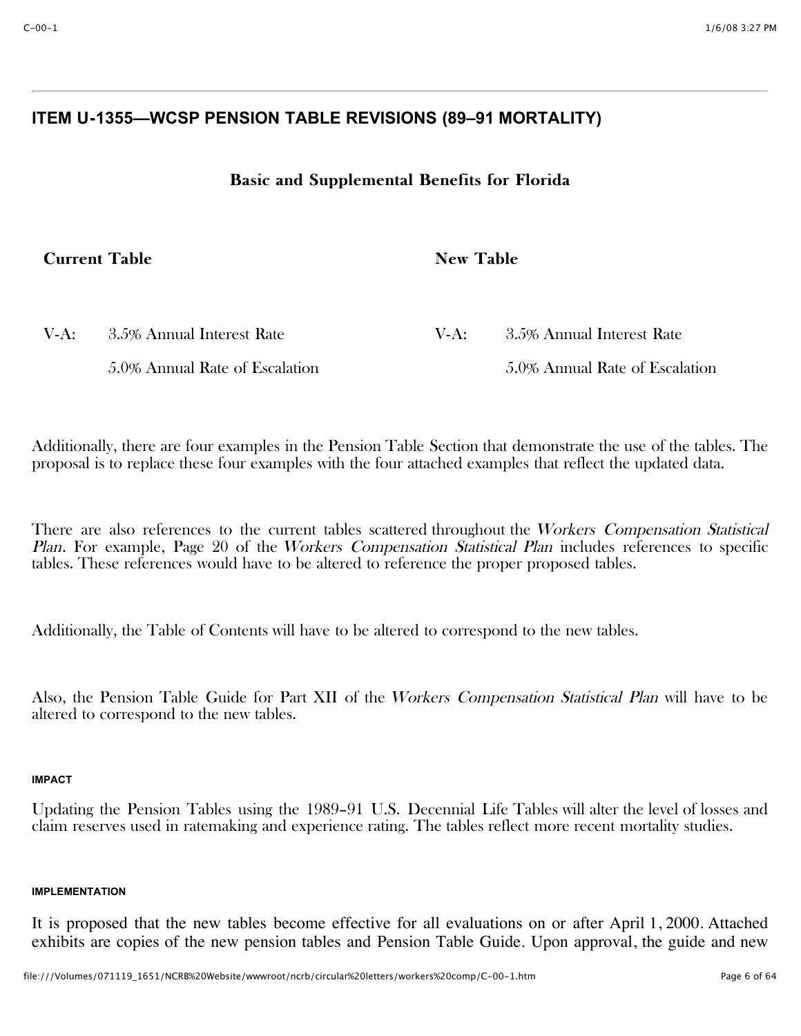# **ITEM U-1355—WCSP PENSION TABLE REVISIONS (89–91 MORTALITY)**

## Basic and Supplemental Benefits for Florida

# Current Table Current Table New Table New Table

5.0% Annual Rate of Escalation

V-A: 3.5% Annual Interest Rate

| V-A: | 3.5% Annual Interest Rate      |
|------|--------------------------------|
|      | 5.0% Annual Rate of Escalation |

Additionally, there are four examples in the Pension Table Section that demonstrate the use of the tables. The proposal is to replace these four examples with the four attached examples that reflect the updated data.

There are also references to the current tables scattered throughout the Workers Compensation Statistical Plan. For example, Page 20 of the Workers Compensation Statistical Plan includes references to specific tables. These references would have to be altered to reference the proper proposed tables.

Additionally, the Table of Contents will have to be altered to correspond to the new tables.

Also, the Pension Table Guide for Part XII of the Workers Compensation Statistical Plan will have to be altered to correspond to the new tables.

## **IMPACT**

Updating the Pension Tables using the 1989–91 U.S. Decennial Life Tables will alter the level of losses and claim reserves used in ratemaking and experience rating. The tables reflect more recent mortality studies.

## **IMPLEMENTATION**

It is proposed that the new tables become effective for all evaluations on or after April 1, 2000. Attached exhibits are copies of the new pension tables and Pension Table Guide. Upon approval, the guide and new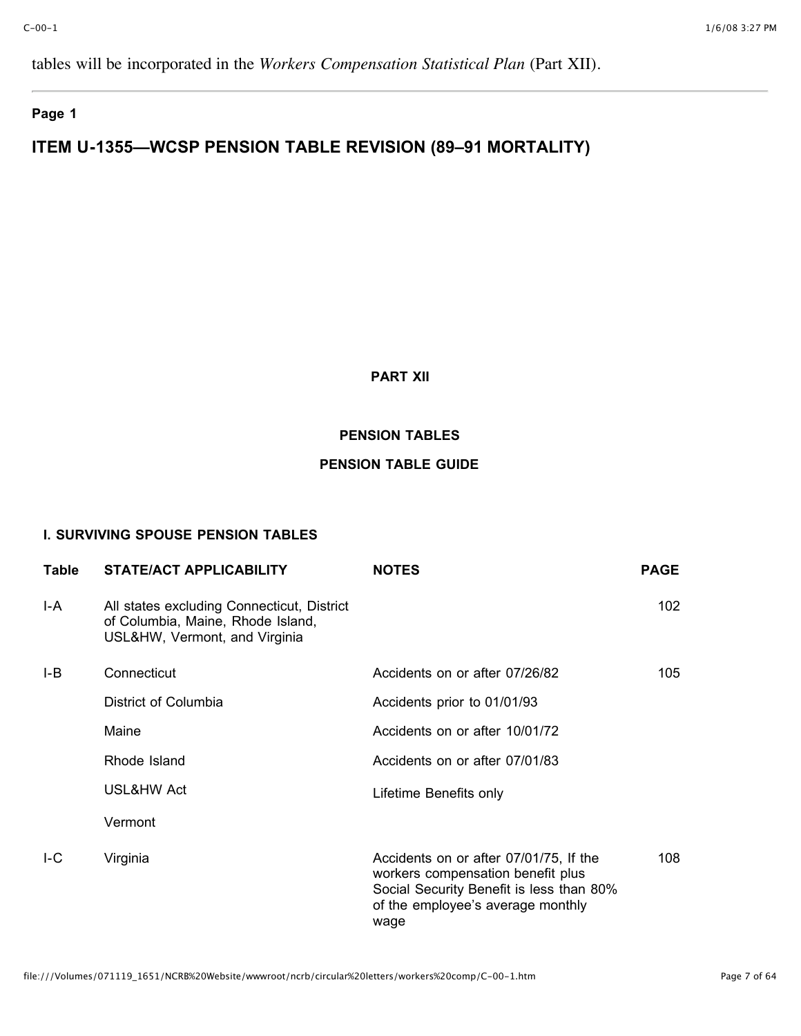tables will be incorporated in the *Workers Compensation Statistical Plan* (Part XII).

## **Page 1**

# **ITEM U-1355—WCSP PENSION TABLE REVISION (89–91 MORTALITY)**

## **PART XII**

## **PENSION TABLES**

## **PENSION TABLE GUIDE**

## **I. SURVIVING SPOUSE PENSION TABLES**

| Table | <b>STATE/ACT APPLICABILITY</b>                                                                                   | <b>NOTES</b>                                                                                                                                                         | <b>PAGE</b> |
|-------|------------------------------------------------------------------------------------------------------------------|----------------------------------------------------------------------------------------------------------------------------------------------------------------------|-------------|
| I-A   | All states excluding Connecticut, District<br>of Columbia, Maine, Rhode Island,<br>USL&HW, Vermont, and Virginia |                                                                                                                                                                      | 102         |
| I-B   | Connecticut                                                                                                      | Accidents on or after 07/26/82                                                                                                                                       | 105         |
|       | District of Columbia                                                                                             | Accidents prior to 01/01/93                                                                                                                                          |             |
|       | Maine                                                                                                            | Accidents on or after 10/01/72                                                                                                                                       |             |
|       | Rhode Island                                                                                                     | Accidents on or after 07/01/83                                                                                                                                       |             |
|       | USL&HW Act                                                                                                       | Lifetime Benefits only                                                                                                                                               |             |
|       | Vermont                                                                                                          |                                                                                                                                                                      |             |
| IC    | Virginia                                                                                                         | Accidents on or after 07/01/75, If the<br>workers compensation benefit plus<br>Social Security Benefit is less than 80%<br>of the employee's average monthly<br>wage | 108         |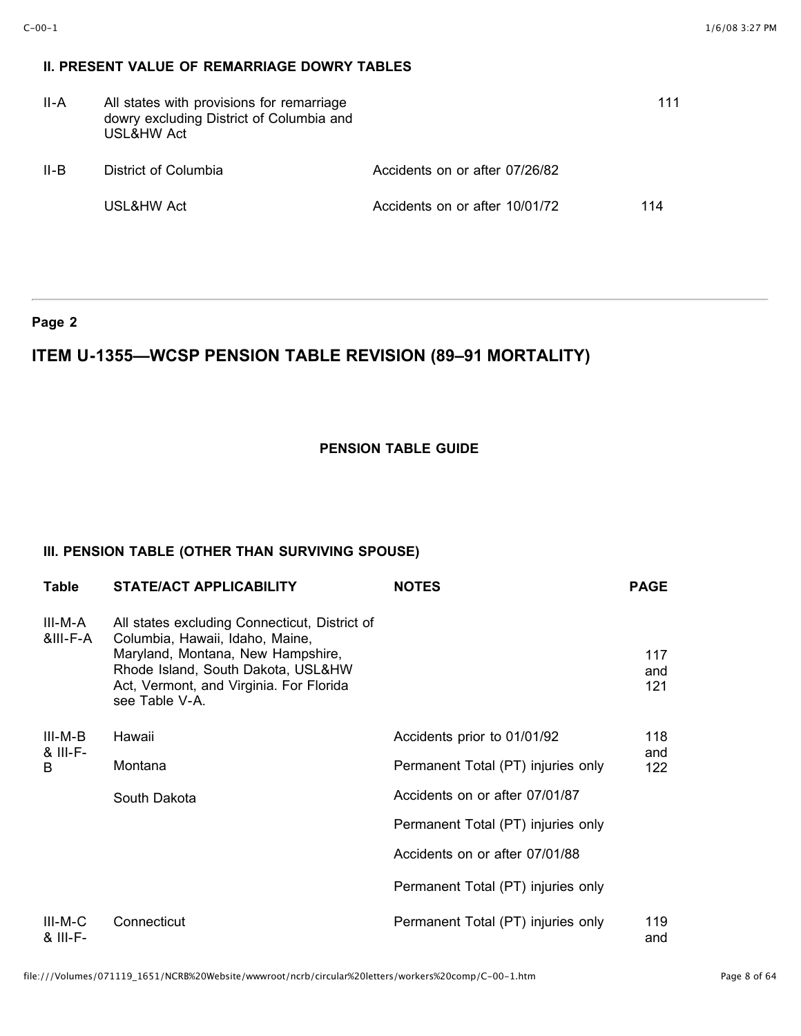## **II. PRESENT VALUE OF REMARRIAGE DOWRY TABLES**

| II-A | All states with provisions for remarriage<br>dowry excluding District of Columbia and<br>USL&HW Act |                                | 111 |
|------|-----------------------------------------------------------------------------------------------------|--------------------------------|-----|
| II-B | District of Columbia                                                                                | Accidents on or after 07/26/82 |     |
|      | USL&HW Act                                                                                          | Accidents on or after 10/01/72 | 114 |

### **Page 2**

# **ITEM U-1355—WCSP PENSION TABLE REVISION (89–91 MORTALITY)**

## **PENSION TABLE GUIDE**

## **III. PENSION TABLE (OTHER THAN SURVIVING SPOUSE)**

| <b>Table</b>          | <b>STATE/ACT APPLICABILITY</b>                                                                                                                                                                                           | <b>NOTES</b>                       | <b>PAGE</b>       |
|-----------------------|--------------------------------------------------------------------------------------------------------------------------------------------------------------------------------------------------------------------------|------------------------------------|-------------------|
| III-M-A<br>&III-F-A   | All states excluding Connecticut, District of<br>Columbia, Hawaii, Idaho, Maine,<br>Maryland, Montana, New Hampshire,<br>Rhode Island, South Dakota, USL&HW<br>Act, Vermont, and Virginia. For Florida<br>see Table V-A. |                                    | 117<br>and<br>121 |
| III-M-B               | Hawaii                                                                                                                                                                                                                   | Accidents prior to 01/01/92        | 118               |
| & III-F-<br>B         | Montana                                                                                                                                                                                                                  | Permanent Total (PT) injuries only | and<br>122        |
|                       | South Dakota                                                                                                                                                                                                             | Accidents on or after 07/01/87     |                   |
|                       |                                                                                                                                                                                                                          | Permanent Total (PT) injuries only |                   |
|                       |                                                                                                                                                                                                                          | Accidents on or after 07/01/88     |                   |
|                       |                                                                                                                                                                                                                          | Permanent Total (PT) injuries only |                   |
| $III-M-C$<br>& III-F- | Connecticut                                                                                                                                                                                                              | Permanent Total (PT) injuries only | 119<br>and        |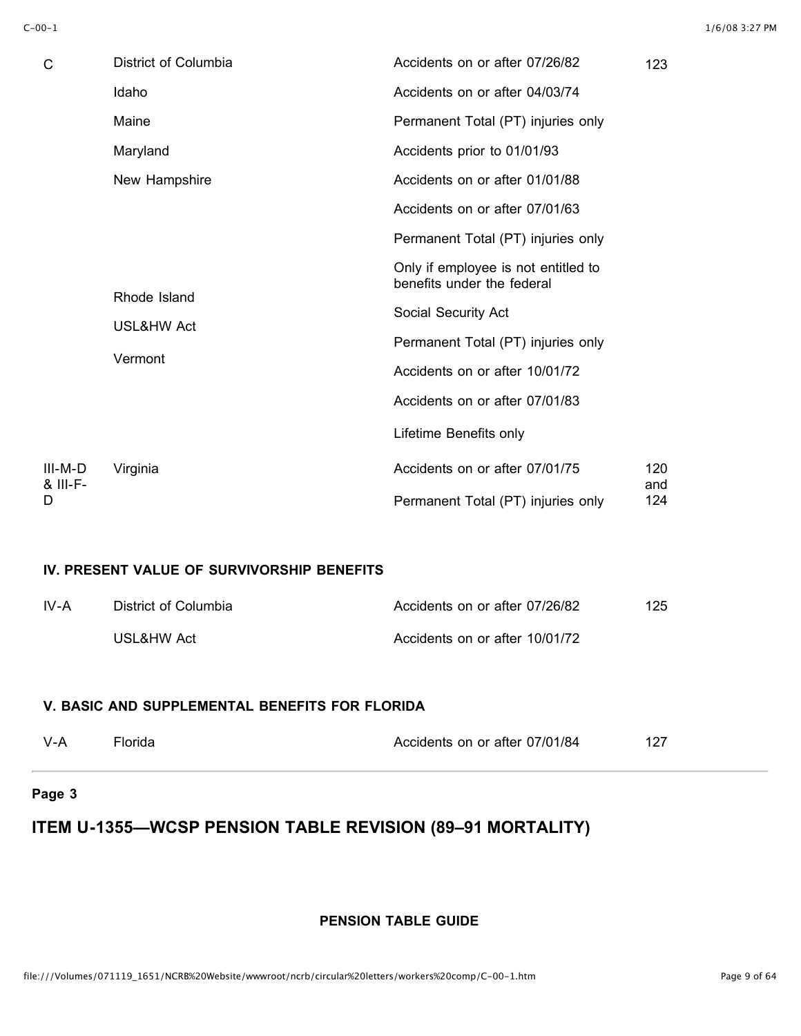| C                   | District of Columbia  | Accidents on or after 07/26/82                                    | 123        |
|---------------------|-----------------------|-------------------------------------------------------------------|------------|
|                     | Idaho                 | Accidents on or after 04/03/74                                    |            |
|                     | Maine                 | Permanent Total (PT) injuries only                                |            |
|                     | Maryland              | Accidents prior to 01/01/93                                       |            |
|                     | New Hampshire         | Accidents on or after 01/01/88                                    |            |
|                     |                       | Accidents on or after 07/01/63                                    |            |
|                     |                       | Permanent Total (PT) injuries only                                |            |
|                     |                       | Only if employee is not entitled to<br>benefits under the federal |            |
| Rhode Island        |                       | Social Security Act                                               |            |
|                     | <b>USL&amp;HW Act</b> | Permanent Total (PT) injuries only                                |            |
|                     | Vermont               | Accidents on or after 10/01/72                                    |            |
|                     |                       | Accidents on or after 07/01/83                                    |            |
|                     |                       | Lifetime Benefits only                                            |            |
| III-M-D<br>& III-F- | Virginia              | Accidents on or after 07/01/75                                    | 120<br>and |
| D                   |                       | Permanent Total (PT) injuries only                                | 124        |

## **IV. PRESENT VALUE OF SURVIVORSHIP BENEFITS**

| IV-A | District of Columbia | Accidents on or after 07/26/82 | 125 |
|------|----------------------|--------------------------------|-----|
|      | USL&HW Act           | Accidents on or after 10/01/72 |     |

## **V. BASIC AND SUPPLEMENTAL BENEFITS FOR FLORIDA**

| -V-A | Florida | Accidents on or after 07/01/84 | 127 |
|------|---------|--------------------------------|-----|
|      |         |                                |     |

## **Page 3**

# **ITEM U-1355—WCSP PENSION TABLE REVISION (89–91 MORTALITY)**

## **PENSION TABLE GUIDE**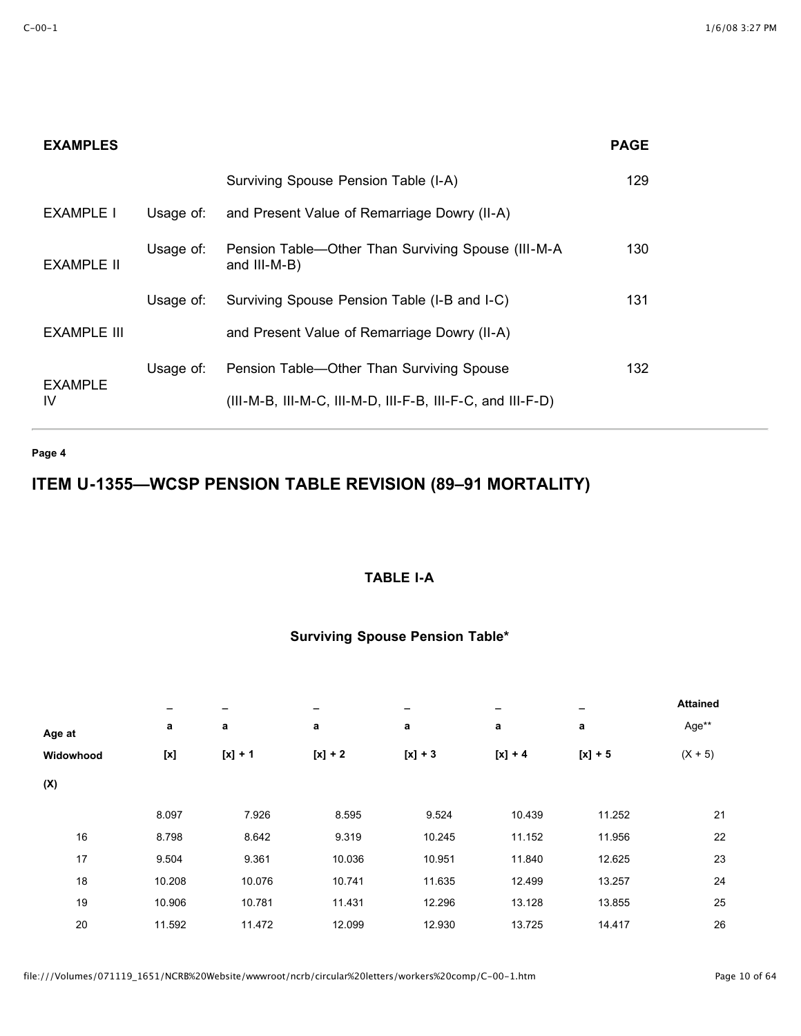## **EXAMPLES PAGE**

|                      |           | Surviving Spouse Pension Table (I-A)                               | 129 |
|----------------------|-----------|--------------------------------------------------------------------|-----|
| EXAMPLE I            | Usage of: | and Present Value of Remarriage Dowry (II-A)                       |     |
| EXAMPLE II           | Usage of: | Pension Table—Other Than Surviving Spouse (III-M-A<br>and III-M-B) | 130 |
|                      | Usage of: | Surviving Spouse Pension Table (I-B and I-C)                       | 131 |
| EXAMPLE III          |           | and Present Value of Remarriage Dowry (II-A)                       |     |
|                      | Usage of: | Pension Table—Other Than Surviving Spouse                          | 132 |
| <b>EXAMPLE</b><br>IV |           | $(III-M-B, III-M-C, III-M-D, III-F-B, III-F-C, and III-F-D)$       |     |

**Page 4**

# **ITEM U-1355—WCSP PENSION TABLE REVISION (89–91 MORTALITY)**

## **TABLE I-A**

|        |           |           |           |           |           | <b>Attained</b> |
|--------|-----------|-----------|-----------|-----------|-----------|-----------------|
| a      | a         | a         | a         | a         | a         | Age**           |
|        | $[x] + 1$ | $[x] + 2$ | $[x] + 3$ | $[x] + 4$ | $[x] + 5$ | $(X + 5)$       |
|        |           |           |           |           |           |                 |
| 8.097  | 7.926     | 8.595     | 9.524     | 10.439    | 11.252    | 21              |
| 8.798  | 8.642     | 9.319     | 10.245    | 11.152    | 11.956    | 22              |
| 9.504  | 9.361     | 10.036    | 10.951    | 11.840    | 12.625    | 23              |
| 10.208 | 10.076    | 10.741    | 11.635    | 12.499    | 13.257    | 24              |
| 10.906 | 10.781    | 11.431    | 12.296    | 13.128    | 13.855    | 25              |
| 11.592 | 11.472    | 12.099    | 12.930    | 13.725    | 14.417    | 26              |
|        |           |           |           |           |           |                 |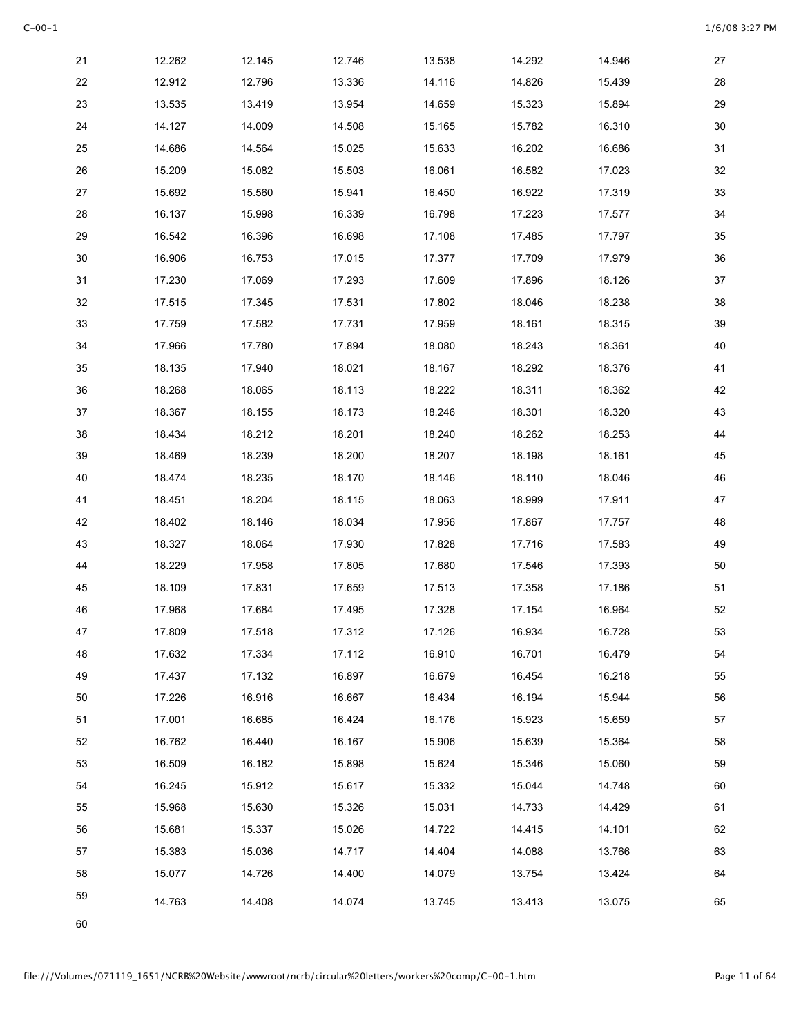| 21     | 12.262 | 12.145 | 12.746 | 13.538 | 14.292 | 14.946 | 27     |
|--------|--------|--------|--------|--------|--------|--------|--------|
| 22     | 12.912 | 12.796 | 13.336 | 14.116 | 14.826 | 15.439 | 28     |
| 23     | 13.535 | 13.419 | 13.954 | 14.659 | 15.323 | 15.894 | 29     |
| 24     | 14.127 | 14.009 | 14.508 | 15.165 | 15.782 | 16.310 | 30     |
| 25     | 14.686 | 14.564 | 15.025 | 15.633 | 16.202 | 16.686 | 31     |
| 26     | 15.209 | 15.082 | 15.503 | 16.061 | 16.582 | 17.023 | 32     |
| 27     | 15.692 | 15.560 | 15.941 | 16.450 | 16.922 | 17.319 | 33     |
| 28     | 16.137 | 15.998 | 16.339 | 16.798 | 17.223 | 17.577 | 34     |
| 29     | 16.542 | 16.396 | 16.698 | 17.108 | 17.485 | 17.797 | 35     |
| $30\,$ | 16.906 | 16.753 | 17.015 | 17.377 | 17.709 | 17.979 | 36     |
| 31     | 17.230 | 17.069 | 17.293 | 17.609 | 17.896 | 18.126 | $37\,$ |
| 32     | 17.515 | 17.345 | 17.531 | 17.802 | 18.046 | 18.238 | 38     |
| 33     | 17.759 | 17.582 | 17.731 | 17.959 | 18.161 | 18.315 | $39\,$ |
| 34     | 17.966 | 17.780 | 17.894 | 18.080 | 18.243 | 18.361 | 40     |
| 35     | 18.135 | 17.940 | 18.021 | 18.167 | 18.292 | 18.376 | 41     |
| 36     | 18.268 | 18.065 | 18.113 | 18.222 | 18.311 | 18.362 | 42     |
| 37     | 18.367 | 18.155 | 18.173 | 18.246 | 18.301 | 18.320 | 43     |
| 38     | 18.434 | 18.212 | 18.201 | 18.240 | 18.262 | 18.253 | 44     |
| 39     | 18.469 | 18.239 | 18.200 | 18.207 | 18.198 | 18.161 | 45     |
| 40     | 18.474 | 18.235 | 18.170 | 18.146 | 18.110 | 18.046 | 46     |
| 41     | 18.451 | 18.204 | 18.115 | 18.063 | 18.999 | 17.911 | 47     |
| 42     | 18.402 | 18.146 | 18.034 | 17.956 | 17.867 | 17.757 | 48     |
| 43     | 18.327 | 18.064 | 17.930 | 17.828 | 17.716 | 17.583 | 49     |
| 44     | 18.229 | 17.958 | 17.805 | 17.680 | 17.546 | 17.393 | 50     |
| 45     | 18.109 | 17.831 | 17.659 | 17.513 | 17.358 | 17.186 | 51     |
| 46     | 17.968 | 17.684 | 17.495 | 17.328 | 17.154 | 16.964 | 52     |
| 47     | 17.809 | 17.518 | 17.312 | 17.126 | 16.934 | 16.728 | 53     |
| 48     | 17.632 | 17.334 | 17.112 | 16.910 | 16.701 | 16.479 | 54     |
| 49     | 17.437 | 17.132 | 16.897 | 16.679 | 16.454 | 16.218 | 55     |
| 50     | 17.226 | 16.916 | 16.667 | 16.434 | 16.194 | 15.944 | 56     |
| 51     | 17.001 | 16.685 | 16.424 | 16.176 | 15.923 | 15.659 | 57     |
| 52     | 16.762 | 16.440 | 16.167 | 15.906 | 15.639 | 15.364 | 58     |
| 53     | 16.509 | 16.182 | 15.898 | 15.624 | 15.346 | 15.060 | 59     |
| 54     | 16.245 | 15.912 | 15.617 | 15.332 | 15.044 | 14.748 | 60     |
| 55     | 15.968 | 15.630 | 15.326 | 15.031 | 14.733 | 14.429 | 61     |
| 56     | 15.681 | 15.337 | 15.026 | 14.722 | 14.415 | 14.101 | 62     |
| 57     | 15.383 | 15.036 | 14.717 | 14.404 | 14.088 | 13.766 | 63     |
| 58     | 15.077 | 14.726 | 14.400 | 14.079 | 13.754 | 13.424 | 64     |
| 59     | 14.763 | 14.408 | 14.074 | 13.745 | 13.413 | 13.075 | 65     |
| 60     |        |        |        |        |        |        |        |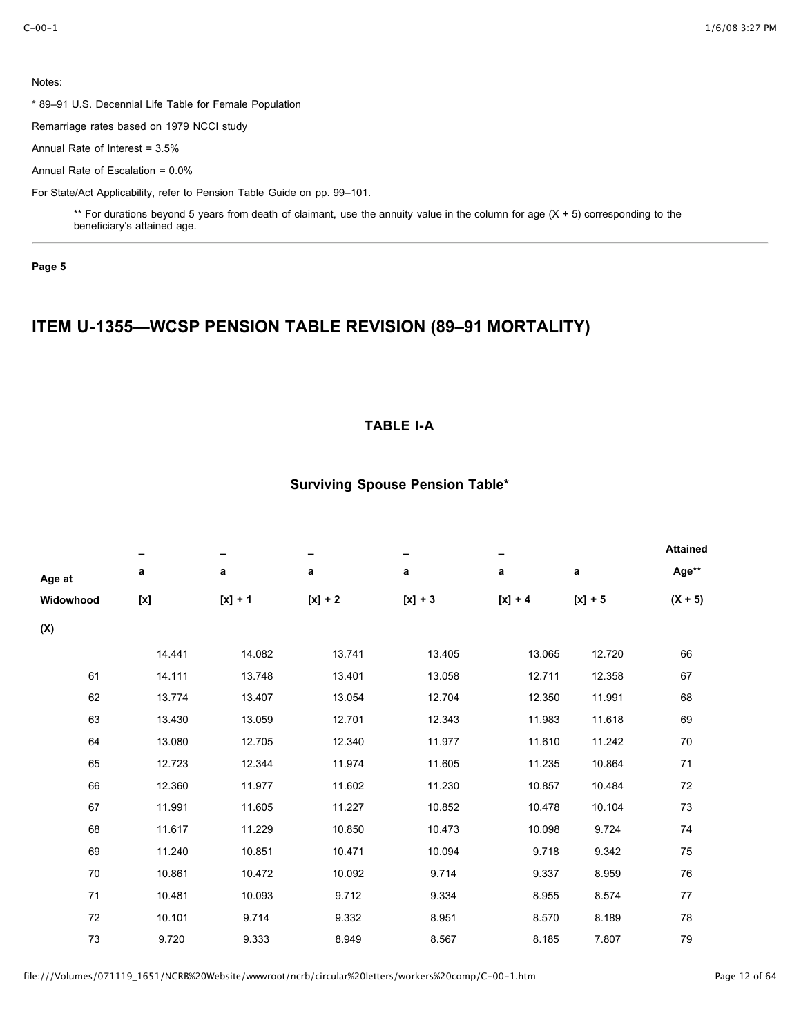\* 89–91 U.S. Decennial Life Table for Female Population

Remarriage rates based on 1979 NCCI study

Annual Rate of Interest = 3.5%

Annual Rate of Escalation = 0.0%

For State/Act Applicability, refer to Pension Table Guide on pp. 99–101.

\*\* For durations beyond 5 years from death of claimant, use the annuity value in the column for age (X + 5) corresponding to the beneficiary's attained age.

**Page 5**

# **ITEM U-1355—WCSP PENSION TABLE REVISION (89–91 MORTALITY)**

## **TABLE I-A**

|           |        |           |           |           |           |           | <b>Attained</b> |
|-----------|--------|-----------|-----------|-----------|-----------|-----------|-----------------|
| Age at    | а      | a         | а         | a         | а         | a         | Age**           |
| Widowhood |        | $[x] + 1$ | $[x] + 2$ | $[x] + 3$ | $[x] + 4$ | $[x] + 5$ | $(X + 5)$       |
| (X)       |        |           |           |           |           |           |                 |
|           | 14.441 | 14.082    | 13.741    | 13.405    | 13.065    | 12.720    | 66              |
| 61        | 14.111 | 13.748    | 13.401    | 13.058    | 12.711    | 12.358    | 67              |
| 62        | 13.774 | 13.407    | 13.054    | 12.704    | 12.350    | 11.991    | 68              |
| 63        | 13.430 | 13.059    | 12.701    | 12.343    | 11.983    | 11.618    | 69              |
| 64        | 13.080 | 12.705    | 12.340    | 11.977    | 11.610    | 11.242    | 70              |
| 65        | 12.723 | 12.344    | 11.974    | 11.605    | 11.235    | 10.864    | 71              |
| 66        | 12.360 | 11.977    | 11.602    | 11.230    | 10.857    | 10.484    | 72              |
| 67        | 11.991 | 11.605    | 11.227    | 10.852    | 10.478    | 10.104    | 73              |
| 68        | 11.617 | 11.229    | 10.850    | 10.473    | 10.098    | 9.724     | 74              |
| 69        | 11.240 | 10.851    | 10 4 7 1  | 10.094    | 9.718     | 9.342     | 75              |
| 70        | 10.861 | 10.472    | 10.092    | 9.714     | 9.337     | 8.959     | 76              |
| 71        | 10.481 | 10.093    | 9.712     | 9.334     | 8.955     | 8.574     | 77              |
| 72        | 10.101 | 9.714     | 9.332     | 8.951     | 8.570     | 8.189     | 78              |
| 73        | 9.720  | 9.333     | 8.949     | 8.567     | 8.185     | 7.807     | 79              |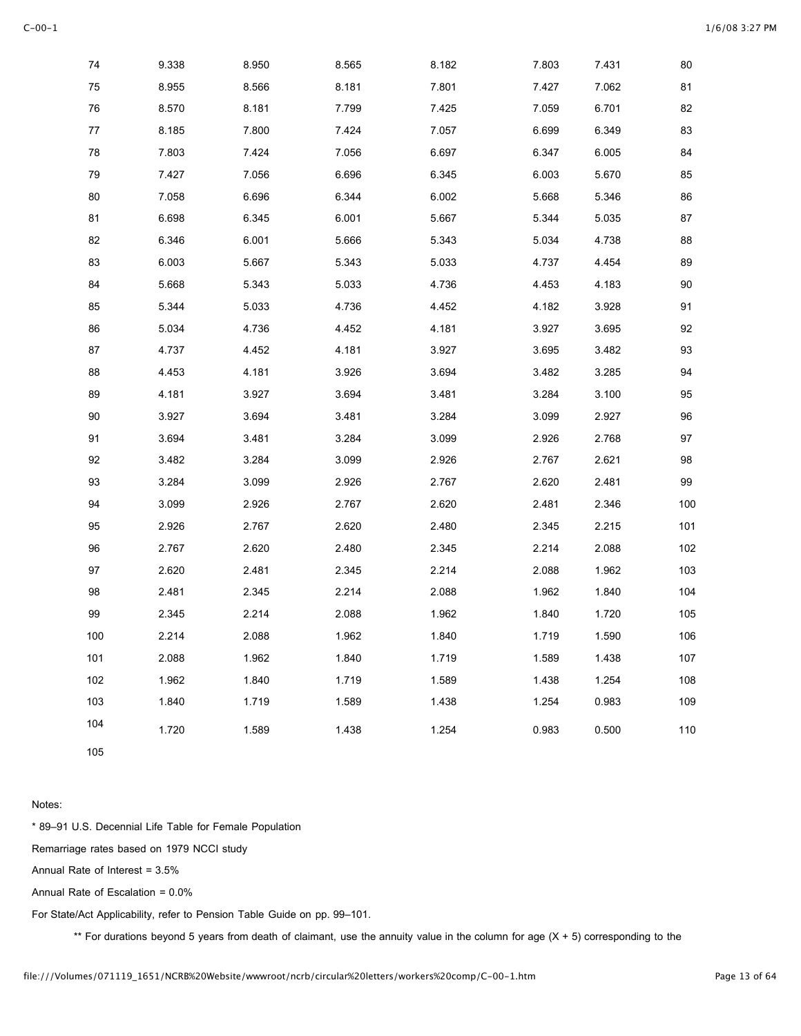| 74  | 9.338 | 8.950 | 8.565 | 8.182 | 7.803 | 7.431 | 80  |
|-----|-------|-------|-------|-------|-------|-------|-----|
| 75  | 8.955 | 8.566 | 8.181 | 7.801 | 7.427 | 7.062 | 81  |
| 76  | 8.570 | 8.181 | 7.799 | 7.425 | 7.059 | 6.701 | 82  |
| 77  | 8.185 | 7.800 | 7.424 | 7.057 | 6.699 | 6.349 | 83  |
| 78  | 7.803 | 7.424 | 7.056 | 6.697 | 6.347 | 6.005 | 84  |
| 79  | 7.427 | 7.056 | 6.696 | 6.345 | 6.003 | 5.670 | 85  |
| 80  | 7.058 | 6.696 | 6.344 | 6.002 | 5.668 | 5.346 | 86  |
| 81  | 6.698 | 6.345 | 6.001 | 5.667 | 5.344 | 5.035 | 87  |
| 82  | 6.346 | 6.001 | 5.666 | 5.343 | 5.034 | 4.738 | 88  |
| 83  | 6.003 | 5.667 | 5.343 | 5.033 | 4.737 | 4.454 | 89  |
| 84  | 5.668 | 5.343 | 5.033 | 4.736 | 4.453 | 4.183 | 90  |
| 85  | 5.344 | 5.033 | 4.736 | 4.452 | 4.182 | 3.928 | 91  |
| 86  | 5.034 | 4.736 | 4.452 | 4.181 | 3.927 | 3.695 | 92  |
| 87  | 4.737 | 4.452 | 4.181 | 3.927 | 3.695 | 3.482 | 93  |
| 88  | 4.453 | 4.181 | 3.926 | 3.694 | 3.482 | 3.285 | 94  |
| 89  | 4.181 | 3.927 | 3.694 | 3.481 | 3.284 | 3.100 | 95  |
| 90  | 3.927 | 3.694 | 3.481 | 3.284 | 3.099 | 2.927 | 96  |
| 91  | 3.694 | 3.481 | 3.284 | 3.099 | 2.926 | 2.768 | 97  |
| 92  | 3.482 | 3.284 | 3.099 | 2.926 | 2.767 | 2.621 | 98  |
| 93  | 3.284 | 3.099 | 2.926 | 2.767 | 2.620 | 2.481 | 99  |
| 94  | 3.099 | 2.926 | 2.767 | 2.620 | 2.481 | 2.346 | 100 |
| 95  | 2.926 | 2.767 | 2.620 | 2.480 | 2.345 | 2.215 | 101 |
| 96  | 2.767 | 2.620 | 2.480 | 2.345 | 2.214 | 2.088 | 102 |
| 97  | 2.620 | 2.481 | 2.345 | 2.214 | 2.088 | 1.962 | 103 |
| 98  | 2.481 | 2.345 | 2.214 | 2.088 | 1.962 | 1.840 | 104 |
| 99  | 2.345 | 2.214 | 2.088 | 1.962 | 1.840 | 1.720 | 105 |
| 100 | 2.214 | 2.088 | 1.962 | 1.840 | 1.719 | 1.590 | 106 |
| 101 | 2.088 | 1.962 | 1.840 | 1.719 | 1.589 | 1.438 | 107 |
| 102 | 1.962 | 1.840 | 1.719 | 1.589 | 1.438 | 1.254 | 108 |
| 103 | 1.840 | 1.719 | 1.589 | 1.438 | 1.254 | 0.983 | 109 |
| 104 | 1.720 | 1.589 | 1.438 | 1.254 | 0.983 | 0.500 | 110 |
| 105 |       |       |       |       |       |       |     |

\* 89–91 U.S. Decennial Life Table for Female Population

Remarriage rates based on 1979 NCCI study

Annual Rate of Interest = 3.5%

Annual Rate of Escalation = 0.0%

For State/Act Applicability, refer to Pension Table Guide on pp. 99–101.

\*\* For durations beyond 5 years from death of claimant, use the annuity value in the column for age (X + 5) corresponding to the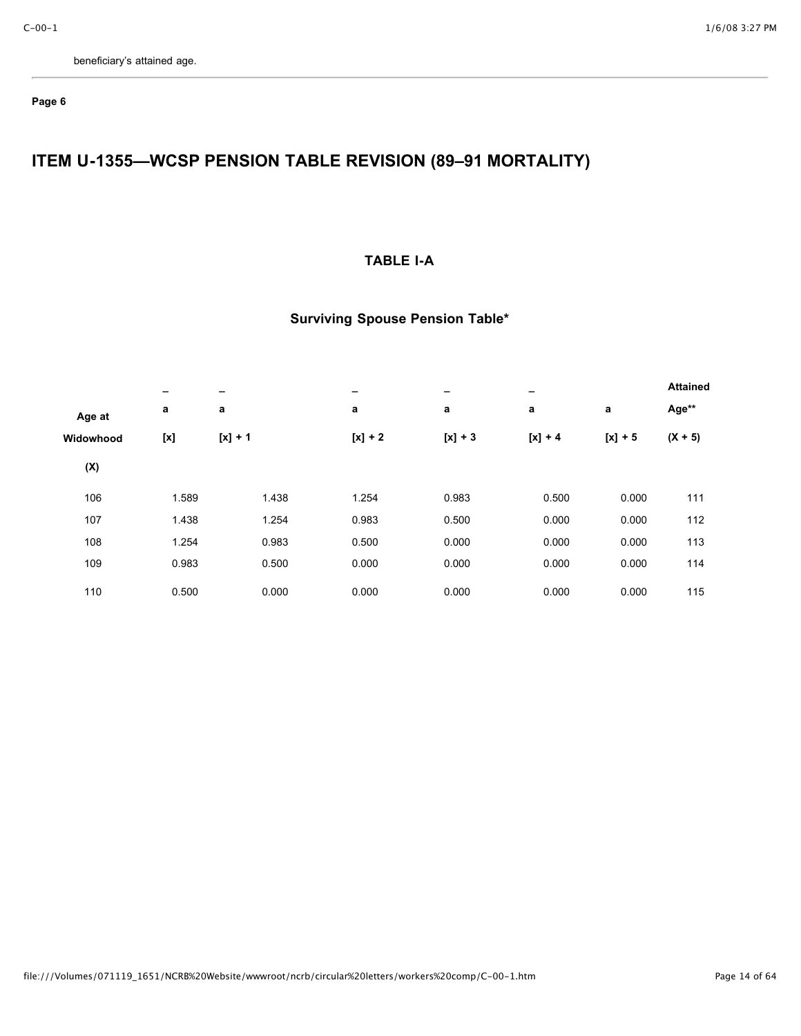## **Page 6**

# **ITEM U-1355—WCSP PENSION TABLE REVISION (89–91 MORTALITY)**

## **TABLE I-A**

|           | -     | -         | $\overline{\phantom{0}}$ | -         | $\overline{\phantom{0}}$ |           | <b>Attained</b> |
|-----------|-------|-----------|--------------------------|-----------|--------------------------|-----------|-----------------|
| Age at    | a     | a         | a                        | a         | a                        | a         | Age**           |
| Widowhood |       | $[x] + 1$ | $[x] + 2$                | $[x] + 3$ | $[x] + 4$                | $[x] + 5$ | $(X + 5)$       |
| (X)       |       |           |                          |           |                          |           |                 |
| 106       | 1.589 | 1.438     | 1.254                    | 0.983     | 0.500                    | 0.000     | 111             |
| 107       | 1.438 | 1.254     | 0.983                    | 0.500     | 0.000                    | 0.000     | 112             |
| 108       | 1.254 | 0.983     | 0.500                    | 0.000     | 0.000                    | 0.000     | 113             |
| 109       | 0.983 | 0.500     | 0.000                    | 0.000     | 0.000                    | 0.000     | 114             |
| 110       | 0.500 | 0.000     | 0.000                    | 0.000     | 0.000                    | 0.000     | 115             |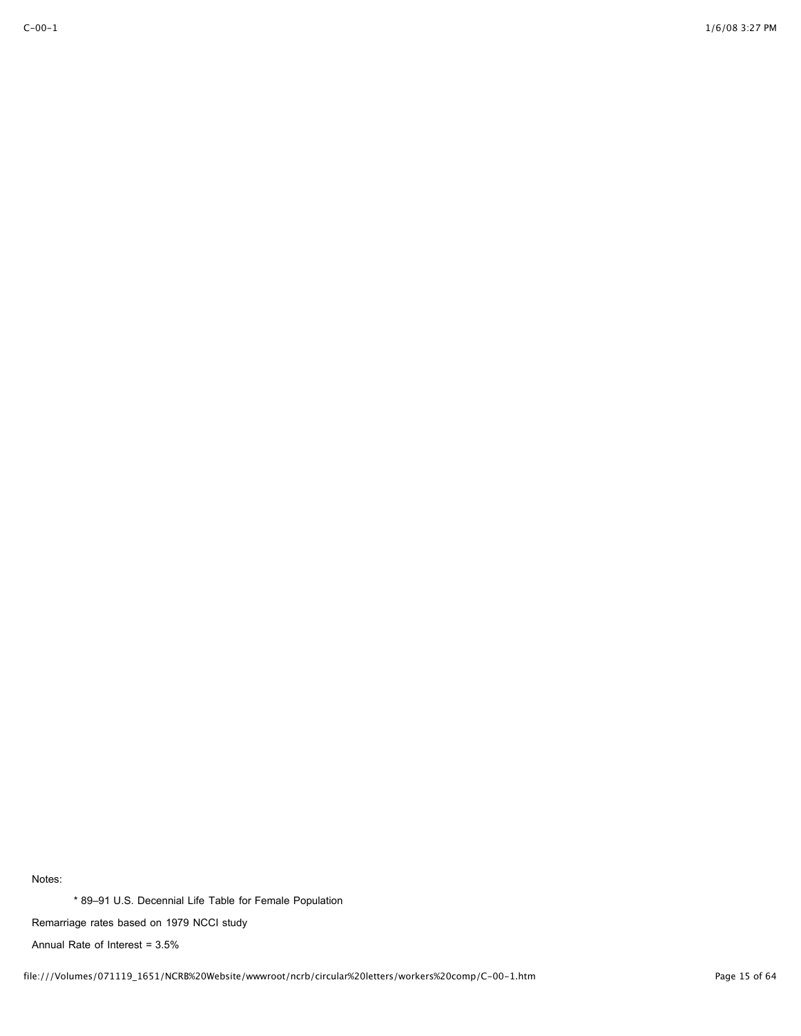\* 89–91 U.S. Decennial Life Table for Female Population

Remarriage rates based on 1979 NCCI study

Annual Rate of Interest = 3.5%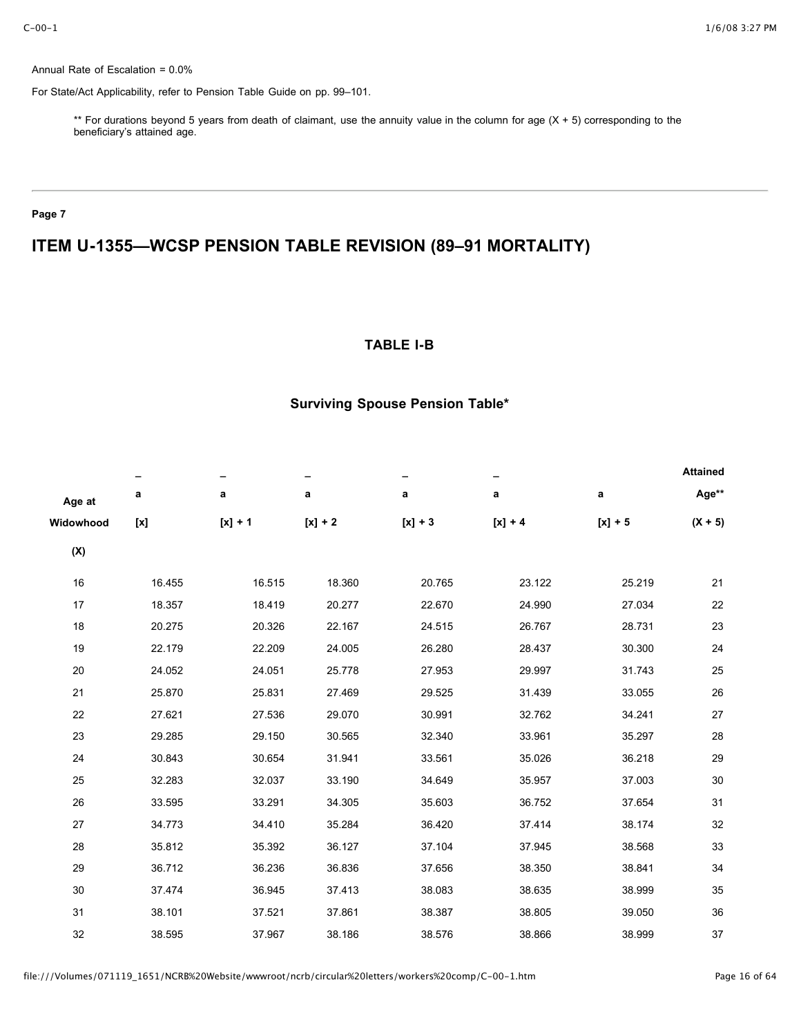Annual Rate of Escalation = 0.0%

For State/Act Applicability, refer to Pension Table Guide on pp. 99–101.

\*\* For durations beyond 5 years from death of claimant, use the annuity value in the column for age (X + 5) corresponding to the beneficiary's attained age.

### **Page 7**

# **ITEM U-1355—WCSP PENSION TABLE REVISION (89–91 MORTALITY)**

## **TABLE I-B**

|           |        |           |           |           |           |           | <b>Attained</b> |
|-----------|--------|-----------|-----------|-----------|-----------|-----------|-----------------|
| Age at    | a      | a         | a         | a         | a         | a         | Age**           |
| Widowhood |        | $[x] + 1$ | $[x] + 2$ | $[x] + 3$ | $[x] + 4$ | $[x] + 5$ | $(X + 5)$       |
| (X)       |        |           |           |           |           |           |                 |
| 16        | 16.455 | 16.515    | 18.360    | 20.765    | 23.122    | 25.219    | 21              |
| 17        | 18.357 | 18.419    | 20.277    | 22.670    | 24.990    | 27.034    | 22              |
| 18        | 20.275 | 20.326    | 22.167    | 24.515    | 26.767    | 28.731    | 23              |
| 19        | 22.179 | 22.209    | 24.005    | 26.280    | 28.437    | 30.300    | 24              |
| 20        | 24.052 | 24.051    | 25.778    | 27.953    | 29.997    | 31.743    | 25              |
| 21        | 25.870 | 25.831    | 27.469    | 29.525    | 31.439    | 33.055    | 26              |
| 22        | 27.621 | 27.536    | 29.070    | 30.991    | 32.762    | 34.241    | 27              |
| 23        | 29.285 | 29.150    | 30.565    | 32.340    | 33.961    | 35.297    | 28              |
| 24        | 30.843 | 30.654    | 31.941    | 33.561    | 35.026    | 36.218    | 29              |
| 25        | 32.283 | 32.037    | 33.190    | 34.649    | 35.957    | 37.003    | 30              |
| 26        | 33.595 | 33.291    | 34.305    | 35.603    | 36.752    | 37.654    | 31              |
| 27        | 34.773 | 34.410    | 35.284    | 36.420    | 37.414    | 38.174    | 32              |
| 28        | 35.812 | 35.392    | 36.127    | 37.104    | 37.945    | 38.568    | 33              |
| 29        | 36.712 | 36.236    | 36.836    | 37.656    | 38.350    | 38.841    | 34              |
| 30        | 37.474 | 36.945    | 37.413    | 38.083    | 38.635    | 38.999    | 35              |
| 31        | 38.101 | 37.521    | 37.861    | 38.387    | 38.805    | 39.050    | 36              |
| 32        | 38.595 | 37.967    | 38.186    | 38.576    | 38.866    | 38.999    | 37              |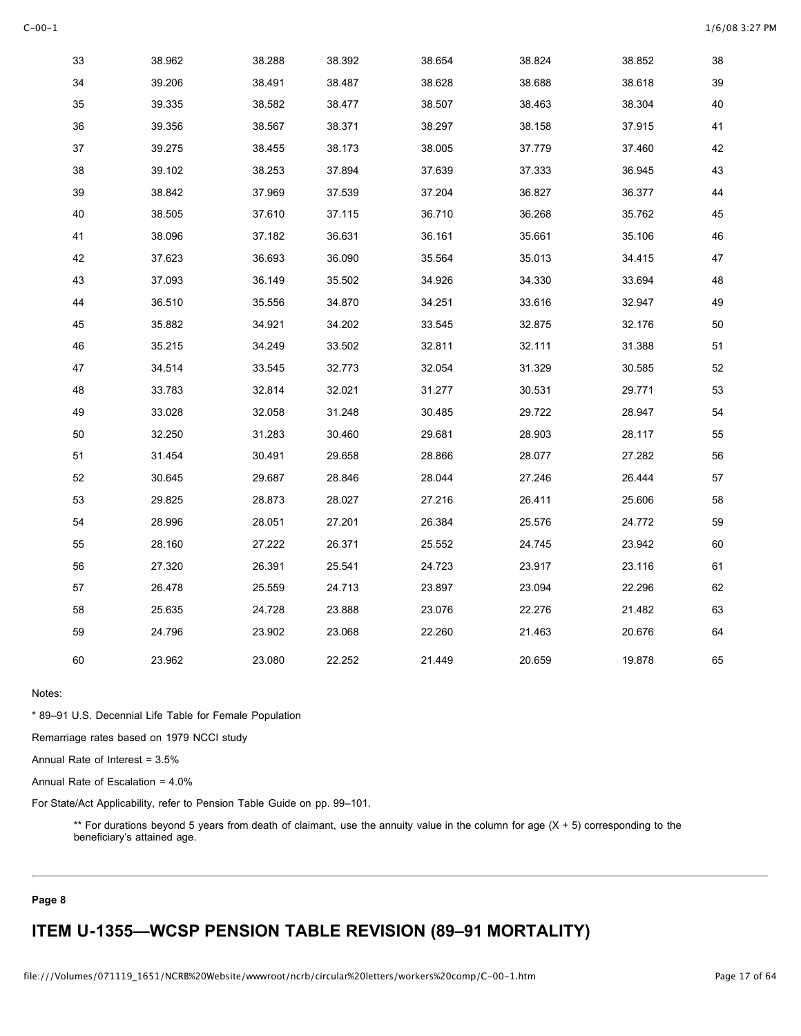| 33 | 38.962 | 38.288 | 38.392 | 38.654 | 38.824 | 38.852 | 38 |
|----|--------|--------|--------|--------|--------|--------|----|
| 34 | 39.206 | 38.491 | 38.487 | 38.628 | 38.688 | 38.618 | 39 |
| 35 | 39.335 | 38.582 | 38.477 | 38.507 | 38.463 | 38.304 | 40 |
| 36 | 39.356 | 38.567 | 38.371 | 38.297 | 38.158 | 37.915 | 41 |
| 37 | 39.275 | 38.455 | 38.173 | 38.005 | 37.779 | 37.460 | 42 |
| 38 | 39.102 | 38.253 | 37.894 | 37.639 | 37.333 | 36.945 | 43 |
| 39 | 38.842 | 37.969 | 37.539 | 37.204 | 36.827 | 36.377 | 44 |
| 40 | 38.505 | 37.610 | 37.115 | 36.710 | 36.268 | 35.762 | 45 |
| 41 | 38.096 | 37.182 | 36.631 | 36.161 | 35.661 | 35.106 | 46 |
| 42 | 37.623 | 36.693 | 36.090 | 35.564 | 35.013 | 34.415 | 47 |
| 43 | 37.093 | 36.149 | 35.502 | 34.926 | 34.330 | 33.694 | 48 |
| 44 | 36.510 | 35.556 | 34.870 | 34.251 | 33.616 | 32.947 | 49 |
| 45 | 35.882 | 34.921 | 34.202 | 33.545 | 32.875 | 32.176 | 50 |
| 46 | 35.215 | 34.249 | 33.502 | 32.811 | 32.111 | 31.388 | 51 |
| 47 | 34.514 | 33.545 | 32.773 | 32.054 | 31.329 | 30.585 | 52 |
| 48 | 33.783 | 32.814 | 32.021 | 31.277 | 30.531 | 29.771 | 53 |
| 49 | 33.028 | 32.058 | 31.248 | 30.485 | 29.722 | 28.947 | 54 |
| 50 | 32.250 | 31.283 | 30.460 | 29.681 | 28.903 | 28.117 | 55 |
| 51 | 31.454 | 30.491 | 29.658 | 28.866 | 28.077 | 27.282 | 56 |
| 52 | 30.645 | 29.687 | 28.846 | 28.044 | 27.246 | 26.444 | 57 |
| 53 | 29.825 | 28.873 | 28.027 | 27.216 | 26.411 | 25.606 | 58 |
| 54 | 28.996 | 28.051 | 27.201 | 26.384 | 25.576 | 24.772 | 59 |
| 55 | 28.160 | 27.222 | 26.371 | 25.552 | 24.745 | 23.942 | 60 |
| 56 | 27.320 | 26.391 | 25.541 | 24.723 | 23.917 | 23.116 | 61 |
| 57 | 26.478 | 25.559 | 24.713 | 23.897 | 23.094 | 22.296 | 62 |
| 58 | 25.635 | 24.728 | 23.888 | 23.076 | 22.276 | 21.482 | 63 |
| 59 | 24.796 | 23.902 | 23.068 | 22.260 | 21.463 | 20.676 | 64 |
| 60 | 23.962 | 23.080 | 22.252 | 21.449 | 20.659 | 19.878 | 65 |

\* 89–91 U.S. Decennial Life Table for Female Population

Remarriage rates based on 1979 NCCI study

Annual Rate of Interest = 3.5%

Annual Rate of Escalation = 4.0%

For State/Act Applicability, refer to Pension Table Guide on pp. 99–101.

\*\* For durations beyond 5 years from death of claimant, use the annuity value in the column for age (X + 5) corresponding to the beneficiary's attained age.

### **Page 8**

# **ITEM U-1355—WCSP PENSION TABLE REVISION (89–91 MORTALITY)**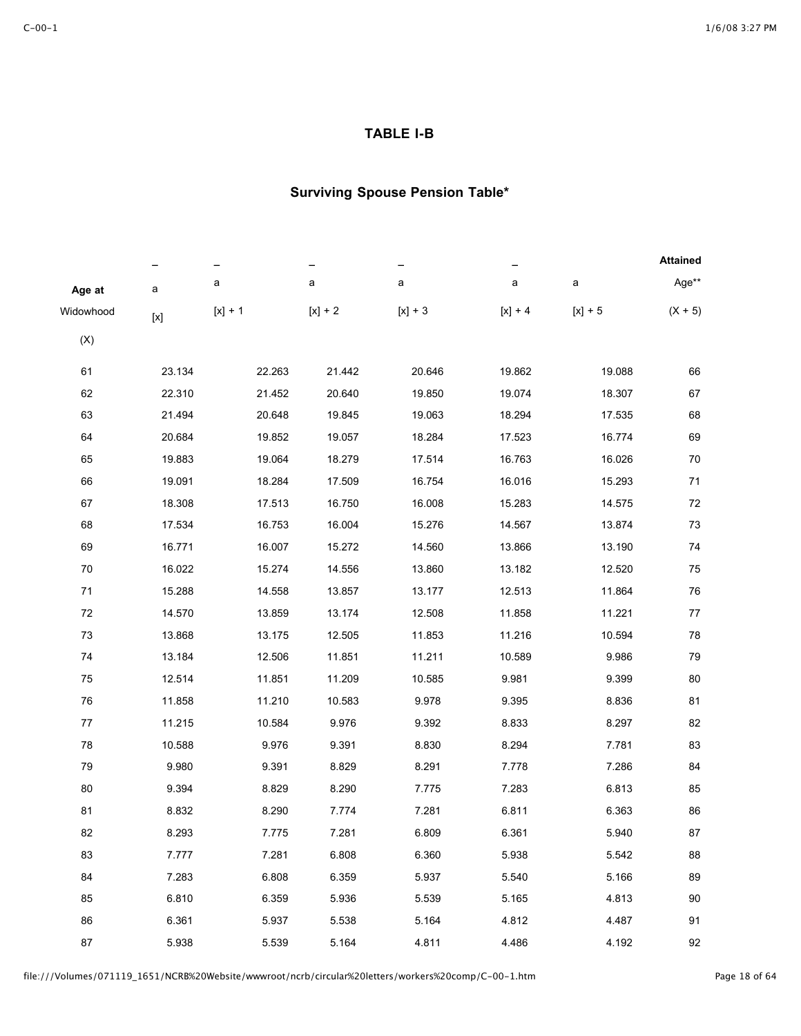### **TABLE I-B**

|            |              |           |           |           |           |           | <b>Attained</b> |
|------------|--------------|-----------|-----------|-----------|-----------|-----------|-----------------|
| Age at     | a            | a         | а         | a         | a         | a         | Age**           |
| Widowhood  | $[{\times}]$ | $[x] + 1$ | $[x] + 2$ | $[x] + 3$ | $[x] + 4$ | $[x] + 5$ | $(X + 5)$       |
| (X)        |              |           |           |           |           |           |                 |
| 61         | 23.134       | 22.263    | 21.442    | 20.646    | 19.862    | 19.088    | 66              |
| 62         | 22.310       | 21.452    | 20.640    | 19.850    | 19.074    | 18.307    | 67              |
| 63         | 21.494       | 20.648    | 19.845    | 19.063    | 18.294    | 17.535    | 68              |
| 64         | 20.684       | 19.852    | 19.057    | 18.284    | 17.523    | 16.774    | 69              |
| 65         | 19.883       | 19.064    | 18.279    | 17.514    | 16.763    | 16.026    | 70              |
| 66         | 19.091       | 18.284    | 17.509    | 16.754    | 16.016    | 15.293    | 71              |
| 67         | 18.308       | 17.513    | 16.750    | 16.008    | 15.283    | 14.575    | 72              |
| 68         | 17.534       | 16.753    | 16.004    | 15.276    | 14.567    | 13.874    | 73              |
| 69         | 16.771       | 16.007    | 15.272    | 14.560    | 13.866    | 13.190    | 74              |
| $70\,$     | 16.022       | 15.274    | 14.556    | 13.860    | 13.182    | 12.520    | 75              |
| $71$       | 15.288       | 14.558    | 13.857    | 13.177    | 12.513    | 11.864    | 76              |
| $72\,$     | 14.570       | 13.859    | 13.174    | 12.508    | 11.858    | 11.221    | 77              |
| 73         | 13.868       | 13.175    | 12.505    | 11.853    | 11.216    | 10.594    | 78              |
| 74         | 13.184       | 12.506    | 11.851    | 11.211    | 10.589    | 9.986     | 79              |
| 75         | 12.514       | 11.851    | 11.209    | 10.585    | 9.981     | 9.399     | 80              |
| ${\bf 76}$ | 11.858       | 11.210    | 10.583    | 9.978     | 9.395     | 8.836     | 81              |
| 77         | 11.215       | 10.584    | 9.976     | 9.392     | 8.833     | 8.297     | 82              |
| 78         | 10.588       | 9.976     | 9.391     | 8.830     | 8.294     | 7.781     | 83              |
| 79         | 9.980        | 9.391     | 8.829     | 8.291     | 7.778     | 7.286     | 84              |
| 80         | 9.394        | 8.829     | 8.290     | 7.775     | 7.283     | 6.813     | 85              |
| 81         | 8.832        | 8.290     | 7.774     | 7.281     | 6.811     | 6.363     | 86              |
| 82         | 8.293        | 7.775     | 7.281     | 6.809     | 6.361     | 5.940     | 87              |
| 83         | 7.777        | 7.281     | 6.808     | 6.360     | 5.938     | 5.542     | 88              |
| 84         | 7.283        | 6.808     | 6.359     | 5.937     | 5.540     | 5.166     | 89              |
| 85         | 6.810        | 6.359     | 5.936     | 5.539     | 5.165     | 4.813     | 90              |
| 86         | 6.361        | 5.937     | 5.538     | 5.164     | 4.812     | 4.487     | 91              |
| 87         | 5.938        | 5.539     | 5.164     | 4.811     | 4.486     | 4.192     | 92              |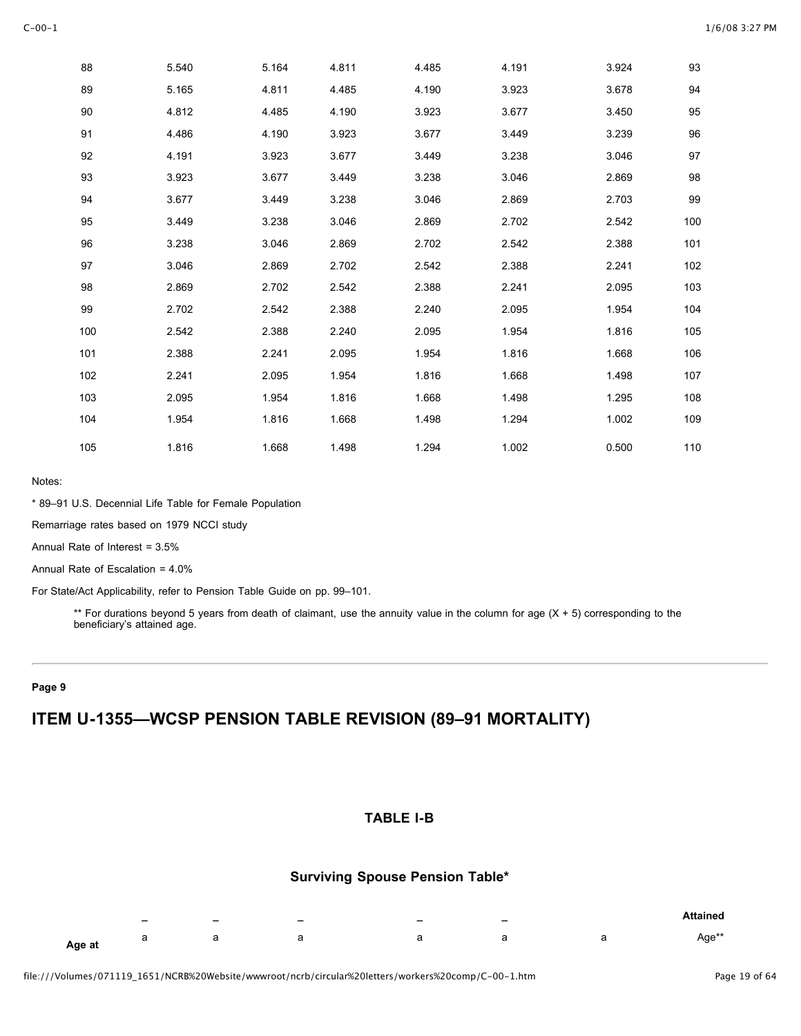| 88     | 5.540 | 5.164 | 4.811 | 4.485 | 4.191 | 3.924 | 93  |
|--------|-------|-------|-------|-------|-------|-------|-----|
| 89     | 5.165 | 4.811 | 4.485 | 4.190 | 3.923 | 3.678 | 94  |
| $90\,$ | 4.812 | 4.485 | 4.190 | 3.923 | 3.677 | 3.450 | 95  |
| 91     | 4.486 | 4.190 | 3.923 | 3.677 | 3.449 | 3.239 | 96  |
| 92     | 4.191 | 3.923 | 3.677 | 3.449 | 3.238 | 3.046 | 97  |
| 93     | 3.923 | 3.677 | 3.449 | 3.238 | 3.046 | 2.869 | 98  |
| 94     | 3.677 | 3.449 | 3.238 | 3.046 | 2.869 | 2.703 | 99  |
| 95     | 3.449 | 3.238 | 3.046 | 2.869 | 2.702 | 2.542 | 100 |
| 96     | 3.238 | 3.046 | 2.869 | 2.702 | 2.542 | 2.388 | 101 |
| 97     | 3.046 | 2.869 | 2.702 | 2.542 | 2.388 | 2.241 | 102 |
| 98     | 2.869 | 2.702 | 2.542 | 2.388 | 2.241 | 2.095 | 103 |
| 99     | 2.702 | 2.542 | 2.388 | 2.240 | 2.095 | 1.954 | 104 |
| 100    | 2.542 | 2.388 | 2.240 | 2.095 | 1.954 | 1.816 | 105 |
| 101    | 2.388 | 2.241 | 2.095 | 1.954 | 1.816 | 1.668 | 106 |
| 102    | 2.241 | 2.095 | 1.954 | 1.816 | 1.668 | 1.498 | 107 |
| 103    | 2.095 | 1.954 | 1.816 | 1.668 | 1.498 | 1.295 | 108 |
| 104    | 1.954 | 1.816 | 1.668 | 1.498 | 1.294 | 1.002 | 109 |
| 105    | 1.816 | 1.668 | 1.498 | 1.294 | 1.002 | 0.500 | 110 |

\* 89–91 U.S. Decennial Life Table for Female Population

Remarriage rates based on 1979 NCCI study

Annual Rate of Interest = 3.5%

Annual Rate of Escalation = 4.0%

For State/Act Applicability, refer to Pension Table Guide on pp. 99–101.

\*\* For durations beyond 5 years from death of claimant, use the annuity value in the column for age  $(X + 5)$  corresponding to the beneficiary's attained age.

#### **Page 9**

## **ITEM U-1355—WCSP PENSION TABLE REVISION (89–91 MORTALITY)**

#### **TABLE I-B**

|        | - | $\overline{\phantom{0}}$ | $\overline{\phantom{0}}$ | - | $\overline{\phantom{0}}$ | <b>Attained</b> |
|--------|---|--------------------------|--------------------------|---|--------------------------|-----------------|
| Age at | ⊶ | u                        |                          |   |                          | Aqe**           |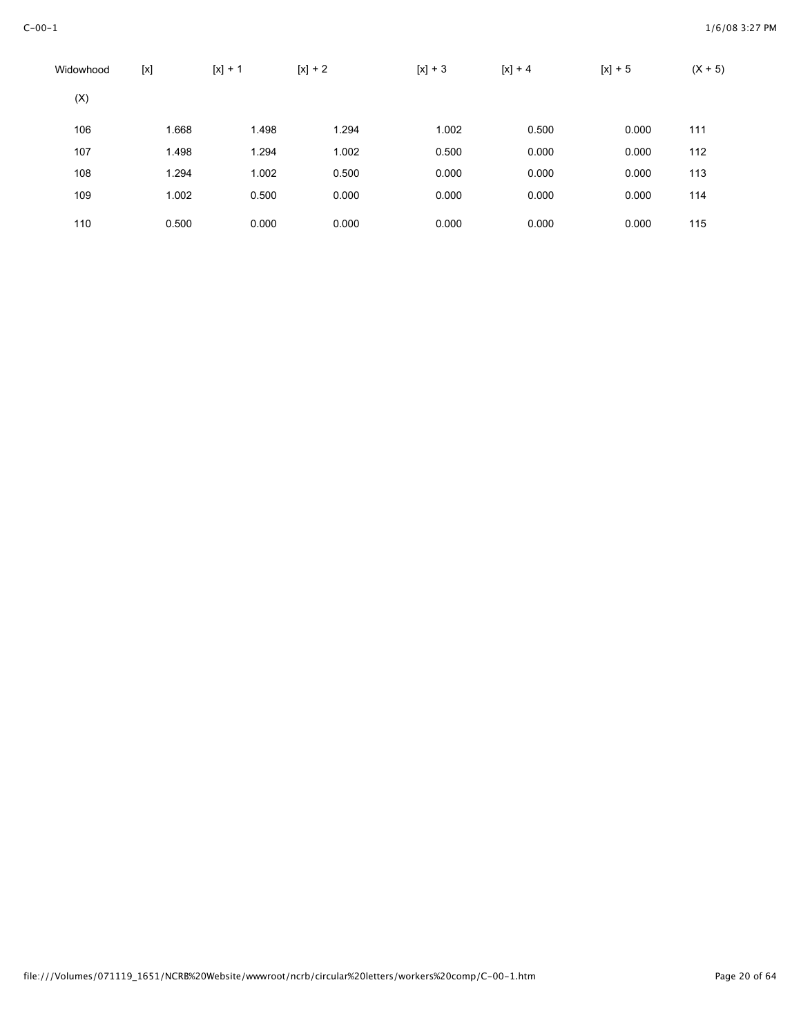| Widowhood | [x]   | $[x] + 1$ | $[x] + 2$ | $[x] + 3$ | $[x] + 4$ | $[x] + 5$ | $(X + 5)$ |
|-----------|-------|-----------|-----------|-----------|-----------|-----------|-----------|
| (X)       |       |           |           |           |           |           |           |
| 106       | 1.668 | 1.498     | 1.294     | 1.002     | 0.500     | 0.000     | 111       |
| 107       | 1.498 | 1.294     | 1.002     | 0.500     | 0.000     | 0.000     | 112       |
| 108       | 1.294 | 1.002     | 0.500     | 0.000     | 0.000     | 0.000     | 113       |
| 109       | 1.002 | 0.500     | 0.000     | 0.000     | 0.000     | 0.000     | 114       |
| 110       | 0.500 | 0.000     | 0.000     | 0.000     | 0.000     | 0.000     | 115       |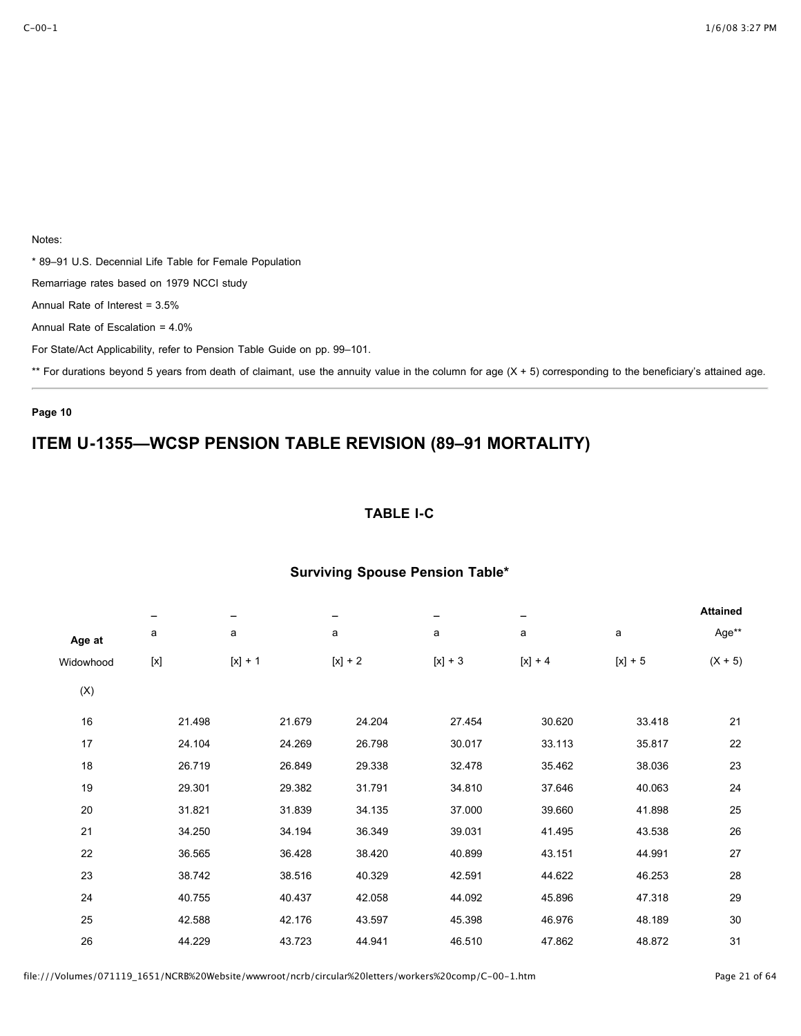\* 89–91 U.S. Decennial Life Table for Female Population

Remarriage rates based on 1979 NCCI study

Annual Rate of Interest = 3.5%

Annual Rate of Escalation = 4.0%

For State/Act Applicability, refer to Pension Table Guide on pp. 99–101.

\*\* For durations beyond 5 years from death of claimant, use the annuity value in the column for age (X + 5) corresponding to the beneficiary's attained age.

### **Page 10**

# **ITEM U-1355—WCSP PENSION TABLE REVISION (89–91 MORTALITY)**

## **TABLE I-C**

|           | -      | -         |           | -         |           |           | <b>Attained</b> |
|-----------|--------|-----------|-----------|-----------|-----------|-----------|-----------------|
| Age at    | a      | a         | a         | a         | a         | a         | Age**           |
| Widowhood |        | $[x] + 1$ | $[x] + 2$ | $[x] + 3$ | $[x] + 4$ | $[x] + 5$ | $(X + 5)$       |
| (X)       |        |           |           |           |           |           |                 |
| 16        | 21.498 | 21.679    | 24.204    | 27.454    | 30.620    | 33.418    | 21              |
| 17        | 24.104 | 24.269    | 26.798    | 30.017    | 33.113    | 35.817    | 22              |
| 18        | 26.719 | 26.849    | 29.338    | 32.478    | 35.462    | 38.036    | 23              |
| 19        | 29.301 | 29.382    | 31.791    | 34.810    | 37.646    | 40.063    | 24              |
| 20        | 31.821 | 31.839    | 34.135    | 37.000    | 39.660    | 41.898    | 25              |
| 21        | 34.250 | 34.194    | 36.349    | 39.031    | 41.495    | 43.538    | 26              |
| 22        | 36.565 | 36.428    | 38.420    | 40.899    | 43.151    | 44.991    | 27              |
| 23        | 38.742 | 38.516    | 40.329    | 42.591    | 44.622    | 46.253    | 28              |
| 24        | 40.755 | 40.437    | 42.058    | 44.092    | 45.896    | 47.318    | 29              |
| 25        | 42.588 | 42.176    | 43.597    | 45.398    | 46.976    | 48.189    | 30              |
| 26        | 44.229 | 43.723    | 44.941    | 46.510    | 47.862    | 48.872    | 31              |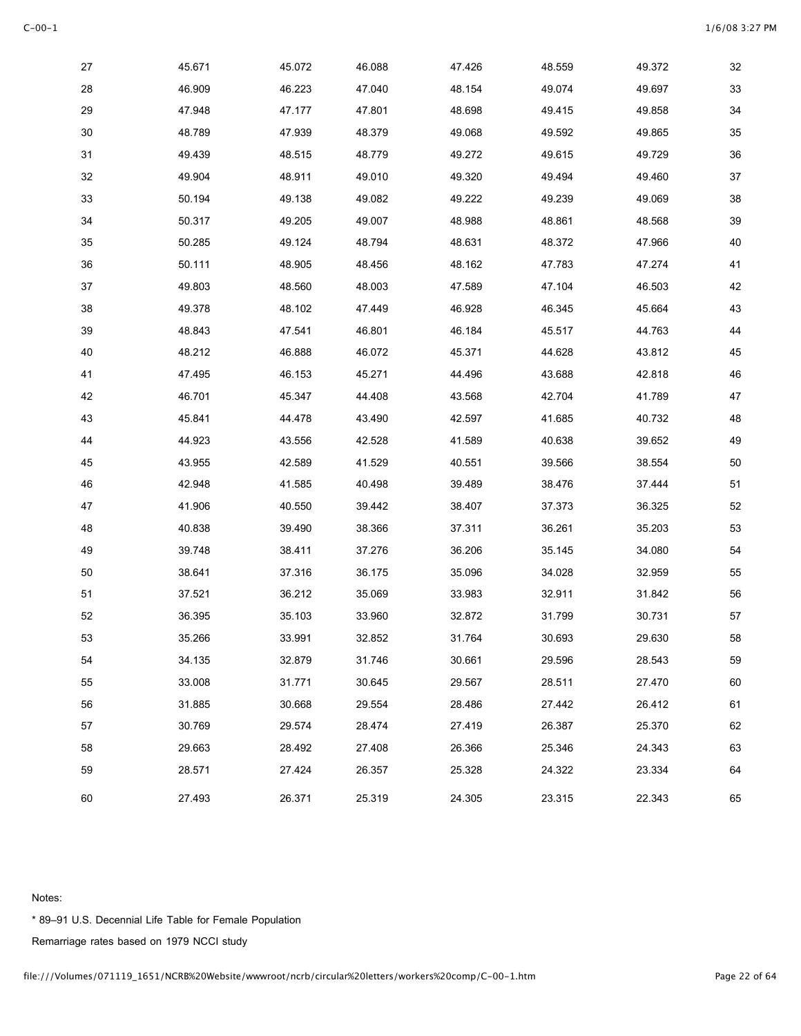| 27 | 45.671 | 45.072 | 46.088 | 47.426 | 48.559 | 49.372 | 32     |
|----|--------|--------|--------|--------|--------|--------|--------|
| 28 | 46.909 | 46.223 | 47.040 | 48.154 | 49.074 | 49.697 | 33     |
| 29 | 47.948 | 47.177 | 47.801 | 48.698 | 49.415 | 49.858 | 34     |
| 30 | 48.789 | 47.939 | 48.379 | 49.068 | 49.592 | 49.865 | 35     |
| 31 | 49.439 | 48.515 | 48.779 | 49.272 | 49.615 | 49.729 | $36\,$ |
| 32 | 49.904 | 48.911 | 49.010 | 49.320 | 49.494 | 49.460 | $37\,$ |
| 33 | 50.194 | 49.138 | 49.082 | 49.222 | 49.239 | 49.069 | 38     |
| 34 | 50.317 | 49.205 | 49.007 | 48.988 | 48.861 | 48.568 | 39     |
| 35 | 50.285 | 49.124 | 48.794 | 48.631 | 48.372 | 47.966 | 40     |
| 36 | 50.111 | 48.905 | 48.456 | 48.162 | 47.783 | 47.274 | 41     |
| 37 | 49.803 | 48.560 | 48.003 | 47.589 | 47.104 | 46.503 | 42     |
| 38 | 49.378 | 48.102 | 47.449 | 46.928 | 46.345 | 45.664 | 43     |
| 39 | 48.843 | 47.541 | 46.801 | 46.184 | 45.517 | 44.763 | 44     |
| 40 | 48.212 | 46.888 | 46.072 | 45.371 | 44.628 | 43.812 | 45     |
| 41 | 47.495 | 46.153 | 45.271 | 44.496 | 43.688 | 42.818 | 46     |
| 42 | 46.701 | 45.347 | 44.408 | 43.568 | 42.704 | 41.789 | $47\,$ |
| 43 | 45.841 | 44.478 | 43.490 | 42.597 | 41.685 | 40.732 | 48     |
| 44 | 44.923 | 43.556 | 42.528 | 41.589 | 40.638 | 39.652 | 49     |
| 45 | 43.955 | 42.589 | 41.529 | 40.551 | 39.566 | 38.554 | 50     |
| 46 | 42.948 | 41.585 | 40.498 | 39.489 | 38.476 | 37.444 | 51     |
| 47 | 41.906 | 40.550 | 39.442 | 38.407 | 37.373 | 36.325 | 52     |
| 48 | 40.838 | 39.490 | 38.366 | 37.311 | 36.261 | 35.203 | 53     |
| 49 | 39.748 | 38.411 | 37.276 | 36.206 | 35.145 | 34.080 | 54     |
| 50 | 38.641 | 37.316 | 36.175 | 35.096 | 34.028 | 32.959 | 55     |
| 51 | 37.521 | 36.212 | 35.069 | 33.983 | 32.911 | 31.842 | 56     |
| 52 | 36.395 | 35.103 | 33.960 | 32.872 | 31.799 | 30.731 | $57\,$ |
| 53 | 35.266 | 33.991 | 32.852 | 31.764 | 30.693 | 29.630 | 58     |
| 54 | 34.135 | 32.879 | 31.746 | 30.661 | 29.596 | 28.543 | 59     |
| 55 | 33.008 | 31.771 | 30.645 | 29.567 | 28.511 | 27.470 | 60     |
| 56 | 31.885 | 30.668 | 29.554 | 28.486 | 27.442 | 26.412 | 61     |
| 57 | 30.769 | 29.574 | 28.474 | 27.419 | 26.387 | 25.370 | 62     |
| 58 | 29.663 | 28.492 | 27.408 | 26.366 | 25.346 | 24.343 | 63     |
| 59 | 28.571 | 27.424 | 26.357 | 25.328 | 24.322 | 23.334 | 64     |
| 60 | 27.493 | 26.371 | 25.319 | 24.305 | 23.315 | 22.343 | 65     |

\* 89–91 U.S. Decennial Life Table for Female Population

Remarriage rates based on 1979 NCCI study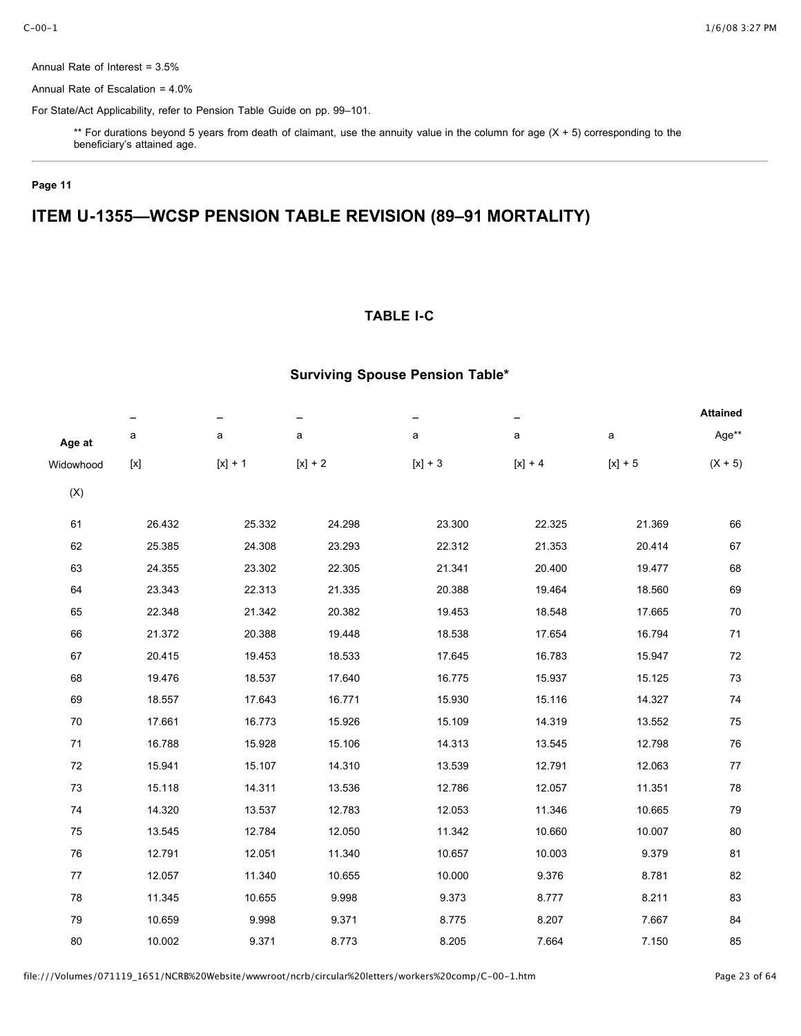Annual Rate of Interest = 3.5%

Annual Rate of Escalation = 4.0%

For State/Act Applicability, refer to Pension Table Guide on pp. 99–101.

\*\* For durations beyond 5 years from death of claimant, use the annuity value in the column for age (X + 5) corresponding to the beneficiary's attained age.

### **Page 11**

# **ITEM U-1355—WCSP PENSION TABLE REVISION (89–91 MORTALITY)**

### **TABLE I-C**

|                |                                                                                                                                                                                                                                                                                                                                                                                                            |           |           |           |             |           | <b>Attained</b> |
|----------------|------------------------------------------------------------------------------------------------------------------------------------------------------------------------------------------------------------------------------------------------------------------------------------------------------------------------------------------------------------------------------------------------------------|-----------|-----------|-----------|-------------|-----------|-----------------|
| Age at         | a                                                                                                                                                                                                                                                                                                                                                                                                          | a         | a         | a         | $\mathsf a$ | a         | Age**           |
| Widowhood      | $[{\mathsf{x}}] % \centering \includegraphics[width=0.5\textwidth]{images/Tr}_{\mathsf{X}}{\mathsf{X}} % \caption{The figure shows the function of the parameter $\mathsf{X}$ for the parameter $\mathsf{X}$. The figure shows the function of the parameter $\mathsf{X}$ for the parameter $\mathsf{X}$. The curve $\mathsf{X}$ is the number of elements of the parameter $\mathsf{X}$.} \label{fig:Tr}$ | $[x] + 1$ | $[x] + 2$ | $[x] + 3$ | $[x] + 4$   | $[x] + 5$ | $(X + 5)$       |
| $(\mathsf{X})$ |                                                                                                                                                                                                                                                                                                                                                                                                            |           |           |           |             |           |                 |
| 61             | 26.432                                                                                                                                                                                                                                                                                                                                                                                                     | 25.332    | 24.298    | 23.300    | 22.325      | 21.369    | 66              |
| 62             | 25.385                                                                                                                                                                                                                                                                                                                                                                                                     | 24.308    | 23.293    | 22.312    | 21.353      | 20.414    | 67              |
| 63             | 24.355                                                                                                                                                                                                                                                                                                                                                                                                     | 23.302    | 22.305    | 21.341    | 20.400      | 19.477    | 68              |
| 64             | 23.343                                                                                                                                                                                                                                                                                                                                                                                                     | 22.313    | 21.335    | 20.388    | 19.464      | 18.560    | 69              |
| 65             | 22.348                                                                                                                                                                                                                                                                                                                                                                                                     | 21.342    | 20.382    | 19.453    | 18.548      | 17.665    | 70              |
| 66             | 21.372                                                                                                                                                                                                                                                                                                                                                                                                     | 20.388    | 19.448    | 18.538    | 17.654      | 16.794    | 71              |
| 67             | 20.415                                                                                                                                                                                                                                                                                                                                                                                                     | 19.453    | 18.533    | 17.645    | 16.783      | 15.947    | 72              |
| 68             | 19.476                                                                                                                                                                                                                                                                                                                                                                                                     | 18.537    | 17.640    | 16.775    | 15.937      | 15.125    | 73              |
| 69             | 18.557                                                                                                                                                                                                                                                                                                                                                                                                     | 17.643    | 16.771    | 15.930    | 15.116      | 14.327    | 74              |
| 70             | 17.661                                                                                                                                                                                                                                                                                                                                                                                                     | 16.773    | 15.926    | 15.109    | 14.319      | 13.552    | 75              |
| 71             | 16.788                                                                                                                                                                                                                                                                                                                                                                                                     | 15.928    | 15.106    | 14.313    | 13.545      | 12.798    | 76              |
| 72             | 15.941                                                                                                                                                                                                                                                                                                                                                                                                     | 15.107    | 14.310    | 13.539    | 12.791      | 12.063    | 77              |
| 73             | 15.118                                                                                                                                                                                                                                                                                                                                                                                                     | 14.311    | 13.536    | 12.786    | 12.057      | 11.351    | 78              |
| 74             | 14.320                                                                                                                                                                                                                                                                                                                                                                                                     | 13.537    | 12.783    | 12.053    | 11.346      | 10.665    | 79              |
| 75             | 13.545                                                                                                                                                                                                                                                                                                                                                                                                     | 12.784    | 12.050    | 11.342    | 10.660      | 10.007    | 80              |
| 76             | 12.791                                                                                                                                                                                                                                                                                                                                                                                                     | 12.051    | 11.340    | 10.657    | 10.003      | 9.379     | 81              |
| 77             | 12.057                                                                                                                                                                                                                                                                                                                                                                                                     | 11.340    | 10.655    | 10.000    | 9.376       | 8.781     | 82              |
| 78             | 11.345                                                                                                                                                                                                                                                                                                                                                                                                     | 10.655    | 9.998     | 9.373     | 8.777       | 8.211     | 83              |
| 79             | 10.659                                                                                                                                                                                                                                                                                                                                                                                                     | 9.998     | 9.371     | 8.775     | 8.207       | 7.667     | 84              |
| 80             | 10.002                                                                                                                                                                                                                                                                                                                                                                                                     | 9.371     | 8.773     | 8.205     | 7.664       | 7.150     | 85              |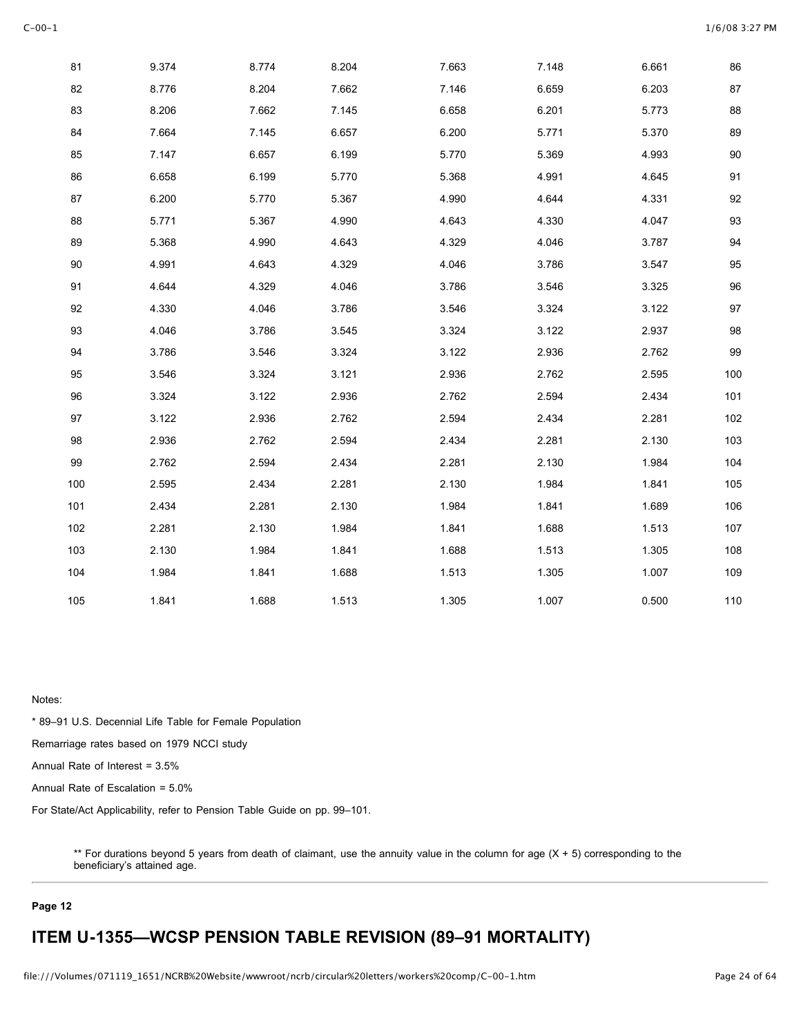| 81  | 9.374 | 8.774 | 8.204 | 7.663 | 7.148 | 6.661 | 86     |
|-----|-------|-------|-------|-------|-------|-------|--------|
| 82  | 8.776 | 8.204 | 7.662 | 7.146 | 6.659 | 6.203 | 87     |
| 83  | 8.206 | 7.662 | 7.145 | 6.658 | 6.201 | 5.773 | 88     |
| 84  | 7.664 | 7.145 | 6.657 | 6.200 | 5.771 | 5.370 | 89     |
| 85  | 7.147 | 6.657 | 6.199 | 5.770 | 5.369 | 4.993 | $90\,$ |
| 86  | 6.658 | 6.199 | 5.770 | 5.368 | 4.991 | 4.645 | 91     |
| 87  | 6.200 | 5.770 | 5.367 | 4.990 | 4.644 | 4.331 | 92     |
| 88  | 5.771 | 5.367 | 4.990 | 4.643 | 4.330 | 4.047 | 93     |
| 89  | 5.368 | 4.990 | 4.643 | 4.329 | 4.046 | 3.787 | 94     |
| 90  | 4.991 | 4.643 | 4.329 | 4.046 | 3.786 | 3.547 | 95     |
| 91  | 4.644 | 4.329 | 4.046 | 3.786 | 3.546 | 3.325 | 96     |
| 92  | 4.330 | 4.046 | 3.786 | 3.546 | 3.324 | 3.122 | 97     |
| 93  | 4.046 | 3.786 | 3.545 | 3.324 | 3.122 | 2.937 | 98     |
| 94  | 3.786 | 3.546 | 3.324 | 3.122 | 2.936 | 2.762 | 99     |
| 95  | 3.546 | 3.324 | 3.121 | 2.936 | 2.762 | 2.595 | 100    |
| 96  | 3.324 | 3.122 | 2.936 | 2.762 | 2.594 | 2.434 | 101    |
| 97  | 3.122 | 2.936 | 2.762 | 2.594 | 2.434 | 2.281 | 102    |
| 98  | 2.936 | 2.762 | 2.594 | 2.434 | 2.281 | 2.130 | 103    |
| 99  | 2.762 | 2.594 | 2.434 | 2.281 | 2.130 | 1.984 | 104    |
| 100 | 2.595 | 2.434 | 2.281 | 2.130 | 1.984 | 1.841 | 105    |
| 101 | 2.434 | 2.281 | 2.130 | 1.984 | 1.841 | 1.689 | 106    |
| 102 | 2.281 | 2.130 | 1.984 | 1.841 | 1.688 | 1.513 | 107    |
| 103 | 2.130 | 1.984 | 1.841 | 1.688 | 1.513 | 1.305 | 108    |
| 104 | 1.984 | 1.841 | 1.688 | 1.513 | 1.305 | 1.007 | 109    |
| 105 | 1.841 | 1.688 | 1.513 | 1.305 | 1.007 | 0.500 | 110    |

\* 89–91 U.S. Decennial Life Table for Female Population

Remarriage rates based on 1979 NCCI study

Annual Rate of Interest = 3.5%

Annual Rate of Escalation = 5.0%

For State/Act Applicability, refer to Pension Table Guide on pp. 99–101.

\*\* For durations beyond 5 years from death of claimant, use the annuity value in the column for age (X + 5) corresponding to the beneficiary's attained age.

#### **Page 12**

# **ITEM U-1355—WCSP PENSION TABLE REVISION (89–91 MORTALITY)**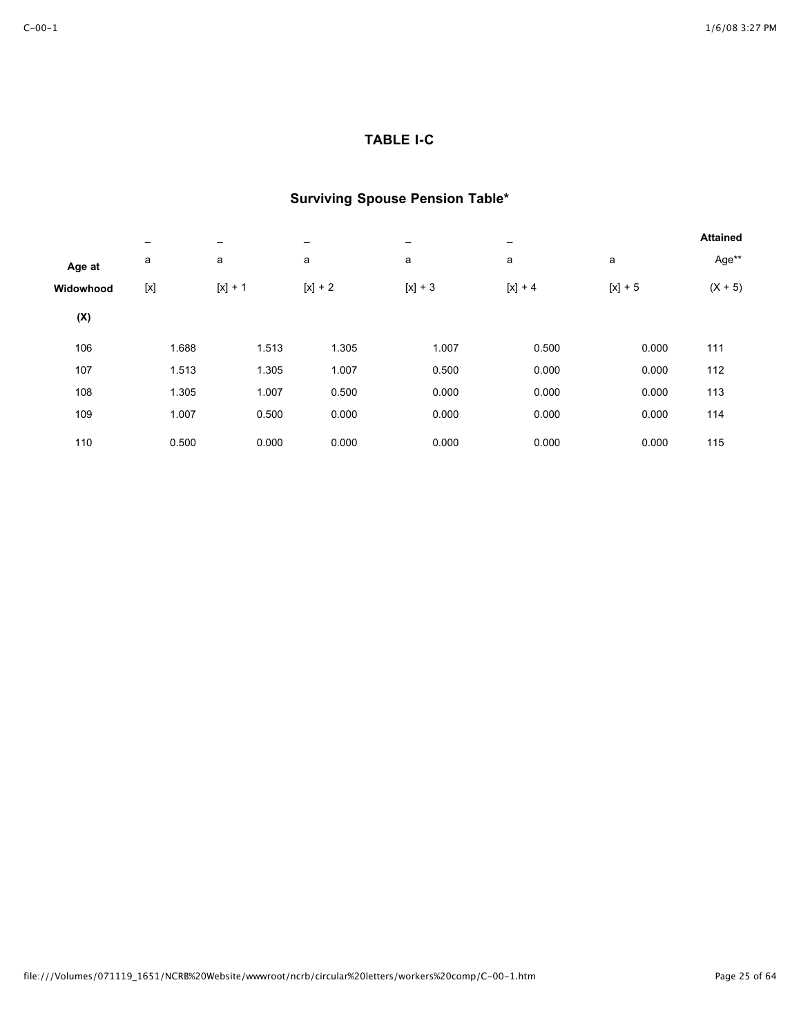## **TABLE I-C**

|           |              |           |           |           | -         |           | <b>Attained</b> |
|-----------|--------------|-----------|-----------|-----------|-----------|-----------|-----------------|
| Age at    | a            | a         | a         | a         | a         | a         | Age**           |
| Widowhood | $[ \times ]$ | $[x] + 1$ | $[x] + 2$ | $[x] + 3$ | $[x] + 4$ | $[x] + 5$ | $(X + 5)$       |
| (X)       |              |           |           |           |           |           |                 |
| 106       | 1.688        | 1.513     | 1.305     | 1.007     | 0.500     | 0.000     | 111             |
| 107       | 1.513        | 1.305     | 1.007     | 0.500     | 0.000     | 0.000     | 112             |
| 108       | 1.305        | 1.007     | 0.500     | 0.000     | 0.000     | 0.000     | 113             |
| 109       | 1.007        | 0.500     | 0.000     | 0.000     | 0.000     | 0.000     | 114             |
| 110       | 0.500        | 0.000     | 0.000     | 0.000     | 0.000     | 0.000     | 115             |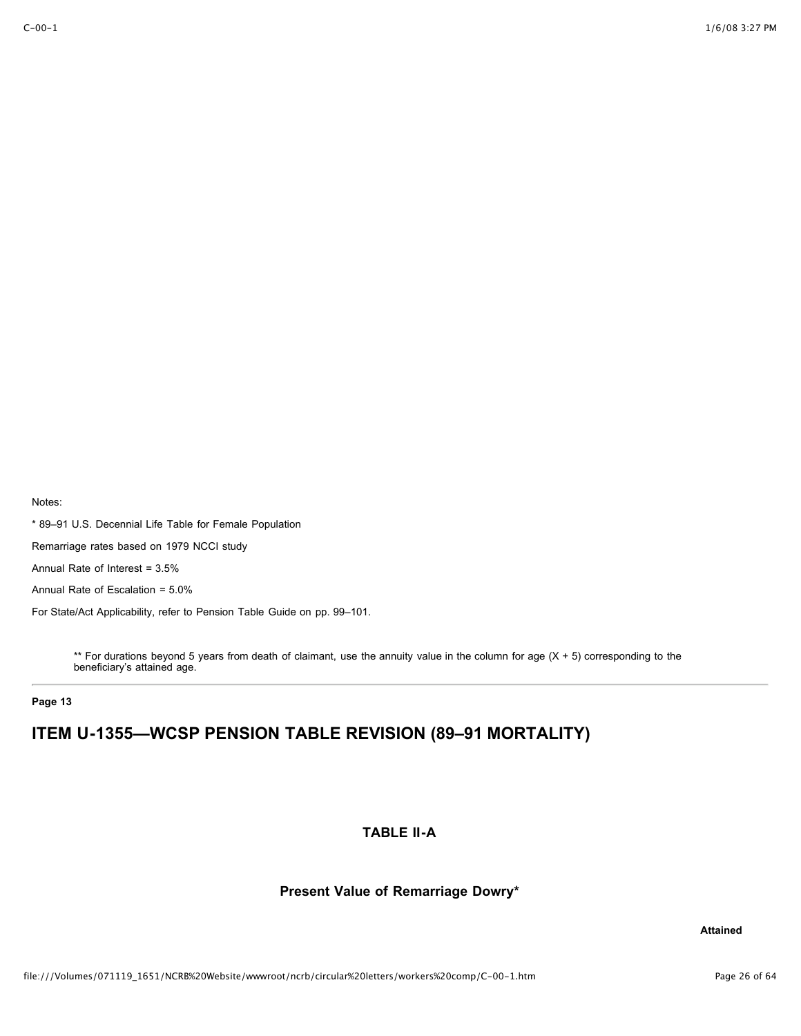\* 89–91 U.S. Decennial Life Table for Female Population

Remarriage rates based on 1979 NCCI study

Annual Rate of Interest = 3.5%

Annual Rate of Escalation = 5.0%

For State/Act Applicability, refer to Pension Table Guide on pp. 99–101.

\*\* For durations beyond 5 years from death of claimant, use the annuity value in the column for age (X + 5) corresponding to the beneficiary's attained age.

**Page 13**

# **ITEM U-1355—WCSP PENSION TABLE REVISION (89–91 MORTALITY)**

### **TABLE II-A**

### **Present Value of Remarriage Dowry\***

**Attained**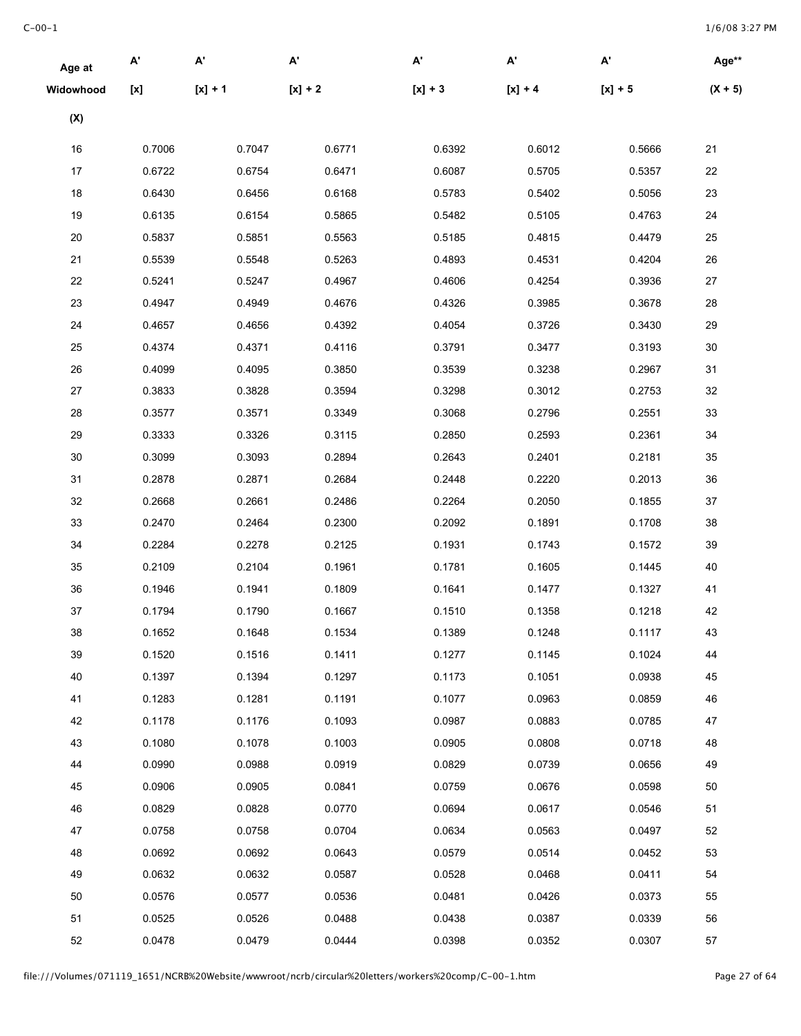| Age at    | А'               | $\mathsf{A}^{\mathsf{r}}$ | A'        | A'        | $\mathbf{A}^{\prime}$ | $\mathsf{A}^{\mathsf{r}}$ | Age**     |
|-----------|------------------|---------------------------|-----------|-----------|-----------------------|---------------------------|-----------|
| Widowhood | $[{\mathsf{x}}]$ | $[x] + 1$                 | $[x] + 2$ | $[x] + 3$ | $[x] + 4$             | $[x] + 5$                 | $(X + 5)$ |
| (X)       |                  |                           |           |           |                       |                           |           |
| 16        | 0.7006           | 0.7047                    | 0.6771    | 0.6392    | 0.6012                | 0.5666                    | 21        |
| 17        | 0.6722           | 0.6754                    | 0.6471    | 0.6087    | 0.5705                | 0.5357                    | 22        |
| 18        | 0.6430           | 0.6456                    | 0.6168    | 0.5783    | 0.5402                | 0.5056                    | 23        |
| 19        | 0.6135           | 0.6154                    | 0.5865    | 0.5482    | 0.5105                | 0.4763                    | 24        |
| 20        | 0.5837           | 0.5851                    | 0.5563    | 0.5185    | 0.4815                | 0.4479                    | 25        |
| 21        | 0.5539           | 0.5548                    | 0.5263    | 0.4893    | 0.4531                | 0.4204                    | 26        |
| 22        | 0.5241           | 0.5247                    | 0.4967    | 0.4606    | 0.4254                | 0.3936                    | 27        |
| 23        | 0.4947           | 0.4949                    | 0.4676    | 0.4326    | 0.3985                | 0.3678                    | 28        |
| 24        | 0.4657           | 0.4656                    | 0.4392    | 0.4054    | 0.3726                | 0.3430                    | 29        |
| 25        | 0.4374           | 0.4371                    | 0.4116    | 0.3791    | 0.3477                | 0.3193                    | 30        |
| 26        | 0.4099           | 0.4095                    | 0.3850    | 0.3539    | 0.3238                | 0.2967                    | 31        |
| 27        | 0.3833           | 0.3828                    | 0.3594    | 0.3298    | 0.3012                | 0.2753                    | 32        |
| 28        | 0.3577           | 0.3571                    | 0.3349    | 0.3068    | 0.2796                | 0.2551                    | 33        |
| 29        | 0.3333           | 0.3326                    | 0.3115    | 0.2850    | 0.2593                | 0.2361                    | 34        |
| 30        | 0.3099           | 0.3093                    | 0.2894    | 0.2643    | 0.2401                | 0.2181                    | 35        |
| 31        | 0.2878           | 0.2871                    | 0.2684    | 0.2448    | 0.2220                | 0.2013                    | 36        |
| 32        | 0.2668           | 0.2661                    | 0.2486    | 0.2264    | 0.2050                | 0.1855                    | 37        |
| 33        | 0.2470           | 0.2464                    | 0.2300    | 0.2092    | 0.1891                | 0.1708                    | 38        |
| 34        | 0.2284           | 0.2278                    | 0.2125    | 0.1931    | 0.1743                | 0.1572                    | 39        |
| 35        | 0.2109           | 0.2104                    | 0.1961    | 0.1781    | 0.1605                | 0.1445                    | 40        |
| 36        | 0.1946           | 0.1941                    | 0.1809    | 0.1641    | 0.1477                | 0.1327                    | 41        |
| 37        | 0.1794           | 0.1790                    | 0.1667    | 0.1510    | 0.1358                | 0.1218                    | 42        |
| 38        | 0.1652           | 0.1648                    | 0.1534    | 0.1389    | 0.1248                | 0.1117                    | 43        |
| 39        | 0.1520           | 0.1516                    | 0.1411    | 0.1277    | 0.1145                | 0.1024                    | 44        |
| 40        | 0.1397           | 0.1394                    | 0.1297    | 0.1173    | 0.1051                | 0.0938                    | 45        |
| 41        | 0.1283           | 0.1281                    | 0.1191    | 0.1077    | 0.0963                | 0.0859                    | 46        |
| 42        | 0.1178           | 0.1176                    | 0.1093    | 0.0987    | 0.0883                | 0.0785                    | 47        |
| 43        | 0.1080           | 0.1078                    | 0.1003    | 0.0905    | 0.0808                | 0.0718                    | 48        |
| 44        | 0.0990           | 0.0988                    | 0.0919    | 0.0829    | 0.0739                | 0.0656                    | 49        |
| 45        | 0.0906           | 0.0905                    | 0.0841    | 0.0759    | 0.0676                | 0.0598                    | 50        |
| 46        | 0.0829           | 0.0828                    | 0.0770    | 0.0694    | 0.0617                | 0.0546                    | 51        |
| 47        | 0.0758           | 0.0758                    | 0.0704    | 0.0634    | 0.0563                | 0.0497                    | 52        |
| 48        | 0.0692           | 0.0692                    | 0.0643    | 0.0579    | 0.0514                | 0.0452                    | 53        |
| 49        | 0.0632           | 0.0632                    | 0.0587    | 0.0528    | 0.0468                | 0.0411                    | 54        |
| 50        | 0.0576           | 0.0577                    | 0.0536    | 0.0481    | 0.0426                | 0.0373                    | 55        |
| 51        | 0.0525           | 0.0526                    | 0.0488    | 0.0438    | 0.0387                | 0.0339                    | 56        |
| 52        | 0.0478           | 0.0479                    | 0.0444    | 0.0398    | 0.0352                | 0.0307                    | 57        |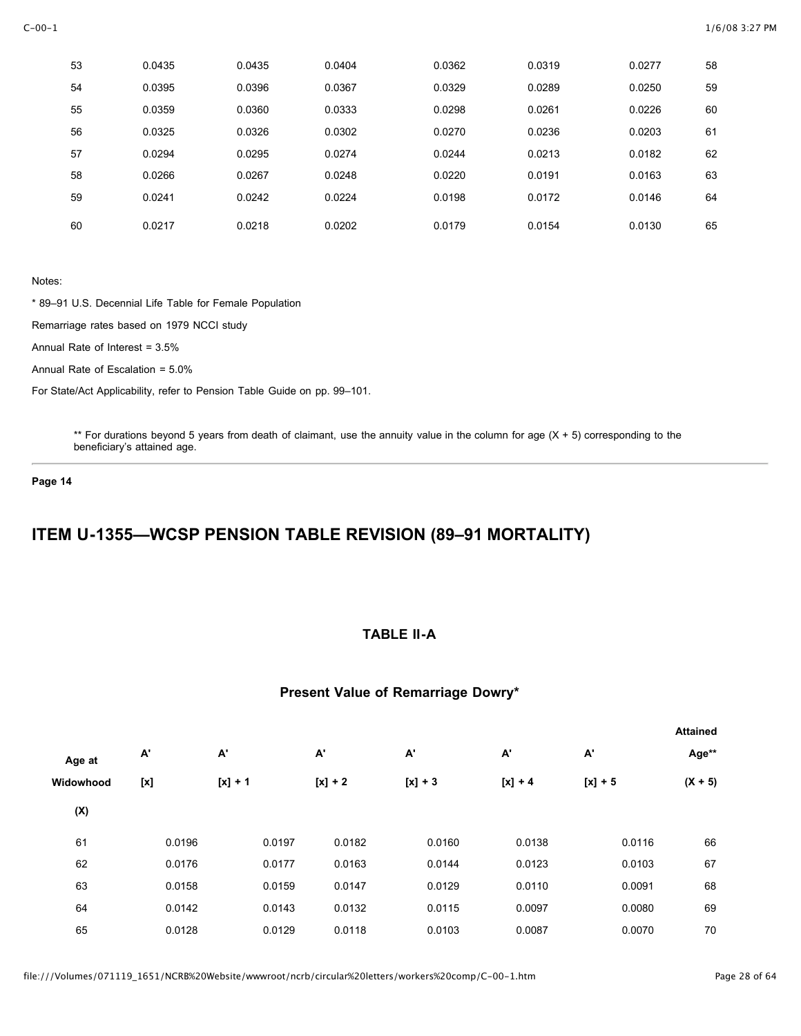| 53 | 0.0435 | 0.0435 | 0.0404 | 0.0362 | 0.0319 | 0.0277 | 58 |
|----|--------|--------|--------|--------|--------|--------|----|
| 54 | 0.0395 | 0.0396 | 0.0367 | 0.0329 | 0.0289 | 0.0250 | 59 |
| 55 | 0.0359 | 0.0360 | 0.0333 | 0.0298 | 0.0261 | 0.0226 | 60 |
| 56 | 0.0325 | 0.0326 | 0.0302 | 0.0270 | 0.0236 | 0.0203 | 61 |
| 57 | 0.0294 | 0.0295 | 0.0274 | 0.0244 | 0.0213 | 0.0182 | 62 |
| 58 | 0.0266 | 0.0267 | 0.0248 | 0.0220 | 0.0191 | 0.0163 | 63 |
| 59 | 0.0241 | 0.0242 | 0.0224 | 0.0198 | 0.0172 | 0.0146 | 64 |
| 60 | 0.0217 | 0.0218 | 0.0202 | 0.0179 | 0.0154 | 0.0130 | 65 |

\* 89–91 U.S. Decennial Life Table for Female Population

Remarriage rates based on 1979 NCCI study

Annual Rate of Interest = 3.5%

Annual Rate of Escalation = 5.0%

For State/Act Applicability, refer to Pension Table Guide on pp. 99–101.

\*\* For durations beyond 5 years from death of claimant, use the annuity value in the column for age  $(X + 5)$  corresponding to the beneficiary's attained age.

**Page 14**

# **ITEM U-1355—WCSP PENSION TABLE REVISION (89–91 MORTALITY)**

## **TABLE II-A**

### **Present Value of Remarriage Dowry\***

|           |                  |           |           |           |           |           | <b>Attained</b> |
|-----------|------------------|-----------|-----------|-----------|-----------|-----------|-----------------|
| Age at    | А'               | А'        | А'        | А'        | А'        | A'        | Age**           |
| Widowhood | $[{\mathsf{x}}]$ | $[x] + 1$ | $[x] + 2$ | $[x] + 3$ | $[x] + 4$ | $[x] + 5$ | $(X + 5)$       |
| (X)       |                  |           |           |           |           |           |                 |
| 61        | 0.0196           | 0.0197    | 0.0182    | 0.0160    | 0.0138    | 0.0116    | 66              |
| 62        | 0.0176           | 0.0177    | 0.0163    | 0.0144    | 0.0123    | 0.0103    | 67              |
| 63        | 0.0158           | 0.0159    | 0.0147    | 0.0129    | 0.0110    | 0.0091    | 68              |
| 64        | 0.0142           | 0.0143    | 0.0132    | 0.0115    | 0.0097    | 0.0080    | 69              |
| 65        | 0.0128           | 0.0129    | 0.0118    | 0.0103    | 0.0087    | 0.0070    | 70              |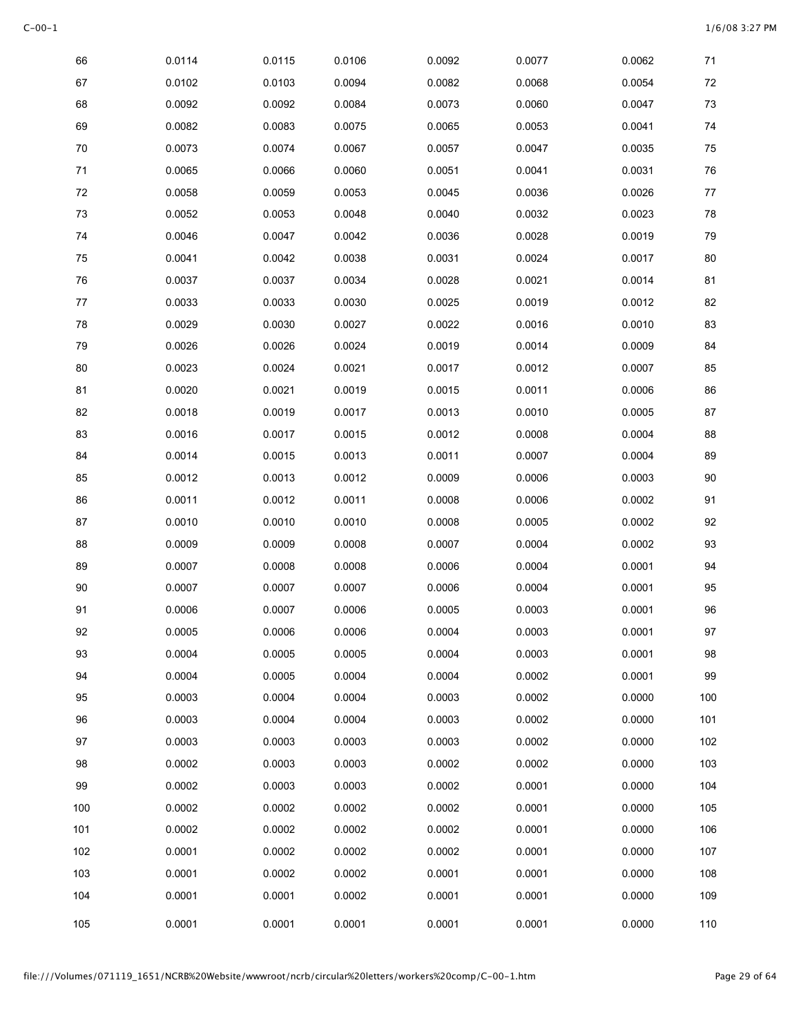| 66     | 0.0114 | 0.0115 | 0.0106 | 0.0092 | 0.0077 | 0.0062 | $71$   |
|--------|--------|--------|--------|--------|--------|--------|--------|
| 67     | 0.0102 | 0.0103 | 0.0094 | 0.0082 | 0.0068 | 0.0054 | $72\,$ |
| 68     | 0.0092 | 0.0092 | 0.0084 | 0.0073 | 0.0060 | 0.0047 | 73     |
| 69     | 0.0082 | 0.0083 | 0.0075 | 0.0065 | 0.0053 | 0.0041 | 74     |
| 70     | 0.0073 | 0.0074 | 0.0067 | 0.0057 | 0.0047 | 0.0035 | 75     |
| $71$   | 0.0065 | 0.0066 | 0.0060 | 0.0051 | 0.0041 | 0.0031 | 76     |
| $72\,$ | 0.0058 | 0.0059 | 0.0053 | 0.0045 | 0.0036 | 0.0026 | 77     |
| 73     | 0.0052 | 0.0053 | 0.0048 | 0.0040 | 0.0032 | 0.0023 | 78     |
| 74     | 0.0046 | 0.0047 | 0.0042 | 0.0036 | 0.0028 | 0.0019 | 79     |
| 75     | 0.0041 | 0.0042 | 0.0038 | 0.0031 | 0.0024 | 0.0017 | 80     |
| 76     | 0.0037 | 0.0037 | 0.0034 | 0.0028 | 0.0021 | 0.0014 | 81     |
| 77     | 0.0033 | 0.0033 | 0.0030 | 0.0025 | 0.0019 | 0.0012 | 82     |
| 78     | 0.0029 | 0.0030 | 0.0027 | 0.0022 | 0.0016 | 0.0010 | 83     |
| 79     | 0.0026 | 0.0026 | 0.0024 | 0.0019 | 0.0014 | 0.0009 | 84     |
| 80     | 0.0023 | 0.0024 | 0.0021 | 0.0017 | 0.0012 | 0.0007 | 85     |
| 81     | 0.0020 | 0.0021 | 0.0019 | 0.0015 | 0.0011 | 0.0006 | 86     |
| 82     | 0.0018 | 0.0019 | 0.0017 | 0.0013 | 0.0010 | 0.0005 | 87     |
| 83     | 0.0016 | 0.0017 | 0.0015 | 0.0012 | 0.0008 | 0.0004 | 88     |
| 84     | 0.0014 | 0.0015 | 0.0013 | 0.0011 | 0.0007 | 0.0004 | 89     |
| 85     | 0.0012 | 0.0013 | 0.0012 | 0.0009 | 0.0006 | 0.0003 | 90     |
| 86     | 0.0011 | 0.0012 | 0.0011 | 0.0008 | 0.0006 | 0.0002 | 91     |
| 87     | 0.0010 | 0.0010 | 0.0010 | 0.0008 | 0.0005 | 0.0002 | 92     |
| 88     | 0.0009 | 0.0009 | 0.0008 | 0.0007 | 0.0004 | 0.0002 | 93     |
| 89     | 0.0007 | 0.0008 | 0.0008 | 0.0006 | 0.0004 | 0.0001 | 94     |
| 90     | 0.0007 | 0.0007 | 0.0007 | 0.0006 | 0.0004 | 0.0001 | 95     |
| 91     | 0.0006 | 0.0007 | 0.0006 | 0.0005 | 0.0003 | 0.0001 | 96     |
| 92     | 0.0005 | 0.0006 | 0.0006 | 0.0004 | 0.0003 | 0.0001 | 97     |
| 93     | 0.0004 | 0.0005 | 0.0005 | 0.0004 | 0.0003 | 0.0001 | 98     |
| 94     | 0.0004 | 0.0005 | 0.0004 | 0.0004 | 0.0002 | 0.0001 | 99     |
| 95     | 0.0003 | 0.0004 | 0.0004 | 0.0003 | 0.0002 | 0.0000 | 100    |
| 96     | 0.0003 | 0.0004 | 0.0004 | 0.0003 | 0.0002 | 0.0000 | 101    |
| 97     | 0.0003 | 0.0003 | 0.0003 | 0.0003 | 0.0002 | 0.0000 | 102    |
| 98     | 0.0002 | 0.0003 | 0.0003 | 0.0002 | 0.0002 | 0.0000 | 103    |
| 99     | 0.0002 | 0.0003 | 0.0003 | 0.0002 | 0.0001 | 0.0000 | 104    |
| 100    | 0.0002 | 0.0002 | 0.0002 | 0.0002 | 0.0001 | 0.0000 | 105    |
| 101    | 0.0002 | 0.0002 | 0.0002 | 0.0002 | 0.0001 | 0.0000 | 106    |
| 102    | 0.0001 | 0.0002 | 0.0002 | 0.0002 | 0.0001 | 0.0000 | 107    |
| 103    | 0.0001 | 0.0002 | 0.0002 | 0.0001 | 0.0001 | 0.0000 | 108    |
| 104    | 0.0001 | 0.0001 | 0.0002 | 0.0001 | 0.0001 | 0.0000 | 109    |
| 105    | 0.0001 | 0.0001 | 0.0001 | 0.0001 | 0.0001 | 0.0000 | 110    |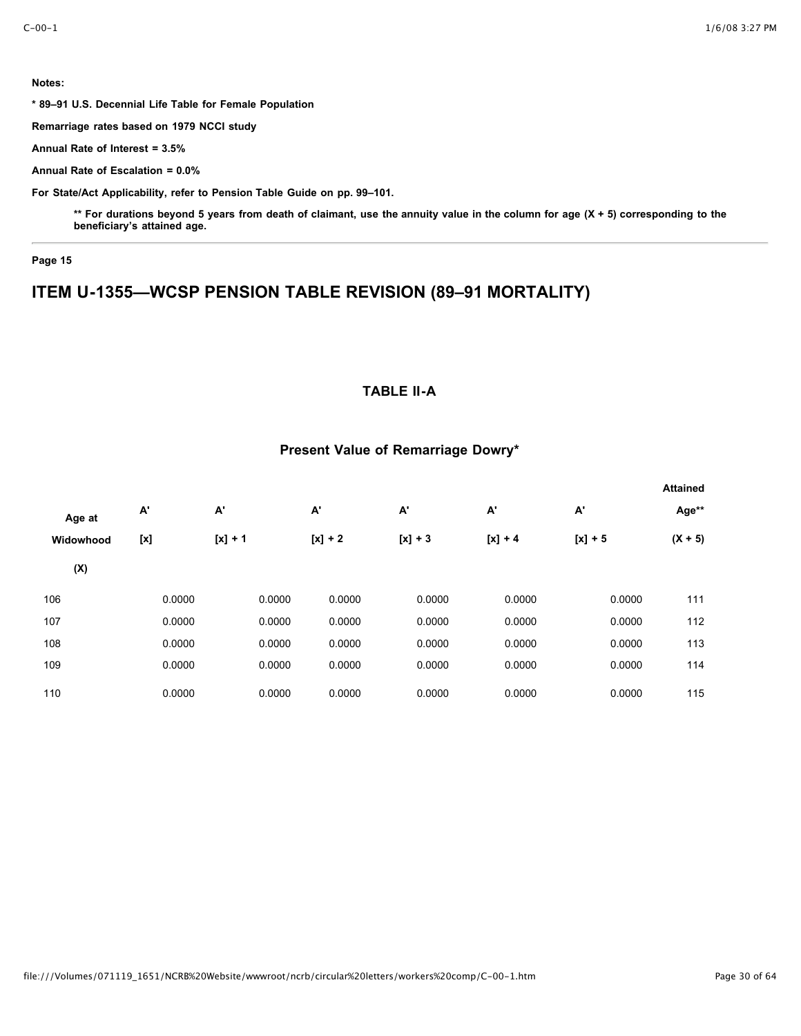**\* 89–91 U.S. Decennial Life Table for Female Population**

**Remarriage rates based on 1979 NCCI study**

**Annual Rate of Interest = 3.5%**

**Annual Rate of Escalation = 0.0%**

**For State/Act Applicability, refer to Pension Table Guide on pp. 99–101.**

**\*\* For durations beyond 5 years from death of claimant, use the annuity value in the column for age (X + 5) corresponding to the beneficiary's attained age.**

### **Page 15**

# **ITEM U-1355—WCSP PENSION TABLE REVISION (89–91 MORTALITY)**

## **TABLE II-A**

### **Present Value of Remarriage Dowry\***

|           |                  |           |           |           |           |           | <b>Attained</b> |
|-----------|------------------|-----------|-----------|-----------|-----------|-----------|-----------------|
| Age at    | А'               | А'        | A'        | А'        | A'        | А'        | Age**           |
| Widowhood | $[{\mathsf{x}}]$ | $[x] + 1$ | $[x] + 2$ | $[x] + 3$ | $[x] + 4$ | $[x] + 5$ | $(X + 5)$       |
| (X)       |                  |           |           |           |           |           |                 |
| 106       | 0.0000           | 0.0000    | 0.0000    | 0.0000    | 0.0000    | 0.0000    | 111             |
| 107       | 0.0000           | 0.0000    | 0.0000    | 0.0000    | 0.0000    | 0.0000    | 112             |
| 108       | 0.0000           | 0.0000    | 0.0000    | 0.0000    | 0.0000    | 0.0000    | 113             |
| 109       | 0.0000           | 0.0000    | 0.0000    | 0.0000    | 0.0000    | 0.0000    | 114             |
| 110       | 0.0000           | 0.0000    | 0.0000    | 0.0000    | 0.0000    | 0.0000    | 115             |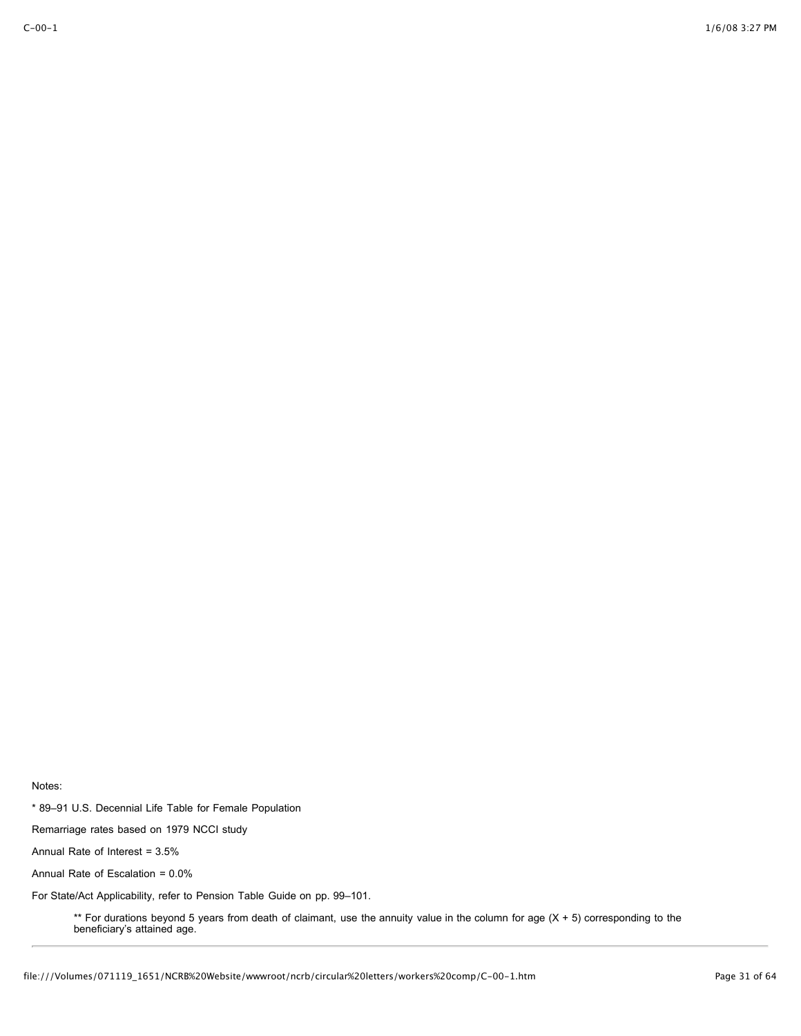\* 89–91 U.S. Decennial Life Table for Female Population

Remarriage rates based on 1979 NCCI study

Annual Rate of Interest = 3.5%

Annual Rate of Escalation = 0.0%

For State/Act Applicability, refer to Pension Table Guide on pp. 99–101.

\*\* For durations beyond 5 years from death of claimant, use the annuity value in the column for age (X + 5) corresponding to the beneficiary's attained age.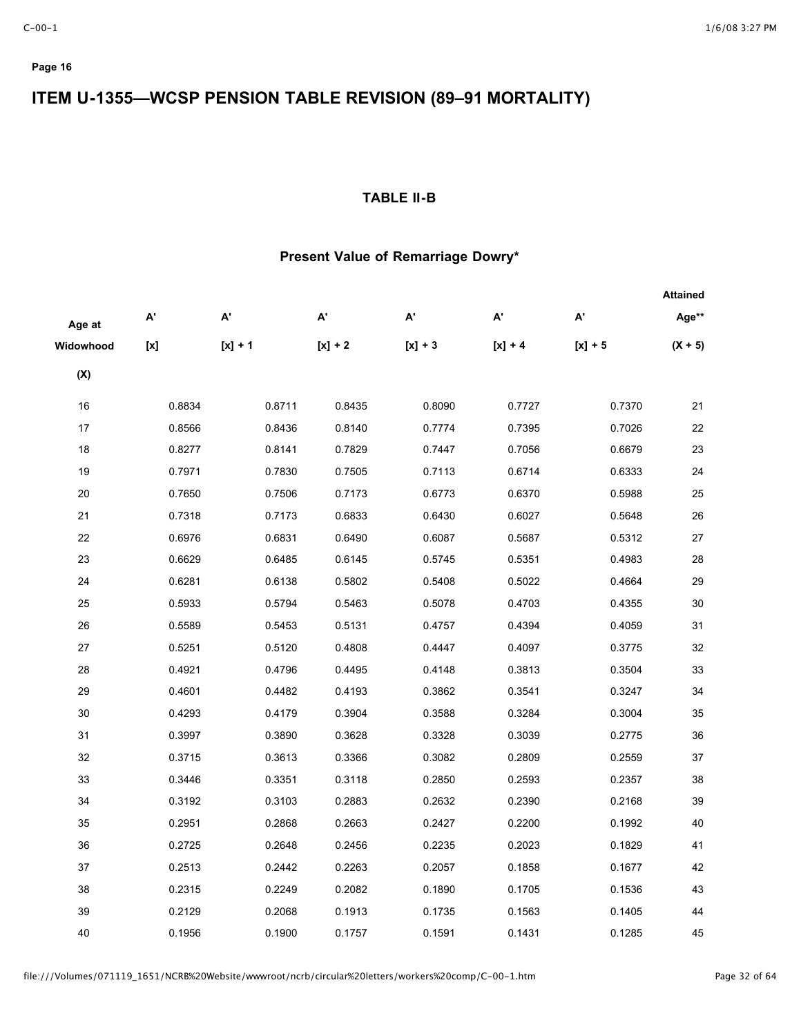# **ITEM U-1355—WCSP PENSION TABLE REVISION (89–91 MORTALITY)**

## **TABLE II-B**

## **Present Value of Remarriage Dowry\***

|           |                                                                                                                                                                                                                                                                                                                                                                                                                                                                                                                                        |           |           |           |           |                           | <b>Attained</b> |
|-----------|----------------------------------------------------------------------------------------------------------------------------------------------------------------------------------------------------------------------------------------------------------------------------------------------------------------------------------------------------------------------------------------------------------------------------------------------------------------------------------------------------------------------------------------|-----------|-----------|-----------|-----------|---------------------------|-----------------|
| Age at    | A'                                                                                                                                                                                                                                                                                                                                                                                                                                                                                                                                     | А'        | А'        | А'        | А'        | $\mathsf{A}^{\mathsf{r}}$ | Age**           |
| Widowhood | $\left[ \mathsf{x}\right] % &=& \mathsf{h} \left[ \mathsf{x}\right] =\left[ \mathsf{x}\right] =\left[ \mathsf{x}\right] =\left[ \mathsf{x}\right] =\left[ \mathsf{x}\right] =\left[ \mathsf{x}\right] =\left[ \mathsf{x}\right] =\left[ \mathsf{x}\right] =\left[ \mathsf{x}\right] =\left[ \mathsf{x}\right] =\left[ \mathsf{x}\right] =\left[ \mathsf{x}\right] =\left[ \mathsf{x}\right] =\left[ \mathsf{x}\right] =\left[ \mathsf{x}\right] =\left[ \mathsf{x}\right] =\left[ \mathsf{x}\right] =\left[ \mathsf{x}\right] =\left[$ | $[x] + 1$ | $[x] + 2$ | $[x] + 3$ | $[x] + 4$ | $[x] + 5$                 | $(X + 5)$       |
| (X)       |                                                                                                                                                                                                                                                                                                                                                                                                                                                                                                                                        |           |           |           |           |                           |                 |
| 16        | 0.8834                                                                                                                                                                                                                                                                                                                                                                                                                                                                                                                                 | 0.8711    | 0.8435    | 0.8090    | 0.7727    | 0.7370                    | 21              |
| 17        | 0.8566                                                                                                                                                                                                                                                                                                                                                                                                                                                                                                                                 | 0.8436    | 0.8140    | 0.7774    | 0.7395    | 0.7026                    | 22              |
| 18        | 0.8277                                                                                                                                                                                                                                                                                                                                                                                                                                                                                                                                 | 0.8141    | 0.7829    | 0.7447    | 0.7056    | 0.6679                    | 23              |
| 19        | 0.7971                                                                                                                                                                                                                                                                                                                                                                                                                                                                                                                                 | 0.7830    | 0.7505    | 0.7113    | 0.6714    | 0.6333                    | 24              |
| 20        | 0.7650                                                                                                                                                                                                                                                                                                                                                                                                                                                                                                                                 | 0.7506    | 0.7173    | 0.6773    | 0.6370    | 0.5988                    | 25              |
| 21        | 0.7318                                                                                                                                                                                                                                                                                                                                                                                                                                                                                                                                 | 0.7173    | 0.6833    | 0.6430    | 0.6027    | 0.5648                    | 26              |
| 22        | 0.6976                                                                                                                                                                                                                                                                                                                                                                                                                                                                                                                                 | 0.6831    | 0.6490    | 0.6087    | 0.5687    | 0.5312                    | 27              |
| 23        | 0.6629                                                                                                                                                                                                                                                                                                                                                                                                                                                                                                                                 | 0.6485    | 0.6145    | 0.5745    | 0.5351    | 0.4983                    | 28              |
| 24        | 0.6281                                                                                                                                                                                                                                                                                                                                                                                                                                                                                                                                 | 0.6138    | 0.5802    | 0.5408    | 0.5022    | 0.4664                    | 29              |
| 25        | 0.5933                                                                                                                                                                                                                                                                                                                                                                                                                                                                                                                                 | 0.5794    | 0.5463    | 0.5078    | 0.4703    | 0.4355                    | 30              |
| 26        | 0.5589                                                                                                                                                                                                                                                                                                                                                                                                                                                                                                                                 | 0.5453    | 0.5131    | 0.4757    | 0.4394    | 0.4059                    | 31              |
| 27        | 0.5251                                                                                                                                                                                                                                                                                                                                                                                                                                                                                                                                 | 0.5120    | 0.4808    | 0.4447    | 0.4097    | 0.3775                    | 32              |
| 28        | 0.4921                                                                                                                                                                                                                                                                                                                                                                                                                                                                                                                                 | 0.4796    | 0.4495    | 0.4148    | 0.3813    | 0.3504                    | 33              |
| 29        | 0.4601                                                                                                                                                                                                                                                                                                                                                                                                                                                                                                                                 | 0.4482    | 0.4193    | 0.3862    | 0.3541    | 0.3247                    | 34              |
| 30        | 0.4293                                                                                                                                                                                                                                                                                                                                                                                                                                                                                                                                 | 0.4179    | 0.3904    | 0.3588    | 0.3284    | 0.3004                    | 35              |
| 31        | 0.3997                                                                                                                                                                                                                                                                                                                                                                                                                                                                                                                                 | 0.3890    | 0.3628    | 0.3328    | 0.3039    | 0.2775                    | 36              |
| 32        | 0.3715                                                                                                                                                                                                                                                                                                                                                                                                                                                                                                                                 | 0.3613    | 0.3366    | 0.3082    | 0.2809    | 0.2559                    | 37              |
| 33        | 0.3446                                                                                                                                                                                                                                                                                                                                                                                                                                                                                                                                 | 0.3351    | 0.3118    | 0.2850    | 0.2593    | 0.2357                    | 38              |
| 34        | 0.3192                                                                                                                                                                                                                                                                                                                                                                                                                                                                                                                                 | 0.3103    | 0.2883    | 0.2632    | 0.2390    | 0.2168                    | 39              |
| 35        | 0.2951                                                                                                                                                                                                                                                                                                                                                                                                                                                                                                                                 | 0.2868    | 0.2663    | 0.2427    | 0.2200    | 0.1992                    | 40              |
| 36        | 0.2725                                                                                                                                                                                                                                                                                                                                                                                                                                                                                                                                 | 0.2648    | 0.2456    | 0.2235    | 0.2023    | 0.1829                    | 41              |
| 37        | 0.2513                                                                                                                                                                                                                                                                                                                                                                                                                                                                                                                                 | 0.2442    | 0.2263    | 0.2057    | 0.1858    | 0.1677                    | 42              |
| 38        | 0.2315                                                                                                                                                                                                                                                                                                                                                                                                                                                                                                                                 | 0.2249    | 0.2082    | 0.1890    | 0.1705    | 0.1536                    | 43              |
| 39        | 0.2129                                                                                                                                                                                                                                                                                                                                                                                                                                                                                                                                 | 0.2068    | 0.1913    | 0.1735    | 0.1563    | 0.1405                    | 44              |
| 40        | 0.1956                                                                                                                                                                                                                                                                                                                                                                                                                                                                                                                                 | 0.1900    | 0.1757    | 0.1591    | 0.1431    | 0.1285                    | 45              |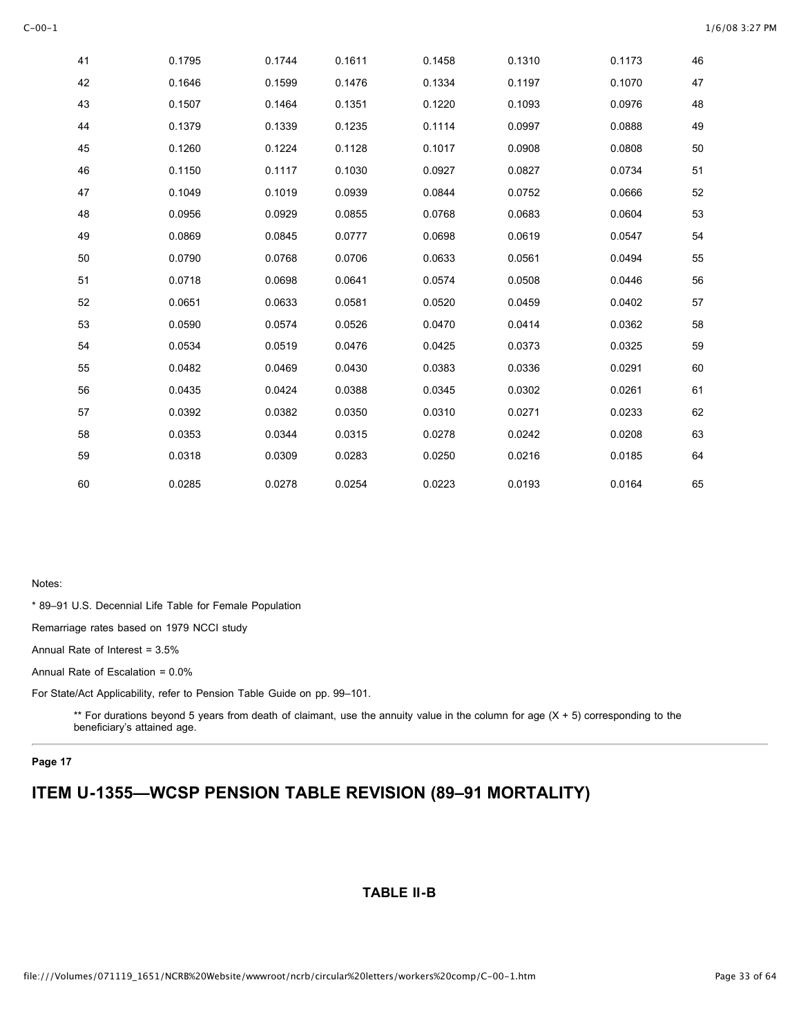| 41 | 0.1795 | 0.1744 | 0.1611 | 0.1458 | 0.1310 | 0.1173 | 46 |
|----|--------|--------|--------|--------|--------|--------|----|
| 42 | 0.1646 | 0.1599 | 0.1476 | 0.1334 | 0.1197 | 0.1070 | 47 |
| 43 | 0.1507 | 0.1464 | 0.1351 | 0.1220 | 0.1093 | 0.0976 | 48 |
| 44 | 0.1379 | 0.1339 | 0.1235 | 0.1114 | 0.0997 | 0.0888 | 49 |
| 45 | 0.1260 | 0.1224 | 0.1128 | 0.1017 | 0.0908 | 0.0808 | 50 |
| 46 | 0.1150 | 0.1117 | 0.1030 | 0.0927 | 0.0827 | 0.0734 | 51 |
| 47 | 0.1049 | 0.1019 | 0.0939 | 0.0844 | 0.0752 | 0.0666 | 52 |
| 48 | 0.0956 | 0.0929 | 0.0855 | 0.0768 | 0.0683 | 0.0604 | 53 |
| 49 | 0.0869 | 0.0845 | 0.0777 | 0.0698 | 0.0619 | 0.0547 | 54 |
| 50 | 0.0790 | 0.0768 | 0.0706 | 0.0633 | 0.0561 | 0.0494 | 55 |
| 51 | 0.0718 | 0.0698 | 0.0641 | 0.0574 | 0.0508 | 0.0446 | 56 |
| 52 | 0.0651 | 0.0633 | 0.0581 | 0.0520 | 0.0459 | 0.0402 | 57 |
| 53 | 0.0590 | 0.0574 | 0.0526 | 0.0470 | 0.0414 | 0.0362 | 58 |
| 54 | 0.0534 | 0.0519 | 0.0476 | 0.0425 | 0.0373 | 0.0325 | 59 |
| 55 | 0.0482 | 0.0469 | 0.0430 | 0.0383 | 0.0336 | 0.0291 | 60 |
| 56 | 0.0435 | 0.0424 | 0.0388 | 0.0345 | 0.0302 | 0.0261 | 61 |
| 57 | 0.0392 | 0.0382 | 0.0350 | 0.0310 | 0.0271 | 0.0233 | 62 |
| 58 | 0.0353 | 0.0344 | 0.0315 | 0.0278 | 0.0242 | 0.0208 | 63 |
| 59 | 0.0318 | 0.0309 | 0.0283 | 0.0250 | 0.0216 | 0.0185 | 64 |
| 60 | 0.0285 | 0.0278 | 0.0254 | 0.0223 | 0.0193 | 0.0164 | 65 |

\* 89–91 U.S. Decennial Life Table for Female Population

Remarriage rates based on 1979 NCCI study

Annual Rate of Interest = 3.5%

Annual Rate of Escalation = 0.0%

For State/Act Applicability, refer to Pension Table Guide on pp. 99–101.

\*\* For durations beyond 5 years from death of claimant, use the annuity value in the column for age (X + 5) corresponding to the beneficiary's attained age.

#### **Page 17**

# **ITEM U-1355—WCSP PENSION TABLE REVISION (89–91 MORTALITY)**

## **TABLE II-B**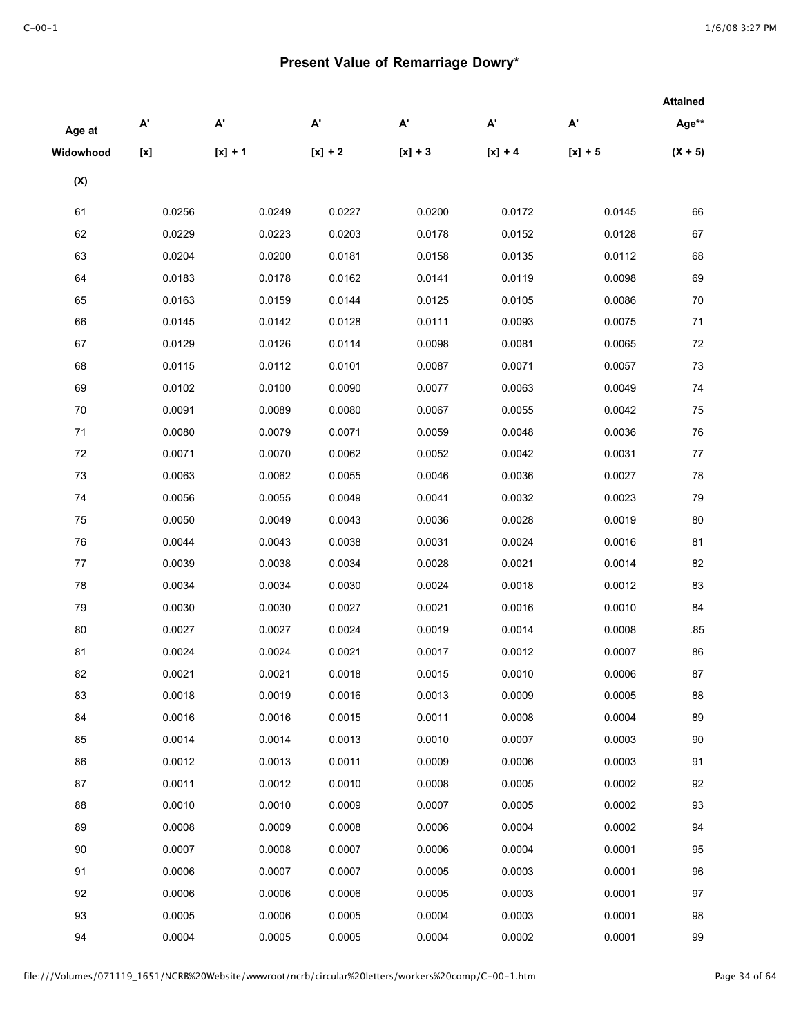## **Present Value of Remarriage Dowry\***

|                |                           |                           |                       |           |                           |                           | <b>Attained</b> |
|----------------|---------------------------|---------------------------|-----------------------|-----------|---------------------------|---------------------------|-----------------|
| Age at         | $\mathsf{A}^{\mathsf{r}}$ | $\mathsf{A}^{\mathsf{r}}$ | $\mathbf{A}^{\prime}$ | A'        | $\mathsf{A}^{\mathsf{r}}$ | $\mathsf{A}^{\mathsf{r}}$ | Age**           |
| Widowhood      | [x]                       | $[x] + 1$                 | $[x] + 2$             | $[x] + 3$ | $[x] + 4$                 | $[x] + 5$                 | $(X + 5)$       |
| $(\mathsf{X})$ |                           |                           |                       |           |                           |                           |                 |
| 61             | 0.0256                    | 0.0249                    | 0.0227                | 0.0200    | 0.0172                    | 0.0145                    | 66              |
| 62             | 0.0229                    | 0.0223                    | 0.0203                | 0.0178    | 0.0152                    | 0.0128                    | 67              |
| 63             | 0.0204                    | 0.0200                    | 0.0181                | 0.0158    | 0.0135                    | 0.0112                    | 68              |
| 64             | 0.0183                    | 0.0178                    | 0.0162                | 0.0141    | 0.0119                    | 0.0098                    | 69              |
| 65             | 0.0163                    | 0.0159                    | 0.0144                | 0.0125    | 0.0105                    | 0.0086                    | 70              |
| 66             | 0.0145                    | 0.0142                    | 0.0128                | 0.0111    | 0.0093                    | 0.0075                    | 71              |
| 67             | 0.0129                    | 0.0126                    | 0.0114                | 0.0098    | 0.0081                    | 0.0065                    | 72              |
| 68             | 0.0115                    | 0.0112                    | 0.0101                | 0.0087    | 0.0071                    | 0.0057                    | 73              |
| 69             | 0.0102                    | 0.0100                    | 0.0090                | 0.0077    | 0.0063                    | 0.0049                    | 74              |
| 70             | 0.0091                    | 0.0089                    | 0.0080                | 0.0067    | 0.0055                    | 0.0042                    | 75              |
| 71             | 0.0080                    | 0.0079                    | 0.0071                | 0.0059    | 0.0048                    | 0.0036                    | 76              |
| 72             | 0.0071                    | 0.0070                    | 0.0062                | 0.0052    | 0.0042                    | 0.0031                    | 77              |
| 73             | 0.0063                    | 0.0062                    | 0.0055                | 0.0046    | 0.0036                    | 0.0027                    | 78              |
| 74             | 0.0056                    | 0.0055                    | 0.0049                | 0.0041    | 0.0032                    | 0.0023                    | 79              |
| 75             | 0.0050                    | 0.0049                    | 0.0043                | 0.0036    | 0.0028                    | 0.0019                    | 80              |
| 76             | 0.0044                    | 0.0043                    | 0.0038                | 0.0031    | 0.0024                    | 0.0016                    | 81              |
| 77             | 0.0039                    | 0.0038                    | 0.0034                | 0.0028    | 0.0021                    | 0.0014                    | 82              |
| 78             | 0.0034                    | 0.0034                    | 0.0030                | 0.0024    | 0.0018                    | 0.0012                    | 83              |
| 79             | 0.0030                    | 0.0030                    | 0.0027                | 0.0021    | 0.0016                    | 0.0010                    | 84              |
| 80             | 0.0027                    | 0.0027                    | 0.0024                | 0.0019    | 0.0014                    | 0.0008                    | .85             |
| 81             | 0.0024                    | 0.0024                    | 0.0021                | 0.0017    | 0.0012                    | 0.0007                    | 86              |
| 82             | 0.0021                    | 0.0021                    | 0.0018                | 0.0015    | 0.0010                    | 0.0006                    | 87              |
| 83             | 0.0018                    | 0.0019                    | 0.0016                | 0.0013    | 0.0009                    | 0.0005                    | 88              |
| 84             | 0.0016                    | 0.0016                    | 0.0015                | 0.0011    | 0.0008                    | 0.0004                    | 89              |
| 85             | 0.0014                    | 0.0014                    | 0.0013                | 0.0010    | 0.0007                    | 0.0003                    | 90              |
| 86             | 0.0012                    | 0.0013                    | 0.0011                | 0.0009    | 0.0006                    | 0.0003                    | 91              |
| 87             | 0.0011                    | 0.0012                    | 0.0010                | 0.0008    | 0.0005                    | 0.0002                    | 92              |
| 88             | 0.0010                    | 0.0010                    | 0.0009                | 0.0007    | 0.0005                    | 0.0002                    | 93              |
| 89             | 0.0008                    | 0.0009                    | 0.0008                | 0.0006    | 0.0004                    | 0.0002                    | 94              |
| 90             | 0.0007                    | 0.0008                    | 0.0007                | 0.0006    | 0.0004                    | 0.0001                    | 95              |
| 91             | 0.0006                    | 0.0007                    | 0.0007                | 0.0005    | 0.0003                    | 0.0001                    | 96              |
| 92             | 0.0006                    | 0.0006                    | 0.0006                | 0.0005    | 0.0003                    | 0.0001                    | 97              |
| 93             | 0.0005                    | 0.0006                    | 0.0005                | 0.0004    | 0.0003                    | 0.0001                    | 98              |
| 94             | 0.0004                    | 0.0005                    | 0.0005                | 0.0004    | 0.0002                    | 0.0001                    | 99              |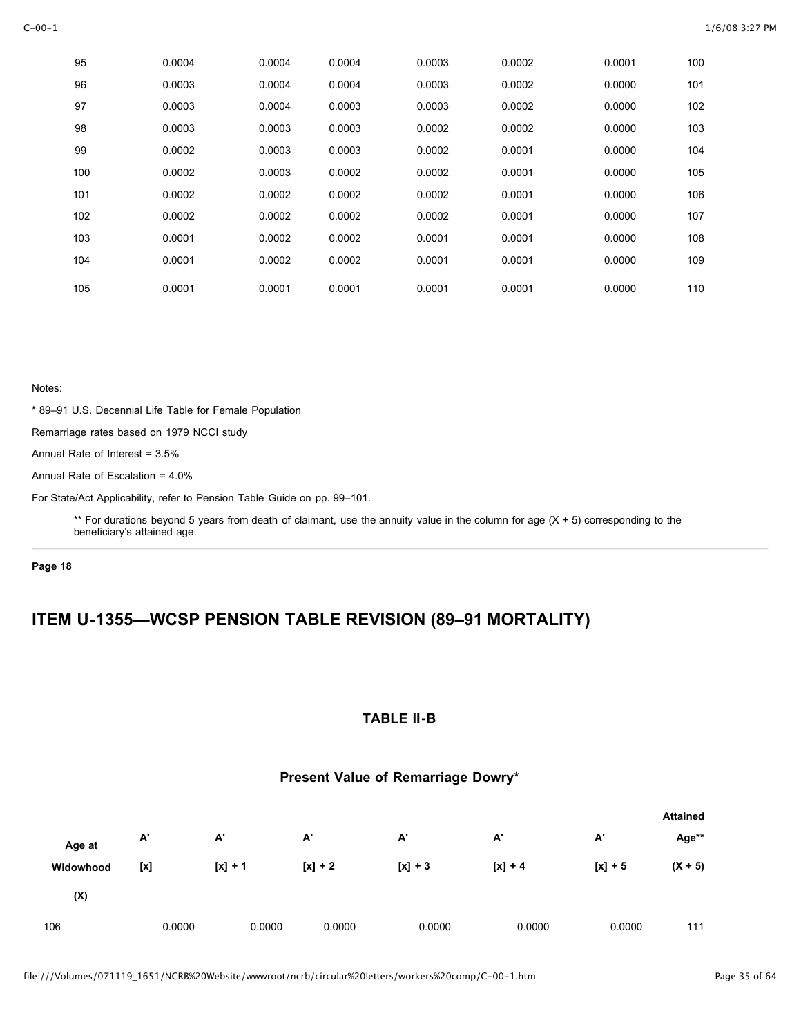| 95  | 0.0004 | 0.0004 | 0.0004 | 0.0003 | 0.0002 | 0.0001 | 100 |
|-----|--------|--------|--------|--------|--------|--------|-----|
| 96  | 0.0003 | 0.0004 | 0.0004 | 0.0003 | 0.0002 | 0.0000 | 101 |
| 97  | 0.0003 | 0.0004 | 0.0003 | 0.0003 | 0.0002 | 0.0000 | 102 |
| 98  | 0.0003 | 0.0003 | 0.0003 | 0.0002 | 0.0002 | 0.0000 | 103 |
| 99  | 0.0002 | 0.0003 | 0.0003 | 0.0002 | 0.0001 | 0.0000 | 104 |
| 100 | 0.0002 | 0.0003 | 0.0002 | 0.0002 | 0.0001 | 0.0000 | 105 |
| 101 | 0.0002 | 0.0002 | 0.0002 | 0.0002 | 0.0001 | 0.0000 | 106 |
| 102 | 0.0002 | 0.0002 | 0.0002 | 0.0002 | 0.0001 | 0.0000 | 107 |
| 103 | 0.0001 | 0.0002 | 0.0002 | 0.0001 | 0.0001 | 0.0000 | 108 |
| 104 | 0.0001 | 0.0002 | 0.0002 | 0.0001 | 0.0001 | 0.0000 | 109 |
| 105 | 0.0001 | 0.0001 | 0.0001 | 0.0001 | 0.0001 | 0.0000 | 110 |

\* 89–91 U.S. Decennial Life Table for Female Population

Remarriage rates based on 1979 NCCI study

Annual Rate of Interest = 3.5%

Annual Rate of Escalation = 4.0%

For State/Act Applicability, refer to Pension Table Guide on pp. 99–101.

\*\* For durations beyond 5 years from death of claimant, use the annuity value in the column for age  $(X + 5)$  corresponding to the beneficiary's attained age.

**Page 18**

# **ITEM U-1355—WCSP PENSION TABLE REVISION (89–91 MORTALITY)**

### **TABLE II-B**

### **Present Value of Remarriage Dowry\***

|           |        |           |           |           |           |           | <b>Attained</b> |
|-----------|--------|-----------|-----------|-----------|-----------|-----------|-----------------|
| Age at    | A'     | А.        | А'        | A'        | А'        | А'        | Age**           |
| Widowhood | [x]    | $[x] + 1$ | $[x] + 2$ | $[x] + 3$ | $[x] + 4$ | $[x] + 5$ | $(X + 5)$       |
| (X)       |        |           |           |           |           |           |                 |
| 106       | 0.0000 | 0.0000    | 0.0000    | 0.0000    | 0.0000    | 0.0000    | 111             |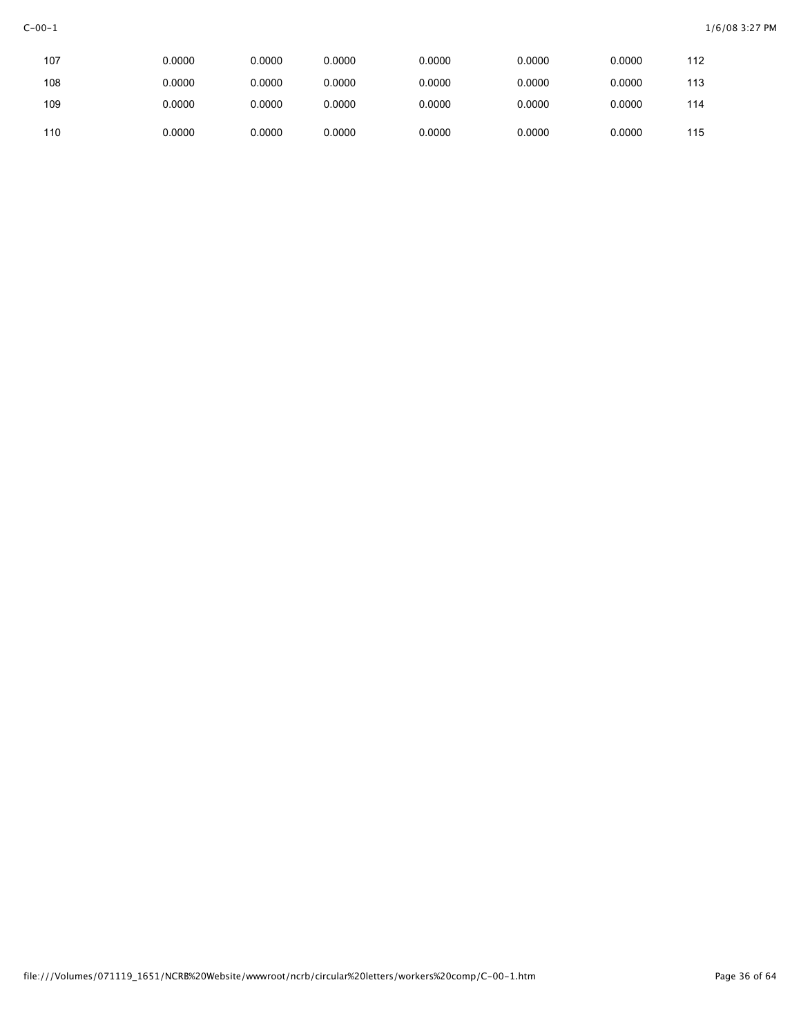| 107 | 0.0000 | 0.0000 | 0.0000 | 0.0000 | 0.0000 | 0.0000 | 112 |
|-----|--------|--------|--------|--------|--------|--------|-----|
| 108 | 0.0000 | 0.0000 | 0.0000 | 0.0000 | 0.0000 | 0.0000 | 113 |
| 109 | 0.0000 | 0.0000 | 0.0000 | 0.0000 | 0.0000 | 0.0000 | 114 |
| 110 | 0.0000 | 0.0000 | 0.0000 | 0.0000 | 0.0000 | 0.0000 | 115 |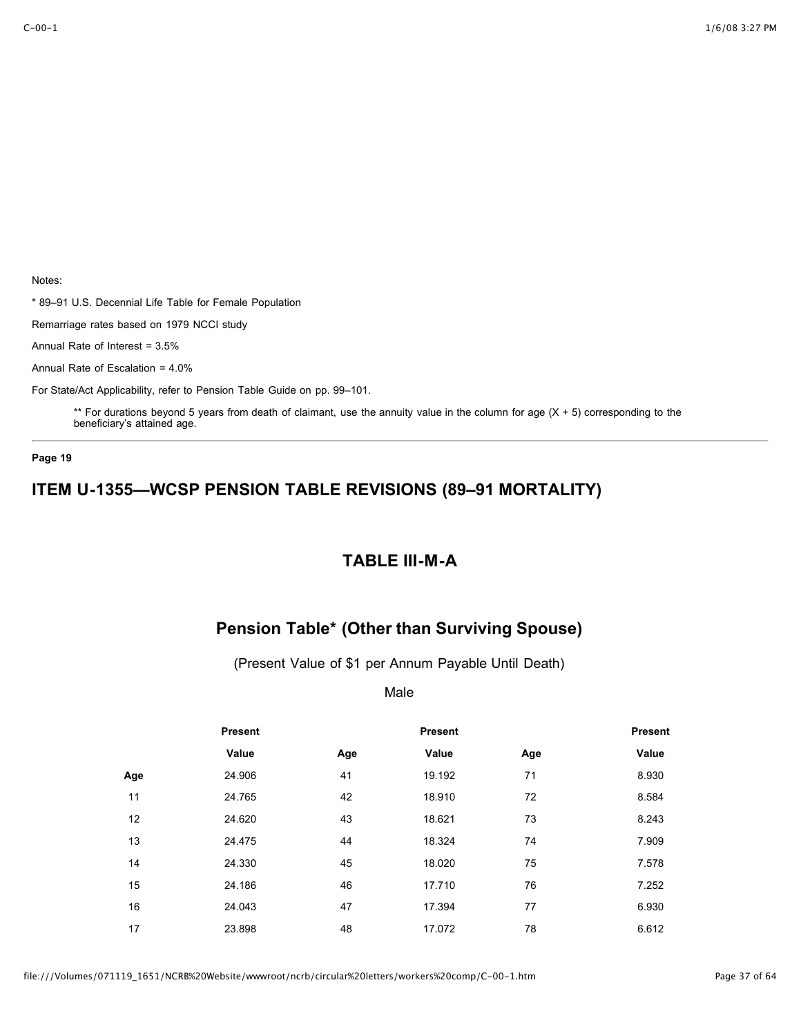\* 89–91 U.S. Decennial Life Table for Female Population

Remarriage rates based on 1979 NCCI study

Annual Rate of Interest = 3.5%

Annual Rate of Escalation = 4.0%

For State/Act Applicability, refer to Pension Table Guide on pp. 99–101.

\*\* For durations beyond 5 years from death of claimant, use the annuity value in the column for age  $(X + 5)$  corresponding to the beneficiary's attained age.

#### **Page 19**

## **ITEM U-1355—WCSP PENSION TABLE REVISIONS (89–91 MORTALITY)**

## **TABLE III-M-A**

# **Pension Table\* (Other than Surviving Spouse)**

(Present Value of \$1 per Annum Payable Until Death)

Male

|     | Present |     | <b>Present</b> |     | <b>Present</b> |
|-----|---------|-----|----------------|-----|----------------|
|     | Value   | Age | Value          | Age | Value          |
| Age | 24.906  | 41  | 19.192         | 71  | 8.930          |
| 11  | 24.765  | 42  | 18.910         | 72  | 8.584          |
| 12  | 24.620  | 43  | 18.621         | 73  | 8.243          |
| 13  | 24.475  | 44  | 18.324         | 74  | 7.909          |
| 14  | 24.330  | 45  | 18.020         | 75  | 7.578          |
| 15  | 24.186  | 46  | 17.710         | 76  | 7.252          |
| 16  | 24.043  | 47  | 17.394         | 77  | 6.930          |
| 17  | 23.898  | 48  | 17.072         | 78  | 6.612          |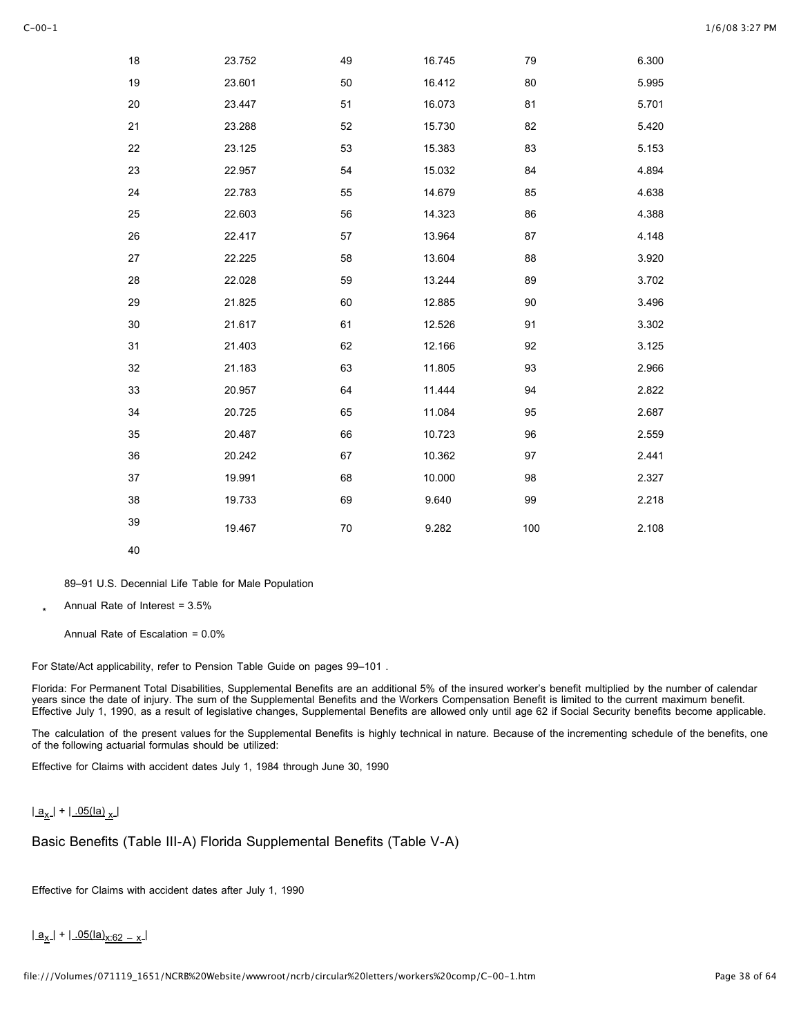| 18 | 23.752 | 49 | 16.745 | 79  | 6.300 |
|----|--------|----|--------|-----|-------|
| 19 | 23.601 | 50 | 16.412 | 80  | 5.995 |
| 20 | 23.447 | 51 | 16.073 | 81  | 5.701 |
| 21 | 23.288 | 52 | 15.730 | 82  | 5.420 |
| 22 | 23.125 | 53 | 15.383 | 83  | 5.153 |
| 23 | 22.957 | 54 | 15.032 | 84  | 4.894 |
| 24 | 22.783 | 55 | 14.679 | 85  | 4.638 |
| 25 | 22.603 | 56 | 14.323 | 86  | 4.388 |
| 26 | 22.417 | 57 | 13.964 | 87  | 4.148 |
| 27 | 22.225 | 58 | 13.604 | 88  | 3.920 |
| 28 | 22.028 | 59 | 13.244 | 89  | 3.702 |
| 29 | 21.825 | 60 | 12.885 | 90  | 3.496 |
| 30 | 21.617 | 61 | 12.526 | 91  | 3.302 |
| 31 | 21.403 | 62 | 12.166 | 92  | 3.125 |
| 32 | 21.183 | 63 | 11.805 | 93  | 2.966 |
| 33 | 20.957 | 64 | 11.444 | 94  | 2.822 |
| 34 | 20.725 | 65 | 11.084 | 95  | 2.687 |
| 35 | 20.487 | 66 | 10.723 | 96  | 2.559 |
| 36 | 20.242 | 67 | 10.362 | 97  | 2.441 |
| 37 | 19.991 | 68 | 10.000 | 98  | 2.327 |
| 38 | 19.733 | 69 | 9.640  | 99  | 2.218 |
| 39 | 19.467 | 70 | 9.282  | 100 | 2.108 |
| 40 |        |    |        |     |       |

89–91 U.S. Decennial Life Table for Male Population

\* Annual Rate of Interest = 3.5%

Annual Rate of Escalation = 0.0%

For State/Act applicability, refer to Pension Table Guide on pages 99–101 .

Florida: For Permanent Total Disabilities, Supplemental Benefits are an additional 5% of the insured worker's benefit multiplied by the number of calendar years since the date of injury. The sum of the Supplemental Benefits and the Workers Compensation Benefit is limited to the current maximum benefit. Effective July 1, 1990, as a result of legislative changes, Supplemental Benefits are allowed only until age 62 if Social Security benefits become applicable.

The calculation of the present values for the Supplemental Benefits is highly technical in nature. Because of the incrementing schedule of the benefits, one of the following actuarial formulas should be utilized:

Effective for Claims with accident dates July 1, 1984 through June 30, 1990

```
|a_x| + |05|a_x|
```
Basic Benefits (Table III-A) Florida Supplemental Benefits (Table V-A)

Effective for Claims with accident dates after July 1, 1990

 $|a_x|$  +  $|.05$ (la)<sub>x:62</sub> – x  $|$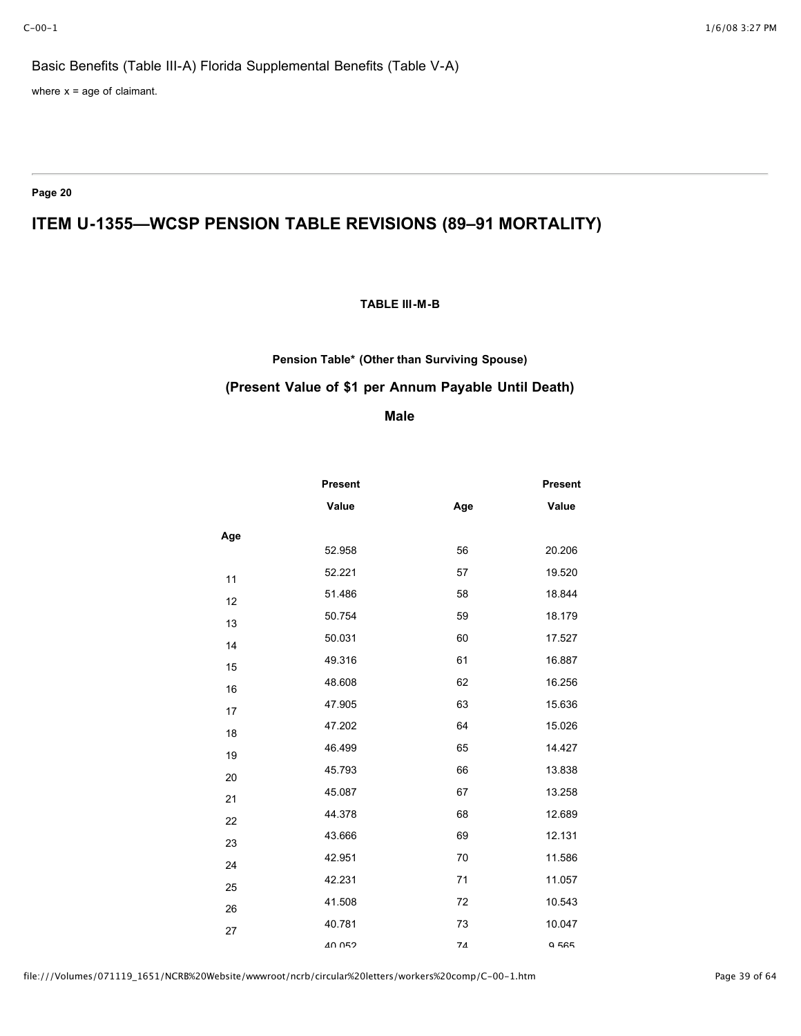# Basic Benefits (Table III-A) Florida Supplemental Benefits (Table V-A)

where  $x = age$  of claimant.

**Page 20**

# **ITEM U-1355—WCSP PENSION TABLE REVISIONS (89–91 MORTALITY)**

### **TABLE III-M-B**

# **Pension Table\* (Other than Surviving Spouse) (Present Value of \$1 per Annum Payable Until Death)**

### **Male**

|     | <b>Present</b> |     | <b>Present</b> |
|-----|----------------|-----|----------------|
|     | Value          | Age | Value          |
| Age |                |     |                |
|     | 52.958         | 56  | 20.206         |
| 11  | 52.221         | 57  | 19.520         |
| 12  | 51.486         | 58  | 18.844         |
| 13  | 50.754         | 59  | 18.179         |
| 14  | 50.031         | 60  | 17.527         |
| 15  | 49.316         | 61  | 16.887         |
| 16  | 48.608         | 62  | 16.256         |
| 17  | 47.905         | 63  | 15.636         |
| 18  | 47.202         | 64  | 15.026         |
| 19  | 46.499         | 65  | 14.427         |
| 20  | 45.793         | 66  | 13.838         |
| 21  | 45.087         | 67  | 13.258         |
| 22  | 44.378         | 68  | 12.689         |
| 23  | 43.666         | 69  | 12.131         |
| 24  | 42.951         | 70  | 11.586         |
| 25  | 42.231         | 71  | 11.057         |
| 26  | 41.508         | 72  | 10.543         |
| 27  | 40.781         | 73  | 10.047         |
|     | 40.052         | 74  | 9565           |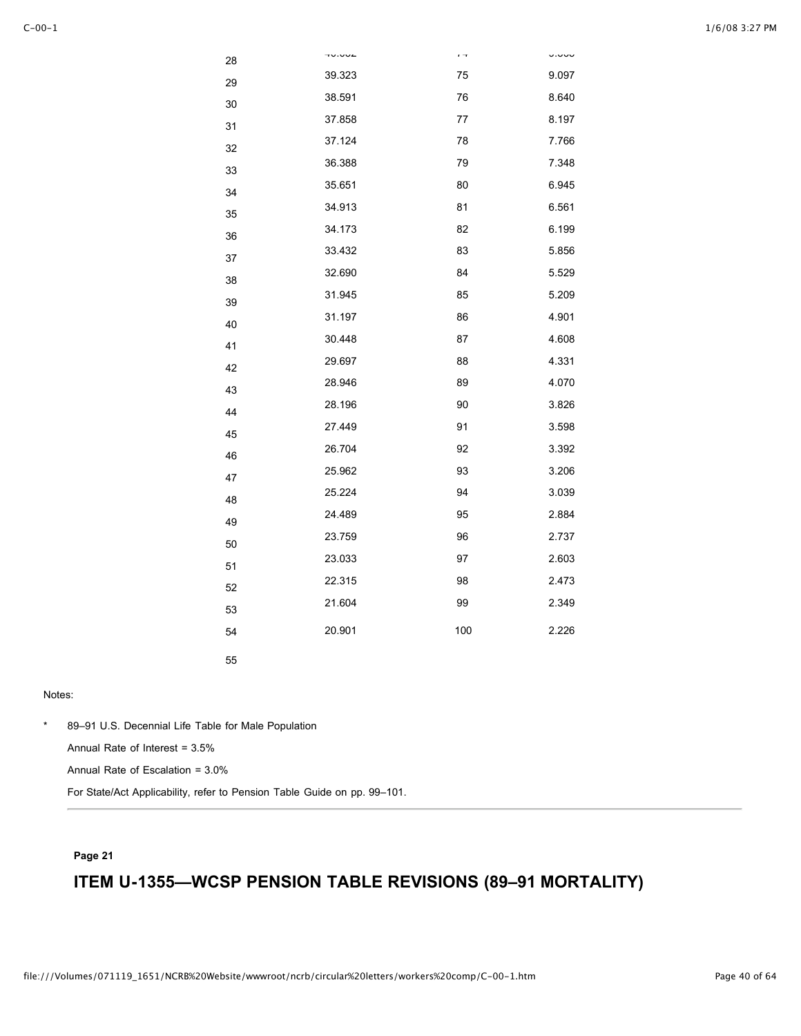| 28 |        | $\epsilon \rightarrow$ | u.uuu |
|----|--------|------------------------|-------|
| 29 | 39.323 | 75                     | 9.097 |
| 30 | 38.591 | 76                     | 8.640 |
| 31 | 37.858 | 77                     | 8.197 |
| 32 | 37.124 | 78                     | 7.766 |
| 33 | 36.388 | 79                     | 7.348 |
| 34 | 35.651 | 80                     | 6.945 |
| 35 | 34.913 | 81                     | 6.561 |
| 36 | 34.173 | 82                     | 6.199 |
| 37 | 33.432 | 83                     | 5.856 |
| 38 | 32.690 | 84                     | 5.529 |
| 39 | 31.945 | 85                     | 5.209 |
| 40 | 31.197 | 86                     | 4.901 |
| 41 | 30.448 | 87                     | 4.608 |
| 42 | 29.697 | 88                     | 4.331 |
| 43 | 28.946 | 89                     | 4.070 |
| 44 | 28.196 | 90                     | 3.826 |
| 45 | 27.449 | 91                     | 3.598 |
| 46 | 26.704 | 92                     | 3.392 |
| 47 | 25.962 | 93                     | 3.206 |
| 48 | 25.224 | 94                     | 3.039 |
| 49 | 24.489 | 95                     | 2.884 |
| 50 | 23.759 | 96                     | 2.737 |
| 51 | 23.033 | 97                     | 2.603 |
| 52 | 22.315 | 98                     | 2.473 |
| 53 | 21.604 | 99                     | 2.349 |
| 54 | 20.901 | 100                    | 2.226 |
| 55 |        |                        |       |

\* 89–91 U.S. Decennial Life Table for Male Population

Annual Rate of Interest = 3.5%

Annual Rate of Escalation = 3.0%

For State/Act Applicability, refer to Pension Table Guide on pp. 99–101.

### **Page 21**

# **ITEM U-1355—WCSP PENSION TABLE REVISIONS (89–91 MORTALITY)**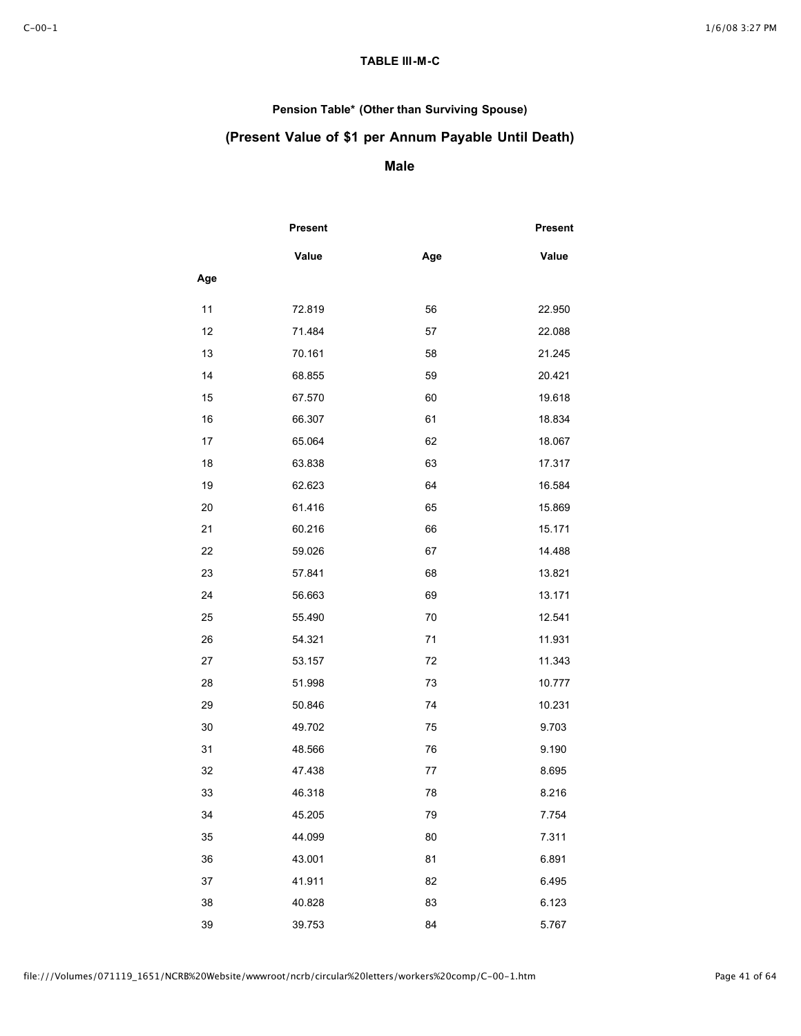## **TABLE III-M-C**

## **Pension Table\* (Other than Surviving Spouse)**

## **(Present Value of \$1 per Annum Payable Until Death)**

## **Male**

|     | Present |     | Present |
|-----|---------|-----|---------|
|     | Value   | Age | Value   |
| Age |         |     |         |
| 11  | 72.819  | 56  | 22.950  |
| 12  | 71.484  | 57  | 22.088  |
| 13  | 70.161  | 58  | 21.245  |
| 14  | 68.855  | 59  | 20.421  |
| 15  | 67.570  | 60  | 19.618  |
| 16  | 66.307  | 61  | 18.834  |
| 17  | 65.064  | 62  | 18.067  |
| 18  | 63.838  | 63  | 17.317  |
| 19  | 62.623  | 64  | 16.584  |
| 20  | 61.416  | 65  | 15.869  |
| 21  | 60.216  | 66  | 15.171  |
| 22  | 59.026  | 67  | 14.488  |
| 23  | 57.841  | 68  | 13.821  |
| 24  | 56.663  | 69  | 13.171  |
| 25  | 55.490  | 70  | 12.541  |
| 26  | 54.321  | 71  | 11.931  |
| 27  | 53.157  | 72  | 11.343  |
| 28  | 51.998  | 73  | 10.777  |
| 29  | 50.846  | 74  | 10.231  |
| 30  | 49.702  | 75  | 9.703   |
| 31  | 48.566  | 76  | 9.190   |
| 32  | 47.438  | 77  | 8.695   |
| 33  | 46.318  | 78  | 8.216   |
| 34  | 45.205  | 79  | 7.754   |
| 35  | 44.099  | 80  | 7.311   |
| 36  | 43.001  | 81  | 6.891   |
| 37  | 41.911  | 82  | 6.495   |
| 38  | 40.828  | 83  | 6.123   |
| 39  | 39.753  | 84  | 5.767   |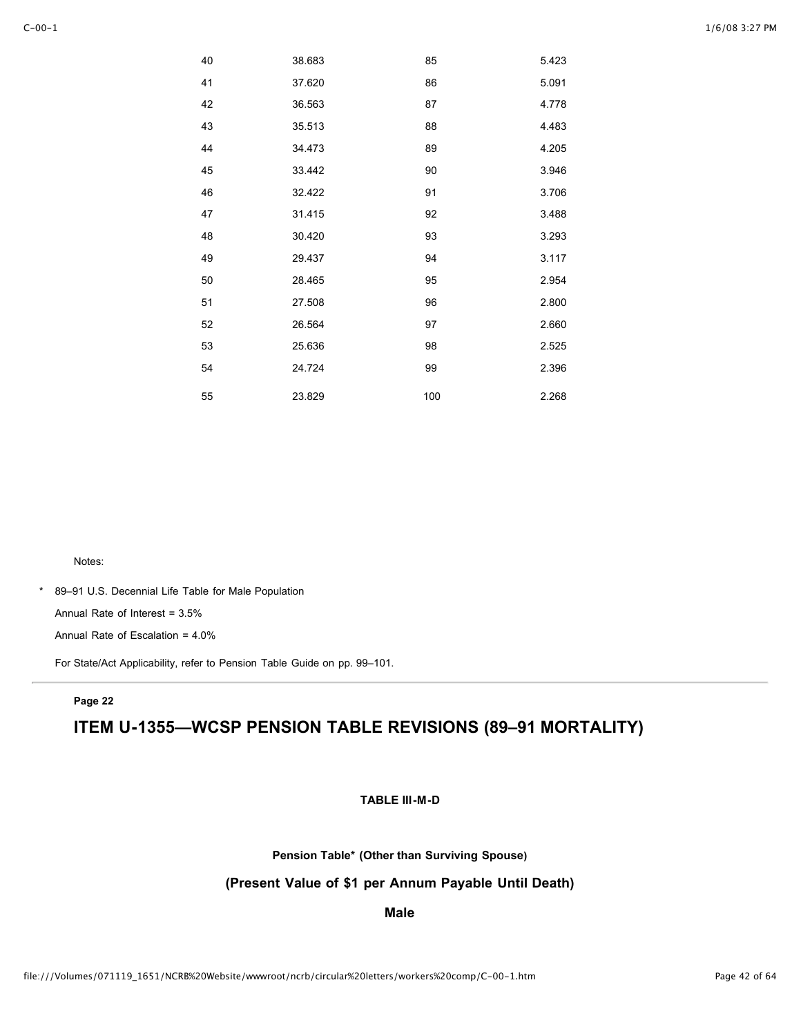| 40 | 38.683 | 85  | 5.423 |
|----|--------|-----|-------|
| 41 | 37.620 | 86  | 5.091 |
| 42 | 36.563 | 87  | 4.778 |
| 43 | 35.513 | 88  | 4.483 |
| 44 | 34.473 | 89  | 4.205 |
| 45 | 33.442 | 90  | 3.946 |
| 46 | 32.422 | 91  | 3.706 |
| 47 | 31.415 | 92  | 3.488 |
| 48 | 30.420 | 93  | 3.293 |
| 49 | 29.437 | 94  | 3.117 |
| 50 | 28.465 | 95  | 2.954 |
| 51 | 27.508 | 96  | 2.800 |
| 52 | 26.564 | 97  | 2.660 |
| 53 | 25.636 | 98  | 2.525 |
| 54 | 24.724 | 99  | 2.396 |
| 55 | 23.829 | 100 | 2.268 |

\* 89–91 U.S. Decennial Life Table for Male Population

Annual Rate of Interest = 3.5%

Annual Rate of Escalation = 4.0%

For State/Act Applicability, refer to Pension Table Guide on pp. 99–101.

#### **Page 22**

## **ITEM U-1355—WCSP PENSION TABLE REVISIONS (89–91 MORTALITY)**

**TABLE III-M-D**

**Pension Table\* (Other than Surviving Spouse)**

**(Present Value of \$1 per Annum Payable Until Death)**

#### **Male**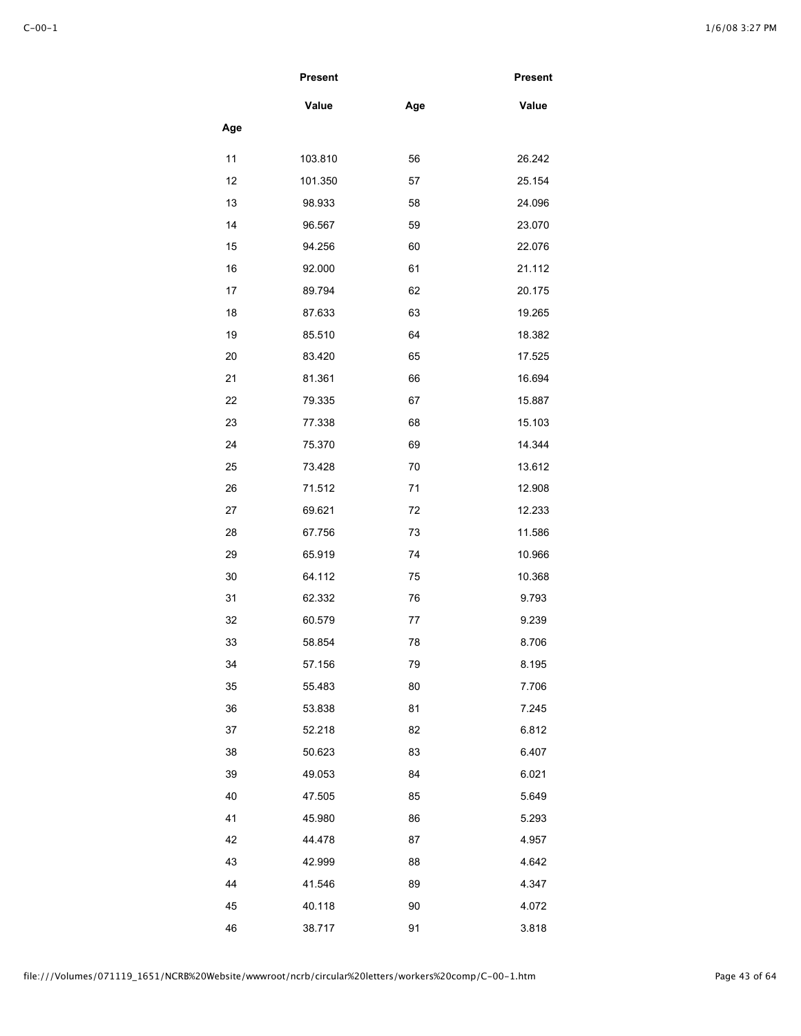|     | <b>Present</b> |     | <b>Present</b> |
|-----|----------------|-----|----------------|
|     | Value          | Age | Value          |
| Age |                |     |                |
| 11  | 103.810        | 56  | 26.242         |
| 12  | 101.350        | 57  | 25.154         |
| 13  | 98.933         | 58  | 24.096         |
| 14  | 96.567         | 59  | 23.070         |
| 15  | 94.256         | 60  | 22.076         |
| 16  | 92.000         | 61  | 21.112         |
| 17  | 89.794         | 62  | 20.175         |
| 18  | 87.633         | 63  | 19.265         |
| 19  | 85.510         | 64  | 18.382         |
| 20  | 83.420         | 65  | 17.525         |
| 21  | 81.361         | 66  | 16.694         |
| 22  | 79.335         | 67  | 15.887         |
| 23  | 77.338         | 68  | 15.103         |
| 24  | 75.370         | 69  | 14.344         |
| 25  | 73.428         | 70  | 13.612         |
| 26  | 71.512         | 71  | 12.908         |
| 27  | 69.621         | 72  | 12.233         |
| 28  | 67.756         | 73  | 11.586         |
| 29  | 65.919         | 74  | 10.966         |
| 30  | 64.112         | 75  | 10.368         |
| 31  | 62.332         | 76  | 9.793          |
| 32  | 60.579         | 77  | 9.239          |
| 33  | 58.854         | 78  | 8.706          |
| 34  | 57.156         | 79  | 8.195          |
| 35  | 55.483         | 80  | 7.706          |
| 36  | 53.838         | 81  | 7.245          |
| 37  | 52.218         | 82  | 6.812          |
| 38  | 50.623         | 83  | 6.407          |
| 39  | 49.053         | 84  | 6.021          |
| 40  | 47.505         | 85  | 5.649          |
| 41  | 45.980         | 86  | 5.293          |
| 42  | 44.478         | 87  | 4.957          |
| 43  | 42.999         | 88  | 4.642          |
| 44  | 41.546         | 89  | 4.347          |
| 45  | 40.118         | 90  | 4.072          |
| 46  | 38.717         | 91  | 3.818          |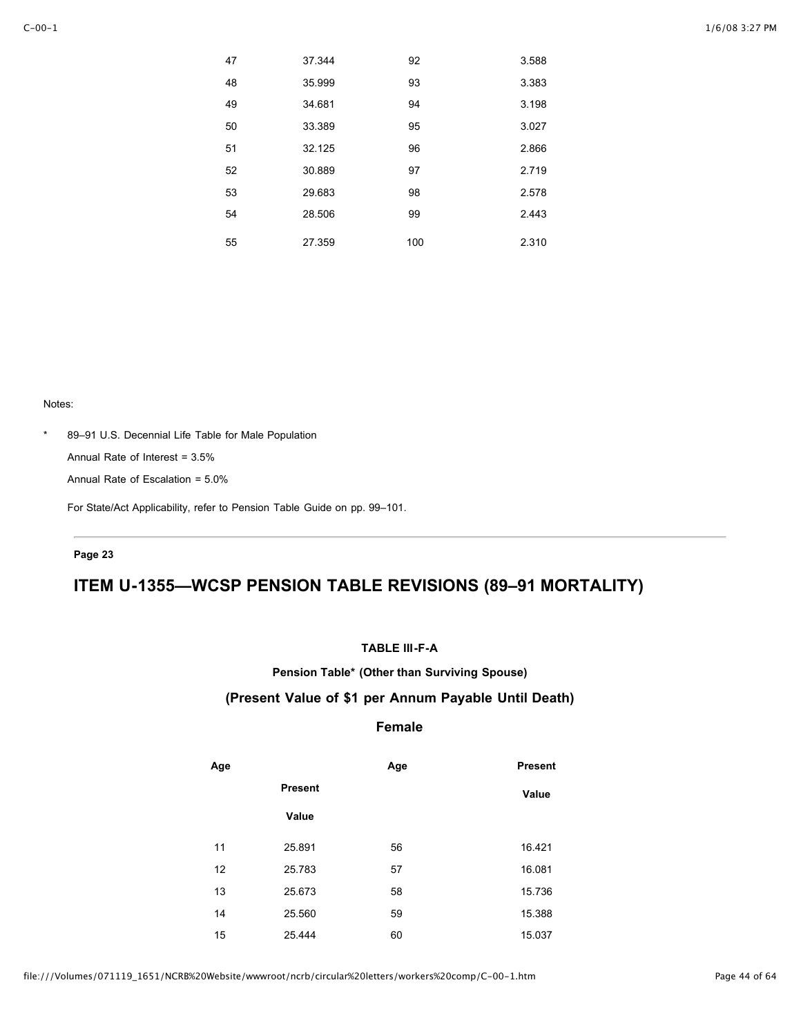| 47 | 37.344 | 92  | 3.588 |
|----|--------|-----|-------|
| 48 | 35.999 | 93  | 3.383 |
| 49 | 34.681 | 94  | 3.198 |
| 50 | 33.389 | 95  | 3.027 |
| 51 | 32.125 | 96  | 2.866 |
| 52 | 30.889 | 97  | 2.719 |
| 53 | 29.683 | 98  | 2.578 |
| 54 | 28.506 | 99  | 2.443 |
| 55 | 27.359 | 100 | 2.310 |

#### \* 89–91 U.S. Decennial Life Table for Male Population

Annual Rate of Interest = 3.5%

Annual Rate of Escalation = 5.0%

For State/Act Applicability, refer to Pension Table Guide on pp. 99–101.

### **Page 23**

# **ITEM U-1355—WCSP PENSION TABLE REVISIONS (89–91 MORTALITY)**

### **TABLE III-F-A**

**Pension Table\* (Other than Surviving Spouse)**

## **(Present Value of \$1 per Annum Payable Until Death)**

## **Female**

| Age |                | Age | <b>Present</b> |
|-----|----------------|-----|----------------|
|     | <b>Present</b> |     | Value          |
|     | Value          |     |                |
| 11  | 25.891         | 56  | 16.421         |
| 12  | 25.783         | 57  | 16.081         |
| 13  | 25.673         | 58  | 15.736         |
| 14  | 25.560         | 59  | 15.388         |
| 15  | 25.444         | 60  | 15.037         |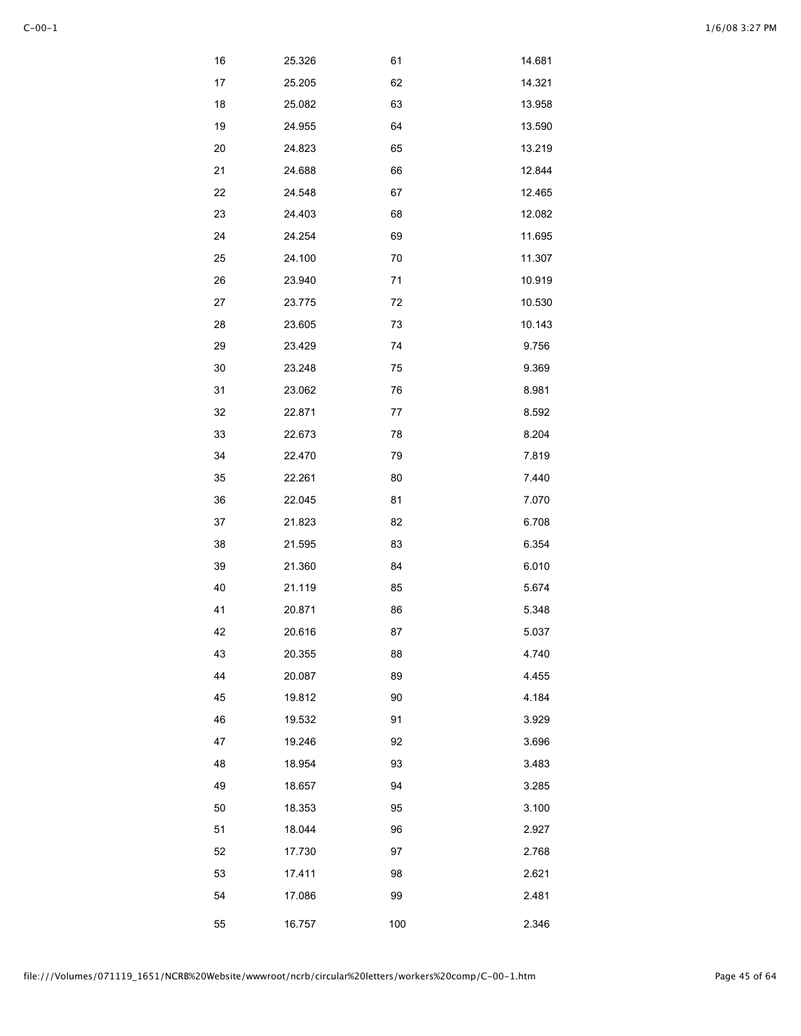| 16 | 25.326 | 61  | 14.681 |
|----|--------|-----|--------|
| 17 | 25.205 | 62  | 14.321 |
| 18 | 25.082 | 63  | 13.958 |
| 19 | 24.955 | 64  | 13.590 |
| 20 | 24.823 | 65  | 13.219 |
| 21 | 24.688 | 66  | 12.844 |
| 22 | 24.548 | 67  | 12.465 |
| 23 | 24.403 | 68  | 12.082 |
| 24 | 24.254 | 69  | 11.695 |
| 25 | 24.100 | 70  | 11.307 |
| 26 | 23.940 | 71  | 10.919 |
| 27 | 23.775 | 72  | 10.530 |
| 28 | 23.605 | 73  | 10.143 |
| 29 | 23.429 | 74  | 9.756  |
| 30 | 23.248 | 75  | 9.369  |
| 31 | 23.062 | 76  | 8.981  |
| 32 | 22.871 | 77  | 8.592  |
| 33 | 22.673 | 78  | 8.204  |
| 34 | 22.470 | 79  | 7.819  |
| 35 | 22.261 | 80  | 7.440  |
| 36 | 22.045 | 81  | 7.070  |
| 37 | 21.823 | 82  | 6.708  |
| 38 | 21.595 | 83  | 6.354  |
| 39 | 21.360 | 84  | 6.010  |
| 40 | 21.119 | 85  | 5.674  |
| 41 | 20.871 | 86  | 5.348  |
| 42 | 20.616 | 87  | 5.037  |
| 43 | 20.355 | 88  | 4.740  |
| 44 | 20.087 | 89  | 4.455  |
| 45 | 19.812 | 90  | 4.184  |
| 46 | 19.532 | 91  | 3.929  |
| 47 | 19.246 | 92  | 3.696  |
| 48 | 18.954 | 93  | 3.483  |
| 49 | 18.657 | 94  | 3.285  |
| 50 | 18.353 | 95  | 3.100  |
| 51 | 18.044 | 96  | 2.927  |
| 52 | 17.730 | 97  | 2.768  |
| 53 | 17.411 | 98  | 2.621  |
| 54 | 17.086 | 99  | 2.481  |
| 55 | 16.757 | 100 | 2.346  |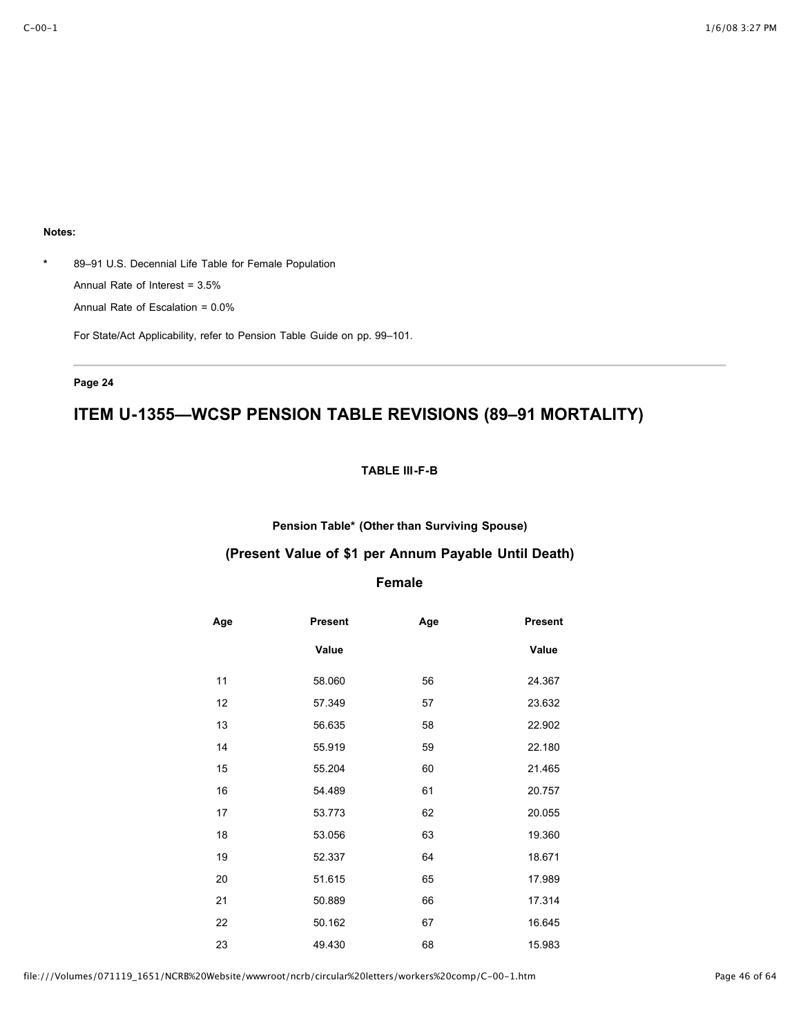**\*** 89–91 U.S. Decennial Life Table for Female Population Annual Rate of Interest = 3.5% Annual Rate of Escalation = 0.0%

For State/Act Applicability, refer to Pension Table Guide on pp. 99–101.

### **Page 24**

# **ITEM U-1355—WCSP PENSION TABLE REVISIONS (89–91 MORTALITY)**

### **TABLE III-F-B**

**Pension Table\* (Other than Surviving Spouse)**

### **(Present Value of \$1 per Annum Payable Until Death)**

## **Female**

| Age | <b>Present</b> | Age | <b>Present</b> |
|-----|----------------|-----|----------------|
|     | Value          |     | Value          |
| 11  | 58.060         | 56  | 24.367         |
| 12  | 57.349         | 57  | 23.632         |
| 13  | 56.635         | 58  | 22.902         |
| 14  | 55.919         | 59  | 22.180         |
| 15  | 55.204         | 60  | 21.465         |
| 16  | 54.489         | 61  | 20.757         |
| 17  | 53.773         | 62  | 20.055         |
| 18  | 53.056         | 63  | 19.360         |
| 19  | 52.337         | 64  | 18.671         |
| 20  | 51.615         | 65  | 17.989         |
| 21  | 50.889         | 66  | 17.314         |
| 22  | 50.162         | 67  | 16.645         |
| 23  | 49.430         | 68  | 15.983         |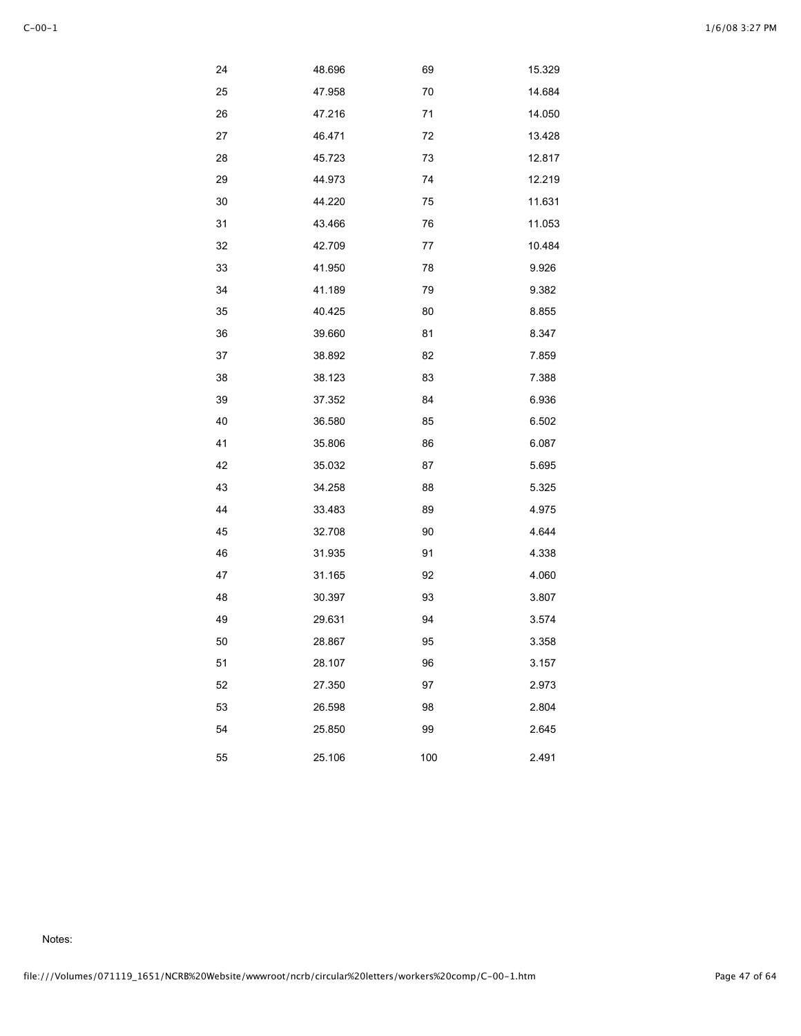|--|--|

| 24 | 48.696 | 69  | 15.329 |
|----|--------|-----|--------|
| 25 | 47.958 | 70  | 14.684 |
| 26 | 47.216 | 71  | 14.050 |
| 27 | 46.471 | 72  | 13.428 |
| 28 | 45.723 | 73  | 12.817 |
| 29 | 44.973 | 74  | 12.219 |
| 30 | 44.220 | 75  | 11.631 |
| 31 | 43.466 | 76  | 11.053 |
| 32 | 42.709 | 77  | 10.484 |
| 33 | 41.950 | 78  | 9.926  |
| 34 | 41.189 | 79  | 9.382  |
| 35 | 40.425 | 80  | 8.855  |
| 36 | 39.660 | 81  | 8.347  |
| 37 | 38.892 | 82  | 7.859  |
| 38 | 38.123 | 83  | 7.388  |
| 39 | 37.352 | 84  | 6.936  |
| 40 | 36.580 | 85  | 6.502  |
| 41 | 35.806 | 86  | 6.087  |
| 42 | 35.032 | 87  | 5.695  |
| 43 | 34.258 | 88  | 5.325  |
| 44 | 33.483 | 89  | 4.975  |
| 45 | 32.708 | 90  | 4.644  |
| 46 | 31.935 | 91  | 4.338  |
| 47 | 31.165 | 92  | 4.060  |
| 48 | 30.397 | 93  | 3.807  |
| 49 | 29.631 | 94  | 3.574  |
| 50 | 28.867 | 95  | 3.358  |
| 51 | 28.107 | 96  | 3.157  |
| 52 | 27.350 | 97  | 2.973  |
| 53 | 26.598 | 98  | 2.804  |
| 54 | 25.850 | 99  | 2.645  |
| 55 | 25.106 | 100 | 2.491  |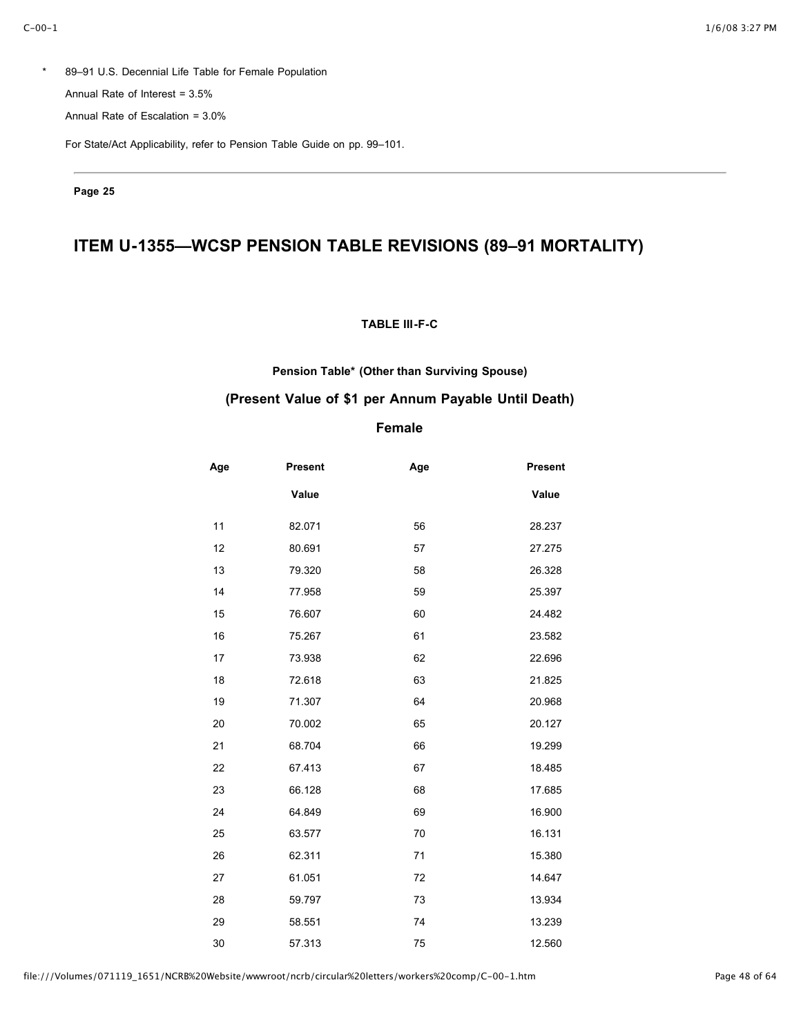\* 89–91 U.S. Decennial Life Table for Female Population Annual Rate of Interest = 3.5%

Annual Rate of Escalation = 3.0%

For State/Act Applicability, refer to Pension Table Guide on pp. 99–101.

**Page 25**

# **ITEM U-1355—WCSP PENSION TABLE REVISIONS (89–91 MORTALITY)**

### **TABLE III-F-C**

### **Pension Table\* (Other than Surviving Spouse)**

### **(Present Value of \$1 per Annum Payable Until Death)**

## **Female**

| Age | <b>Present</b> | Age | <b>Present</b> |
|-----|----------------|-----|----------------|
|     | Value          |     | Value          |
| 11  | 82.071         | 56  | 28.237         |
| 12  | 80.691         | 57  | 27.275         |
| 13  | 79.320         | 58  | 26.328         |
| 14  | 77.958         | 59  | 25.397         |
| 15  | 76.607         | 60  | 24.482         |
| 16  | 75.267         | 61  | 23.582         |
| 17  | 73.938         | 62  | 22.696         |
| 18  | 72.618         | 63  | 21.825         |
| 19  | 71.307         | 64  | 20.968         |
| 20  | 70.002         | 65  | 20.127         |
| 21  | 68.704         | 66  | 19.299         |
| 22  | 67.413         | 67  | 18.485         |
| 23  | 66.128         | 68  | 17.685         |
| 24  | 64.849         | 69  | 16.900         |
| 25  | 63.577         | 70  | 16.131         |
| 26  | 62.311         | 71  | 15.380         |
| 27  | 61.051         | 72  | 14.647         |
| 28  | 59.797         | 73  | 13.934         |
| 29  | 58.551         | 74  | 13.239         |
| 30  | 57.313         | 75  | 12.560         |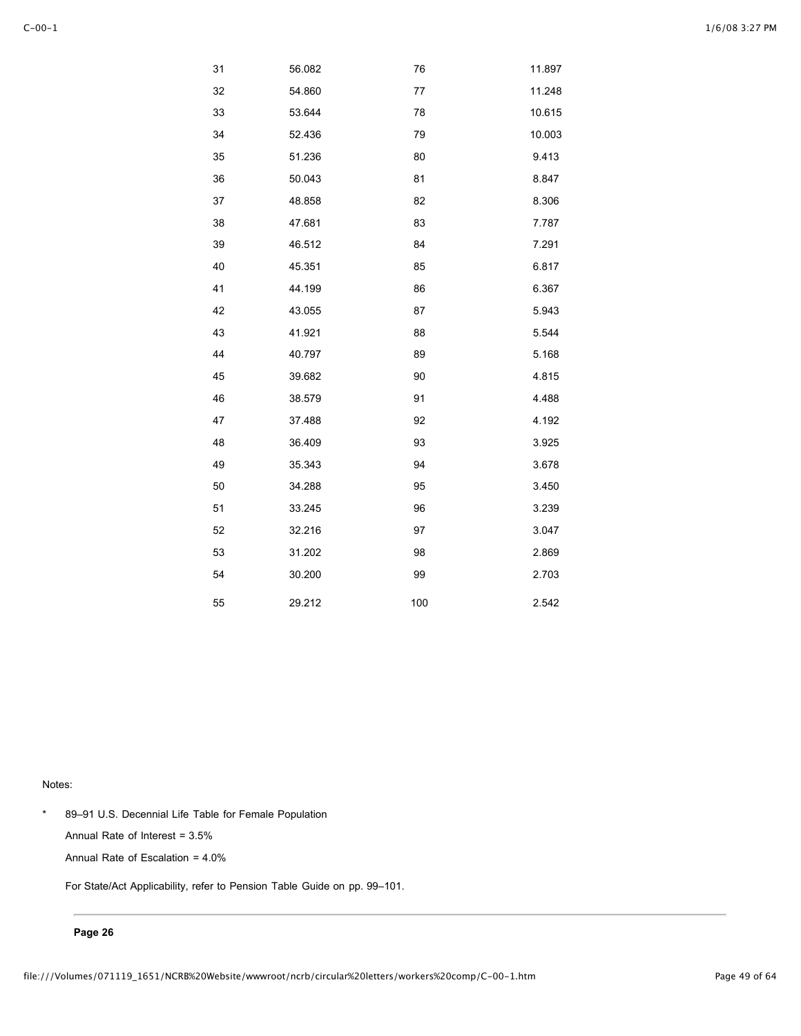| 31 | 56.082 | 76  | 11.897 |
|----|--------|-----|--------|
| 32 | 54.860 | 77  | 11.248 |
| 33 | 53.644 | 78  | 10.615 |
| 34 | 52.436 | 79  | 10.003 |
| 35 | 51.236 | 80  | 9.413  |
| 36 | 50.043 | 81  | 8.847  |
| 37 | 48.858 | 82  | 8.306  |
| 38 | 47.681 | 83  | 7.787  |
| 39 | 46.512 | 84  | 7.291  |
| 40 | 45.351 | 85  | 6.817  |
| 41 | 44.199 | 86  | 6.367  |
| 42 | 43.055 | 87  | 5.943  |
| 43 | 41.921 | 88  | 5.544  |
| 44 | 40.797 | 89  | 5.168  |
| 45 | 39.682 | 90  | 4.815  |
| 46 | 38.579 | 91  | 4.488  |
| 47 | 37.488 | 92  | 4.192  |
| 48 | 36.409 | 93  | 3.925  |
| 49 | 35.343 | 94  | 3.678  |
| 50 | 34.288 | 95  | 3.450  |
| 51 | 33.245 | 96  | 3.239  |
| 52 | 32.216 | 97  | 3.047  |
| 53 | 31.202 | 98  | 2.869  |
| 54 | 30.200 | 99  | 2.703  |
| 55 | 29.212 | 100 | 2.542  |

\* 89–91 U.S. Decennial Life Table for Female Population Annual Rate of Interest = 3.5% Annual Rate of Escalation = 4.0%

For State/Act Applicability, refer to Pension Table Guide on pp. 99–101.

#### **Page 26**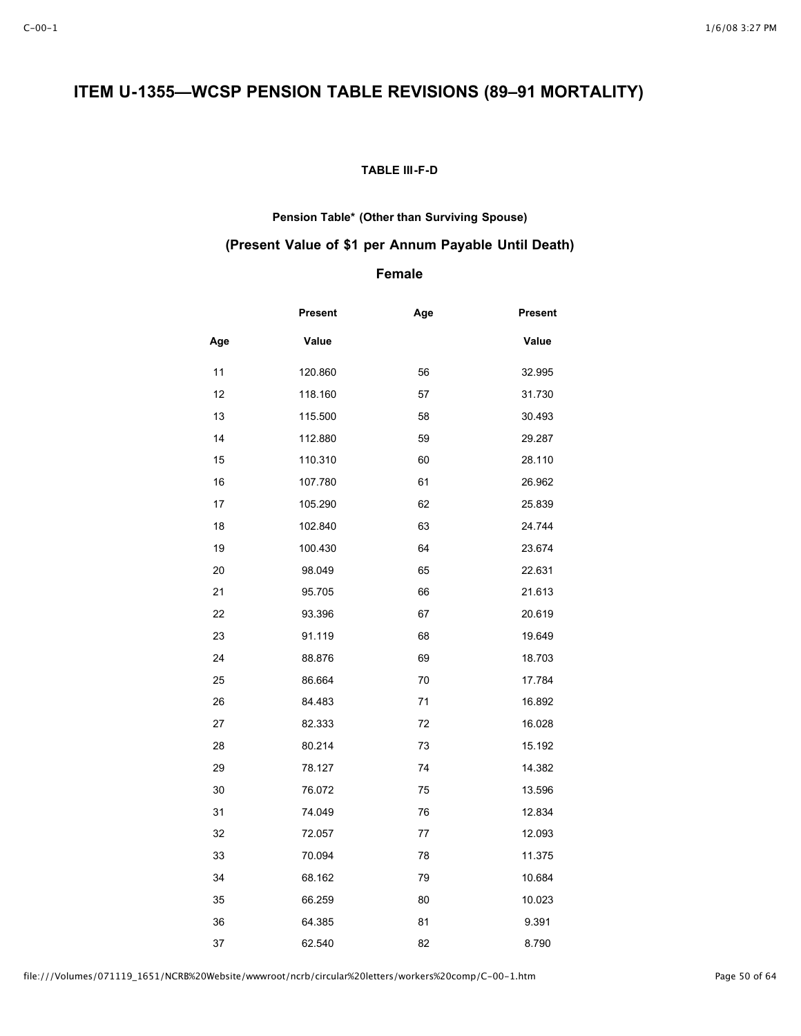# **ITEM U-1355—WCSP PENSION TABLE REVISIONS (89–91 MORTALITY)**

### **TABLE III-F-D**

### **Pension Table\* (Other than Surviving Spouse)**

## **(Present Value of \$1 per Annum Payable Until Death)**

## **Female**

|     | <b>Present</b> | Age | <b>Present</b> |
|-----|----------------|-----|----------------|
| Age | Value          |     | Value          |
| 11  | 120.860        | 56  | 32.995         |
| 12  | 118.160        | 57  | 31.730         |
| 13  | 115.500        | 58  | 30.493         |
| 14  | 112.880        | 59  | 29.287         |
| 15  | 110.310        | 60  | 28.110         |
| 16  | 107.780        | 61  | 26.962         |
| 17  | 105.290        | 62  | 25.839         |
| 18  | 102.840        | 63  | 24.744         |
| 19  | 100.430        | 64  | 23.674         |
| 20  | 98.049         | 65  | 22.631         |
| 21  | 95.705         | 66  | 21.613         |
| 22  | 93.396         | 67  | 20.619         |
| 23  | 91.119         | 68  | 19.649         |
| 24  | 88.876         | 69  | 18.703         |
| 25  | 86.664         | 70  | 17.784         |
| 26  | 84.483         | 71  | 16.892         |
| 27  | 82.333         | 72  | 16.028         |
| 28  | 80.214         | 73  | 15.192         |
| 29  | 78.127         | 74  | 14.382         |
| 30  | 76.072         | 75  | 13.596         |
| 31  | 74.049         | 76  | 12.834         |
| 32  | 72.057         | 77  | 12.093         |
| 33  | 70.094         | 78  | 11.375         |
| 34  | 68.162         | 79  | 10.684         |
| 35  | 66.259         | 80  | 10.023         |
| 36  | 64.385         | 81  | 9.391          |
| 37  | 62.540         | 82  | 8.790          |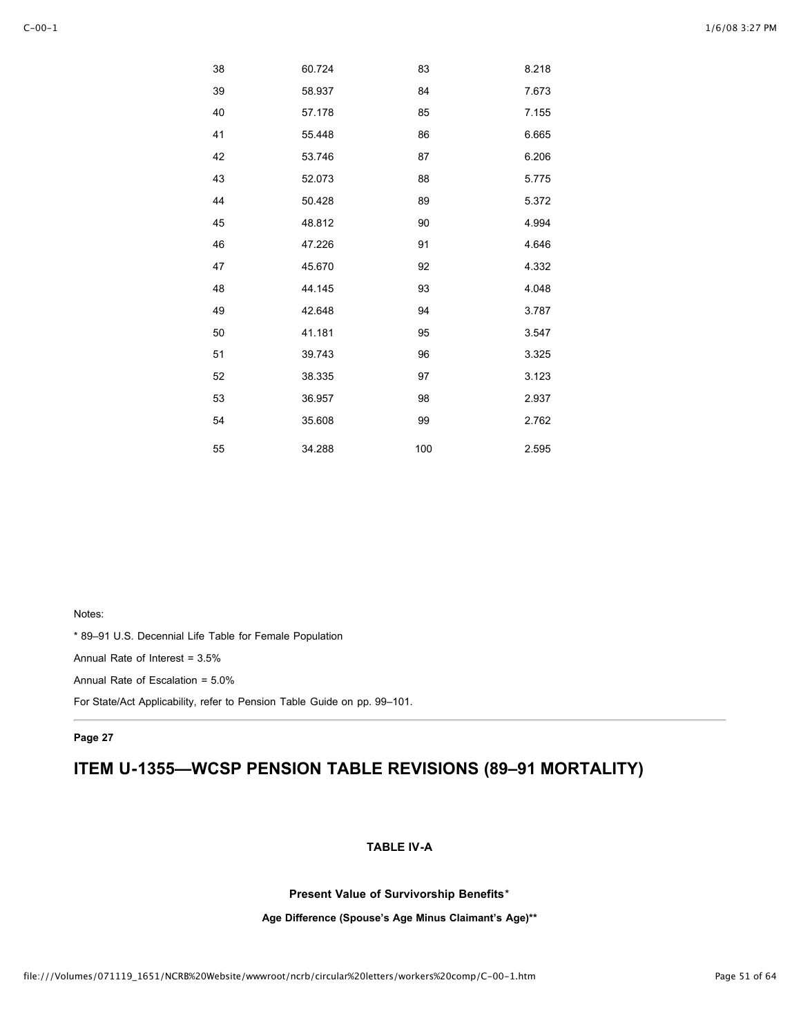| 38 | 60.724 | 83  | 8.218 |
|----|--------|-----|-------|
| 39 | 58.937 | 84  | 7.673 |
| 40 | 57.178 | 85  | 7.155 |
| 41 | 55.448 | 86  | 6.665 |
| 42 | 53.746 | 87  | 6.206 |
| 43 | 52.073 | 88  | 5.775 |
| 44 | 50.428 | 89  | 5.372 |
| 45 | 48.812 | 90  | 4.994 |
| 46 | 47.226 | 91  | 4.646 |
| 47 | 45.670 | 92  | 4.332 |
| 48 | 44.145 | 93  | 4.048 |
| 49 | 42.648 | 94  | 3.787 |
| 50 | 41.181 | 95  | 3.547 |
| 51 | 39.743 | 96  | 3.325 |
| 52 | 38.335 | 97  | 3.123 |
| 53 | 36.957 | 98  | 2.937 |
| 54 | 35.608 | 99  | 2.762 |
| 55 | 34.288 | 100 | 2.595 |

\* 89–91 U.S. Decennial Life Table for Female Population

Annual Rate of Interest = 3.5%

Annual Rate of Escalation = 5.0%

For State/Act Applicability, refer to Pension Table Guide on pp. 99–101.

#### **Page 27**

# **ITEM U-1355—WCSP PENSION TABLE REVISIONS (89–91 MORTALITY)**

### **TABLE IV-A**

**Present Value of Survivorship Benefits**\*

**Age Difference (Spouse's Age Minus Claimant's Age)\*\***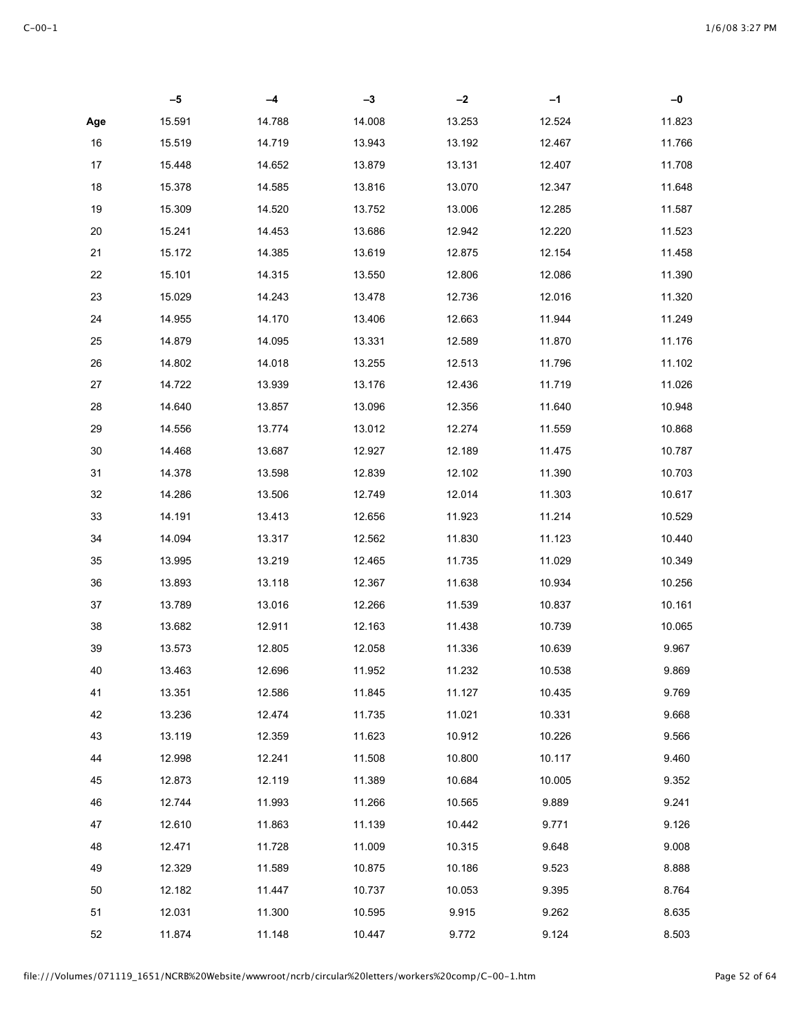|        | $-5$   | -4     | $-3$   | $-2$   | $-1$   | $-0$   |
|--------|--------|--------|--------|--------|--------|--------|
| Age    | 15.591 | 14.788 | 14.008 | 13.253 | 12.524 | 11.823 |
| $16\,$ | 15.519 | 14.719 | 13.943 | 13.192 | 12.467 | 11.766 |
| 17     | 15.448 | 14.652 | 13.879 | 13.131 | 12.407 | 11.708 |
| 18     | 15.378 | 14.585 | 13.816 | 13.070 | 12.347 | 11.648 |
| 19     | 15.309 | 14.520 | 13.752 | 13.006 | 12.285 | 11.587 |
| 20     | 15.241 | 14.453 | 13.686 | 12.942 | 12.220 | 11.523 |
| 21     | 15.172 | 14.385 | 13.619 | 12.875 | 12.154 | 11.458 |
| 22     | 15.101 | 14.315 | 13.550 | 12.806 | 12.086 | 11.390 |
| 23     | 15.029 | 14.243 | 13.478 | 12.736 | 12.016 | 11.320 |
| 24     | 14.955 | 14.170 | 13.406 | 12.663 | 11.944 | 11.249 |
| 25     | 14.879 | 14.095 | 13.331 | 12.589 | 11.870 | 11.176 |
| 26     | 14.802 | 14.018 | 13.255 | 12.513 | 11.796 | 11.102 |
| 27     | 14.722 | 13.939 | 13.176 | 12.436 | 11.719 | 11.026 |
| 28     | 14.640 | 13.857 | 13.096 | 12.356 | 11.640 | 10.948 |
| 29     | 14.556 | 13.774 | 13.012 | 12.274 | 11.559 | 10.868 |
| 30     | 14.468 | 13.687 | 12.927 | 12.189 | 11.475 | 10.787 |
| 31     | 14.378 | 13.598 | 12.839 | 12.102 | 11.390 | 10.703 |
| 32     | 14.286 | 13.506 | 12.749 | 12.014 | 11.303 | 10.617 |
| 33     | 14.191 | 13.413 | 12.656 | 11.923 | 11.214 | 10.529 |
| 34     | 14.094 | 13.317 | 12.562 | 11.830 | 11.123 | 10.440 |
| 35     | 13.995 | 13.219 | 12.465 | 11.735 | 11.029 | 10.349 |
| 36     | 13.893 | 13.118 | 12.367 | 11.638 | 10.934 | 10.256 |
| 37     | 13.789 | 13.016 | 12.266 | 11.539 | 10.837 | 10.161 |
| 38     | 13.682 | 12.911 | 12.163 | 11.438 | 10.739 | 10.065 |
| 39     | 13.573 | 12.805 | 12.058 | 11.336 | 10.639 | 9.967  |
| 40     | 13.463 | 12.696 | 11.952 | 11.232 | 10.538 | 9.869  |
| 41     | 13.351 | 12.586 | 11.845 | 11.127 | 10.435 | 9.769  |
| 42     | 13.236 | 12.474 | 11.735 | 11.021 | 10.331 | 9.668  |
| 43     | 13.119 | 12.359 | 11.623 | 10.912 | 10.226 | 9.566  |
| 44     | 12.998 | 12.241 | 11.508 | 10.800 | 10.117 | 9.460  |
| 45     | 12.873 | 12.119 | 11.389 | 10.684 | 10.005 | 9.352  |
| 46     | 12.744 | 11.993 | 11.266 | 10.565 | 9.889  | 9.241  |
| 47     | 12.610 | 11.863 | 11.139 | 10.442 | 9.771  | 9.126  |
| 48     | 12.471 | 11.728 | 11.009 | 10.315 | 9.648  | 9.008  |
| 49     | 12.329 | 11.589 | 10.875 | 10.186 | 9.523  | 8.888  |
| 50     | 12.182 | 11.447 | 10.737 | 10.053 | 9.395  | 8.764  |
| 51     | 12.031 | 11.300 | 10.595 | 9.915  | 9.262  | 8.635  |
| 52     | 11.874 | 11.148 | 10.447 | 9.772  | 9.124  | 8.503  |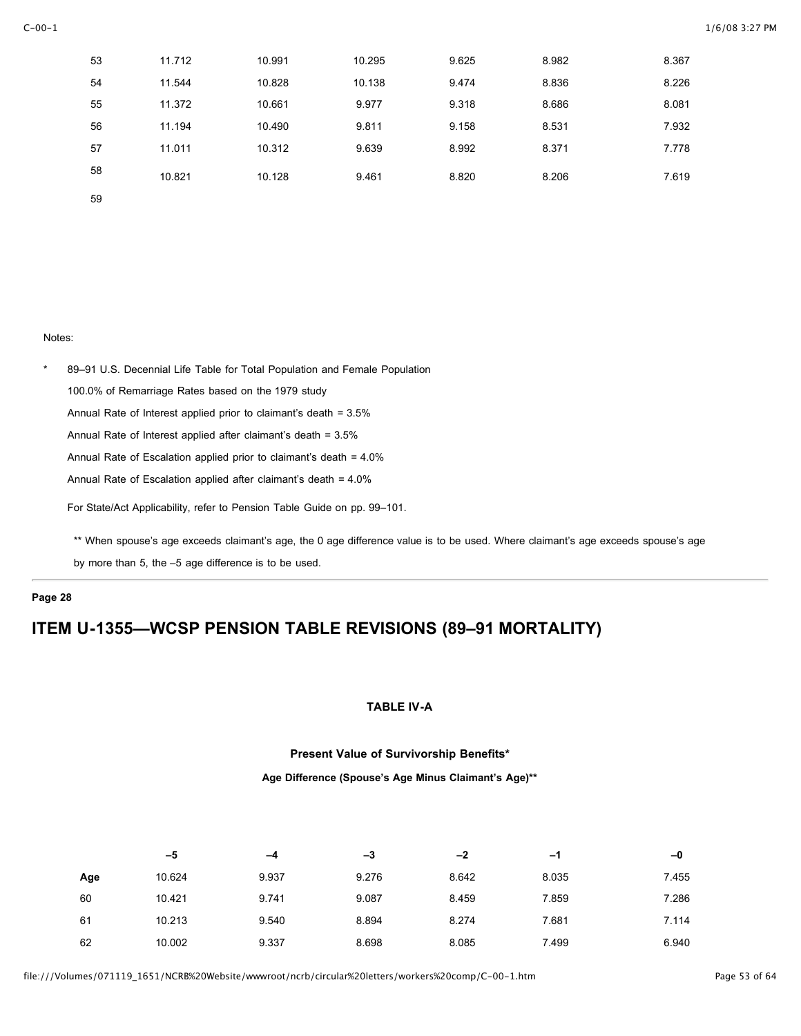| 53 | 11.712 | 10.991 | 10.295 | 9.625 | 8.982 | 8.367 |
|----|--------|--------|--------|-------|-------|-------|
| 54 | 11.544 | 10.828 | 10.138 | 9.474 | 8.836 | 8.226 |
| 55 | 11.372 | 10.661 | 9.977  | 9.318 | 8.686 | 8.081 |
| 56 | 11.194 | 10.490 | 9.811  | 9.158 | 8.531 | 7.932 |
| 57 | 11.011 | 10.312 | 9.639  | 8.992 | 8.371 | 7.778 |
| 58 | 10.821 | 10.128 | 9.461  | 8.820 | 8.206 | 7.619 |
| 59 |        |        |        |       |       |       |

\* 89–91 U.S. Decennial Life Table for Total Population and Female Population 100.0% of Remarriage Rates based on the 1979 study Annual Rate of Interest applied prior to claimant's death = 3.5% Annual Rate of Interest applied after claimant's death = 3.5% Annual Rate of Escalation applied prior to claimant's death = 4.0% Annual Rate of Escalation applied after claimant's death = 4.0%

For State/Act Applicability, refer to Pension Table Guide on pp. 99–101.

\*\* When spouse's age exceeds claimant's age, the 0 age difference value is to be used. Where claimant's age exceeds spouse's age

by more than 5, the –5 age difference is to be used.

#### **Page 28**

# **ITEM U-1355—WCSP PENSION TABLE REVISIONS (89–91 MORTALITY)**

### **TABLE IV-A**

### **Present Value of Survivorship Benefits\***

#### **Age Difference (Spouse's Age Minus Claimant's Age)\*\***

|     | -5     | -4    | -3    | $-2$  | $-1$  | -0    |
|-----|--------|-------|-------|-------|-------|-------|
| Age | 10.624 | 9.937 | 9.276 | 8.642 | 8.035 | 7.455 |
| 60  | 10.421 | 9.741 | 9.087 | 8.459 | 7.859 | 7.286 |
| 61  | 10.213 | 9.540 | 8.894 | 8.274 | 7.681 | 7.114 |
| 62  | 10.002 | 9.337 | 8.698 | 8.085 | 7.499 | 6.940 |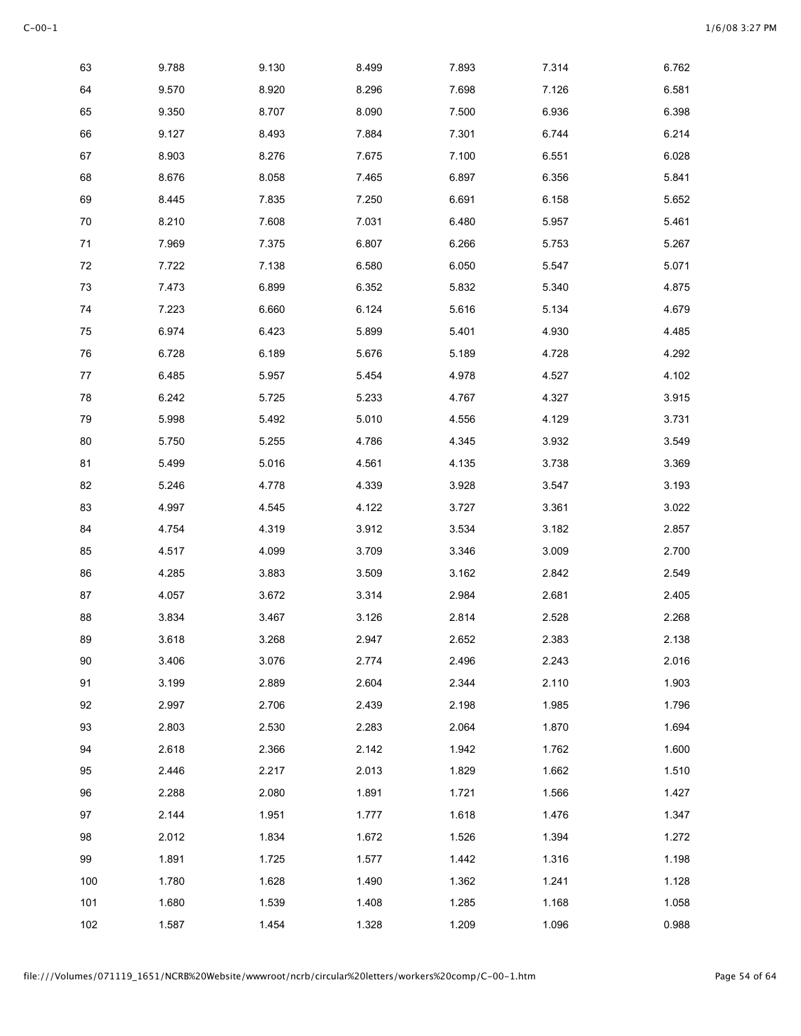| 63     | 9.788 | 9.130 | 8.499 | 7.893 | 7.314 | 6.762 |
|--------|-------|-------|-------|-------|-------|-------|
| 64     | 9.570 | 8.920 | 8.296 | 7.698 | 7.126 | 6.581 |
| 65     | 9.350 | 8.707 | 8.090 | 7.500 | 6.936 | 6.398 |
| 66     | 9.127 | 8.493 | 7.884 | 7.301 | 6.744 | 6.214 |
| 67     | 8.903 | 8.276 | 7.675 | 7.100 | 6.551 | 6.028 |
| 68     | 8.676 | 8.058 | 7.465 | 6.897 | 6.356 | 5.841 |
| 69     | 8.445 | 7.835 | 7.250 | 6.691 | 6.158 | 5.652 |
| 70     | 8.210 | 7.608 | 7.031 | 6.480 | 5.957 | 5.461 |
| $71$   | 7.969 | 7.375 | 6.807 | 6.266 | 5.753 | 5.267 |
| $72\,$ | 7.722 | 7.138 | 6.580 | 6.050 | 5.547 | 5.071 |
| 73     | 7.473 | 6.899 | 6.352 | 5.832 | 5.340 | 4.875 |
| 74     | 7.223 | 6.660 | 6.124 | 5.616 | 5.134 | 4.679 |
| 75     | 6.974 | 6.423 | 5.899 | 5.401 | 4.930 | 4.485 |
| 76     | 6.728 | 6.189 | 5.676 | 5.189 | 4.728 | 4.292 |
| 77     | 6.485 | 5.957 | 5.454 | 4.978 | 4.527 | 4.102 |
| 78     | 6.242 | 5.725 | 5.233 | 4.767 | 4.327 | 3.915 |
| 79     | 5.998 | 5.492 | 5.010 | 4.556 | 4.129 | 3.731 |
| 80     | 5.750 | 5.255 | 4.786 | 4.345 | 3.932 | 3.549 |
| 81     | 5.499 | 5.016 | 4.561 | 4.135 | 3.738 | 3.369 |
| 82     | 5.246 | 4.778 | 4.339 | 3.928 | 3.547 | 3.193 |
| 83     | 4.997 | 4.545 | 4.122 | 3.727 | 3.361 | 3.022 |
| 84     | 4.754 | 4.319 | 3.912 | 3.534 | 3.182 | 2.857 |
| 85     | 4.517 | 4.099 | 3.709 | 3.346 | 3.009 | 2.700 |
| 86     | 4.285 | 3.883 | 3.509 | 3.162 | 2.842 | 2.549 |
| 87     | 4.057 | 3.672 | 3.314 | 2.984 | 2.681 | 2.405 |
| 88     | 3.834 | 3.467 | 3.126 | 2.814 | 2.528 | 2.268 |
| 89     | 3.618 | 3.268 | 2.947 | 2.652 | 2.383 | 2.138 |
| 90     | 3.406 | 3.076 | 2.774 | 2.496 | 2.243 | 2.016 |
| 91     | 3.199 | 2.889 | 2.604 | 2.344 | 2.110 | 1.903 |
| 92     | 2.997 | 2.706 | 2.439 | 2.198 | 1.985 | 1.796 |
| 93     | 2.803 | 2.530 | 2.283 | 2.064 | 1.870 | 1.694 |
| 94     | 2.618 | 2.366 | 2.142 | 1.942 | 1.762 | 1.600 |
| 95     | 2.446 | 2.217 | 2.013 | 1.829 | 1.662 | 1.510 |
| 96     | 2.288 | 2.080 | 1.891 | 1.721 | 1.566 | 1.427 |
| 97     | 2.144 | 1.951 | 1.777 | 1.618 | 1.476 | 1.347 |
| 98     | 2.012 | 1.834 | 1.672 | 1.526 | 1.394 | 1.272 |
| 99     | 1.891 | 1.725 | 1.577 | 1.442 | 1.316 | 1.198 |
| 100    | 1.780 | 1.628 | 1.490 | 1.362 | 1.241 | 1.128 |
| 101    | 1.680 | 1.539 | 1.408 | 1.285 | 1.168 | 1.058 |
| 102    | 1.587 | 1.454 | 1.328 | 1.209 | 1.096 | 0.988 |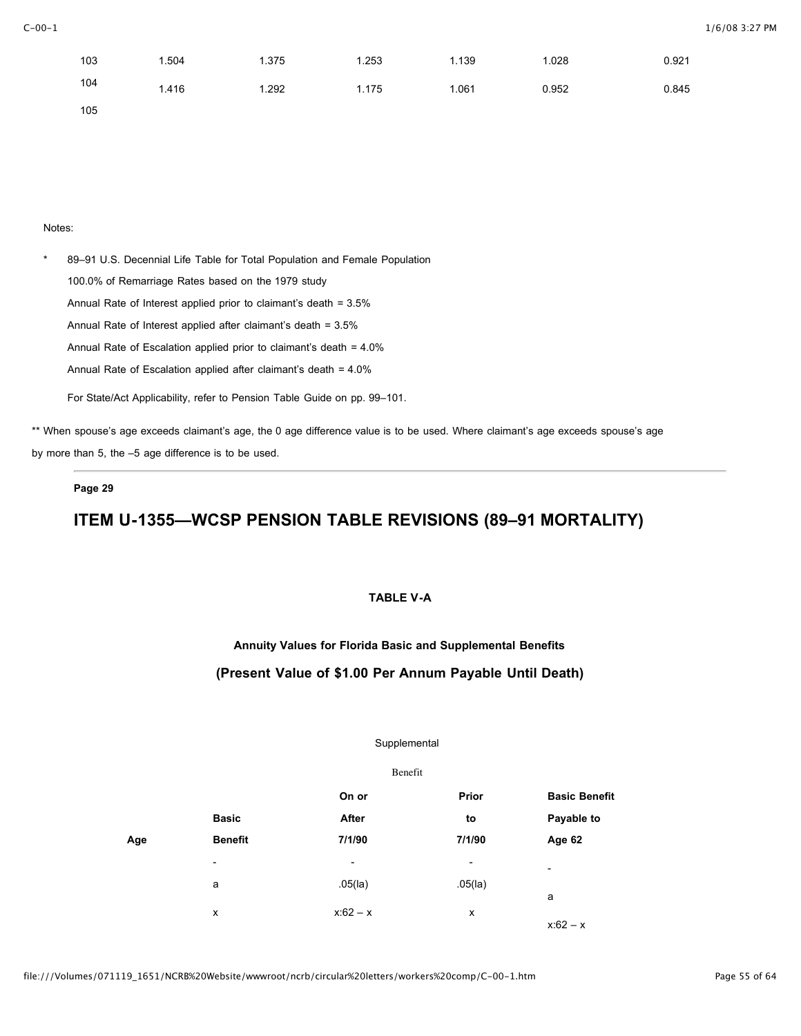| 103 | 1.504 | 1.375 | 1.253 | 1.139 | 1.028 | 0.921 |
|-----|-------|-------|-------|-------|-------|-------|
| 104 | 1.416 | 1.292 | 1.175 | 1.061 | 0.952 | 0.845 |
| 105 |       |       |       |       |       |       |

\* 89–91 U.S. Decennial Life Table for Total Population and Female Population 100.0% of Remarriage Rates based on the 1979 study Annual Rate of Interest applied prior to claimant's death = 3.5% Annual Rate of Interest applied after claimant's death = 3.5% Annual Rate of Escalation applied prior to claimant's death = 4.0% Annual Rate of Escalation applied after claimant's death = 4.0% For State/Act Applicability, refer to Pension Table Guide on pp. 99–101.

\*\* When spouse's age exceeds claimant's age, the 0 age difference value is to be used. Where claimant's age exceeds spouse's age by more than 5, the –5 age difference is to be used.

### **Page 29**

# **ITEM U-1355—WCSP PENSION TABLE REVISIONS (89–91 MORTALITY)**

### **TABLE V-A**

**Annuity Values for Florida Basic and Supplemental Benefits**

### **(Present Value of \$1.00 Per Annum Payable Until Death)**

#### Supplemental

|                          | Benefit                  |                          |                          |
|--------------------------|--------------------------|--------------------------|--------------------------|
|                          | On or                    | Prior                    | <b>Basic Benefit</b>     |
| <b>Basic</b>             | After                    | to                       | Payable to               |
| <b>Benefit</b>           | 7/1/90                   | 7/1/90                   | Age 62                   |
| $\overline{\phantom{a}}$ | $\overline{\phantom{a}}$ | $\overline{\phantom{a}}$ | $\overline{\phantom{a}}$ |
| a                        | $.05$ (la)               | $.05$ (la)               |                          |
| X                        | $x:62 - x$               | x                        | a<br>$x:62 - x$          |
|                          |                          |                          |                          |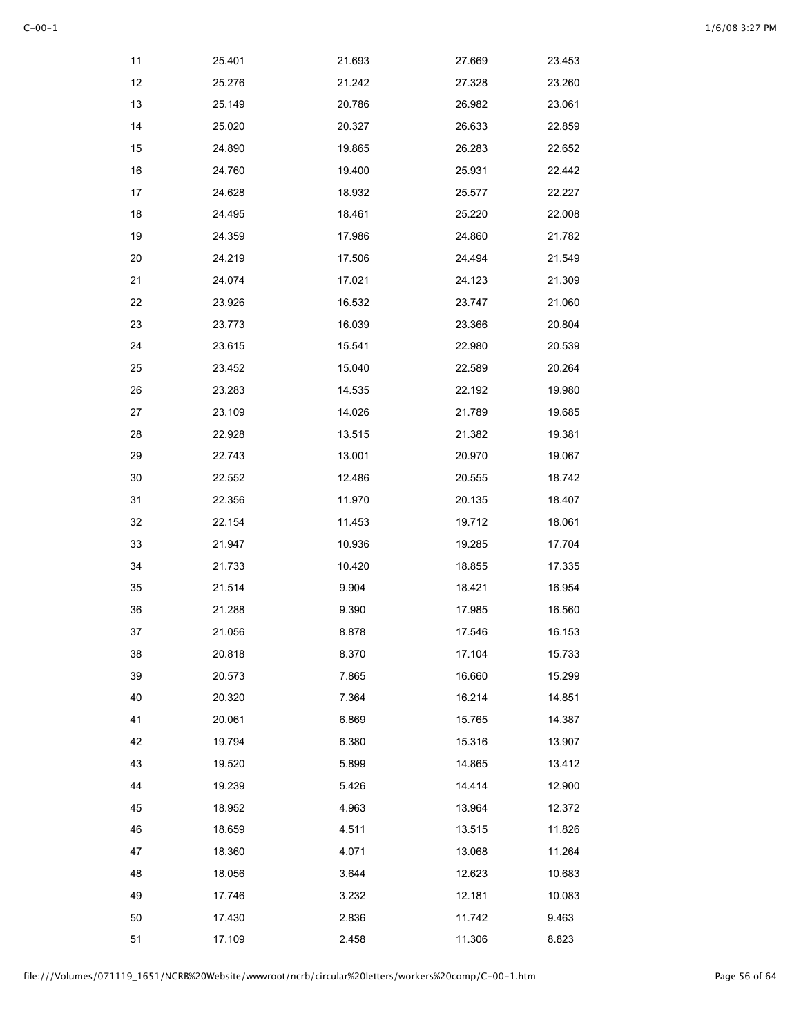| 11 | 25.401 | 21.693 | 27.669 | 23.453 |
|----|--------|--------|--------|--------|
| 12 | 25.276 | 21.242 | 27.328 | 23.260 |
| 13 | 25.149 | 20.786 | 26.982 | 23.061 |
| 14 | 25.020 | 20.327 | 26.633 | 22.859 |
| 15 | 24.890 | 19.865 | 26.283 | 22.652 |
| 16 | 24.760 | 19.400 | 25.931 | 22.442 |
| 17 | 24.628 | 18.932 | 25.577 | 22.227 |
| 18 | 24.495 | 18.461 | 25.220 | 22.008 |
| 19 | 24.359 | 17.986 | 24.860 | 21.782 |
| 20 | 24.219 | 17.506 | 24.494 | 21.549 |
| 21 | 24.074 | 17.021 | 24.123 | 21.309 |
| 22 | 23.926 | 16.532 | 23.747 | 21.060 |
| 23 | 23.773 | 16.039 | 23.366 | 20.804 |
| 24 | 23.615 | 15.541 | 22.980 | 20.539 |
| 25 | 23.452 | 15.040 | 22.589 | 20.264 |
| 26 | 23.283 | 14.535 | 22.192 | 19.980 |
| 27 | 23.109 | 14.026 | 21.789 | 19.685 |
| 28 | 22.928 | 13.515 | 21.382 | 19.381 |
| 29 | 22.743 | 13.001 | 20.970 | 19.067 |
| 30 | 22.552 | 12.486 | 20.555 | 18.742 |
| 31 | 22.356 | 11.970 | 20.135 | 18.407 |
| 32 | 22.154 | 11.453 | 19.712 | 18.061 |
| 33 | 21.947 | 10.936 | 19.285 | 17.704 |
| 34 | 21.733 | 10.420 | 18.855 | 17.335 |
| 35 | 21.514 | 9.904  | 18.421 | 16.954 |
| 36 | 21.288 | 9.390  | 17.985 | 16.560 |
| 37 | 21.056 | 8.878  | 17.546 | 16.153 |
| 38 | 20.818 | 8.370  | 17.104 | 15.733 |
| 39 | 20.573 | 7.865  | 16.660 | 15.299 |
| 40 | 20.320 | 7.364  | 16.214 | 14.851 |
| 41 | 20.061 | 6.869  | 15.765 | 14.387 |
| 42 | 19.794 | 6.380  | 15.316 | 13.907 |
| 43 | 19.520 | 5.899  | 14.865 | 13.412 |
| 44 | 19.239 | 5.426  | 14.414 | 12.900 |
| 45 | 18.952 | 4.963  | 13.964 | 12.372 |
| 46 | 18.659 | 4.511  | 13.515 | 11.826 |
| 47 | 18.360 | 4.071  | 13.068 | 11.264 |
| 48 | 18.056 | 3.644  | 12.623 | 10.683 |
| 49 | 17.746 | 3.232  | 12.181 | 10.083 |
| 50 | 17.430 | 2.836  | 11.742 | 9.463  |
| 51 | 17.109 | 2.458  | 11.306 | 8.823  |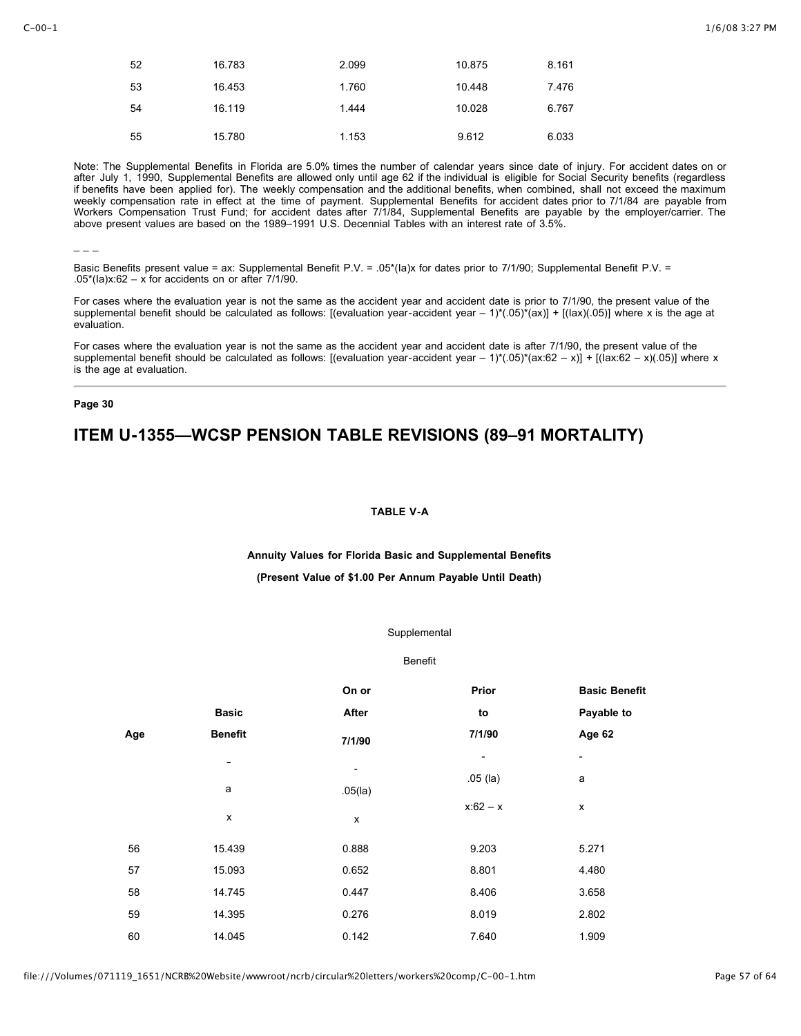| 52 | 16.783 | 2.099 | 10.875 | 8.161 |
|----|--------|-------|--------|-------|
| 53 | 16.453 | 1.760 | 10.448 | 7.476 |
| 54 | 16.119 | 1.444 | 10.028 | 6.767 |
| 55 | 15.780 | 1.153 | 9.612  | 6.033 |

Note: The Supplemental Benefits in Florida are 5.0% times the number of calendar years since date of injury. For accident dates on or after July 1, 1990, Supplemental Benefits are allowed only until age 62 if the individual is eligible for Social Security benefits (regardless if benefits have been applied for). The weekly compensation and the additional benefits, when combined, shall not exceed the maximum weekly compensation rate in effect at the time of payment. Supplemental Benefits for accident dates prior to 7/1/84 are payable from Workers Compensation Trust Fund; for accident dates after 7/1/84, Supplemental Benefits are payable by the employer/carrier. The above present values are based on the 1989–1991 U.S. Decennial Tables with an interest rate of 3.5%.

 $-$ 

Basic Benefits present value = ax: Supplemental Benefit P.V. = .05\*(la)x for dates prior to 7/1/90; Supplemental Benefit P.V. = .05\*(Ia)x:62 – x for accidents on or after  $7/1/90$ .

For cases where the evaluation year is not the same as the accident year and accident date is prior to 7/1/90, the present value of the supplemental benefit should be calculated as follows: [(evaluation year-accident year  $- 1$ )\*(.05)\*(ax)] + [(lax)(.05)] where x is the age at evaluation.

For cases where the evaluation year is not the same as the accident year and accident date is after 7/1/90, the present value of the supplemental benefit should be calculated as follows: [(evaluation year-accident year – 1)\*(.05)\*(ax:62 – x)] + [(lax:62 – x)(.05)] where x is the age at evaluation.

#### **Page 30**

## **ITEM U-1355—WCSP PENSION TABLE REVISIONS (89–91 MORTALITY)**

#### **TABLE V-A**

#### **Annuity Values for Florida Basic and Supplemental Benefits**

#### **(Present Value of \$1.00 Per Annum Payable Until Death)**

#### Supplemental

#### Benefit

|     |                | On or                                  | Prior                    | <b>Basic Benefit</b>     |
|-----|----------------|----------------------------------------|--------------------------|--------------------------|
|     | <b>Basic</b>   | After                                  | to                       | Payable to               |
| Age | <b>Benefit</b> | 7/1/90                                 | 7/1/90                   | Age 62                   |
|     | -              |                                        | $\overline{\phantom{a}}$ | $\overline{\phantom{a}}$ |
|     | a              | $\overline{\phantom{a}}$<br>$.05$ (la) | $.05$ (la)               | a                        |
|     | x              | X                                      | $x:62 - x$               | x                        |
| 56  | 15.439         | 0.888                                  | 9.203                    | 5.271                    |
| 57  | 15.093         | 0.652                                  | 8.801                    | 4.480                    |
| 58  | 14.745         | 0.447                                  | 8.406                    | 3.658                    |
| 59  | 14.395         | 0.276                                  | 8.019                    | 2.802                    |
| 60  | 14.045         | 0.142                                  | 7.640                    | 1.909                    |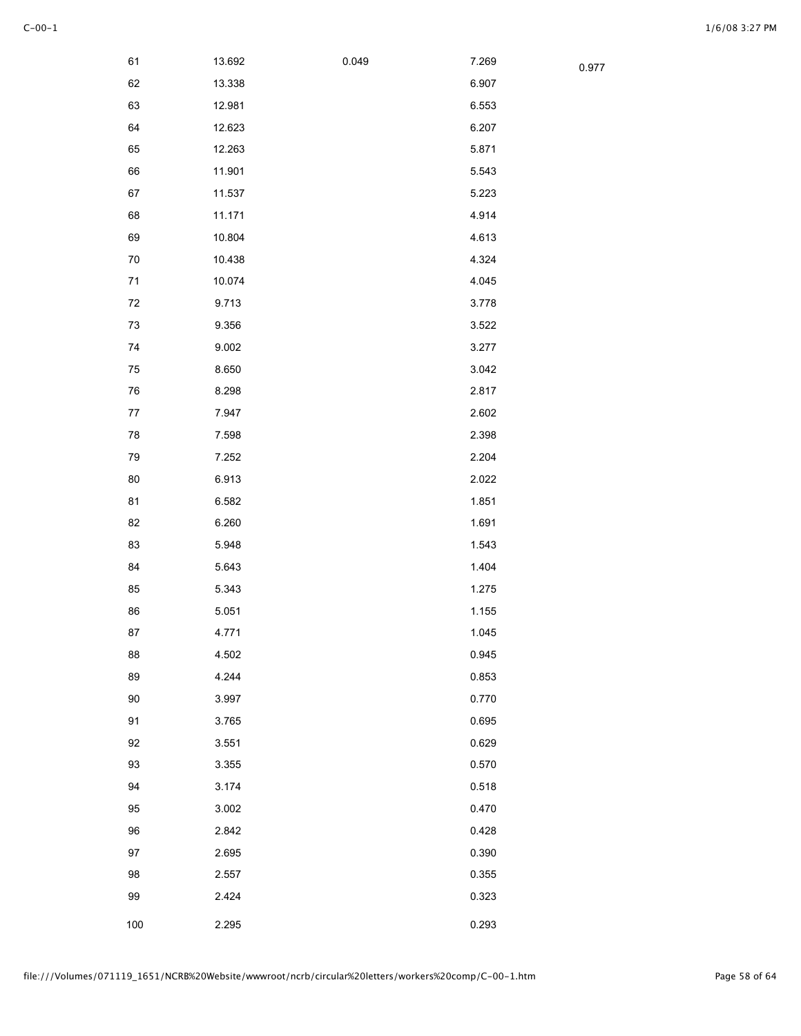0.977

| 61         | 13.692 | 0.049 | 7.269 |
|------------|--------|-------|-------|
| 62         | 13.338 |       | 6.907 |
| 63         | 12.981 |       | 6.553 |
| 64         | 12.623 |       | 6.207 |
| 65         | 12.263 |       | 5.871 |
| 66         | 11.901 |       | 5.543 |
| 67         | 11.537 |       | 5.223 |
| 68         | 11.171 |       | 4.914 |
| 69         | 10.804 |       | 4.613 |
| 70         | 10.438 |       | 4.324 |
| $71$       | 10.074 |       | 4.045 |
| 72         | 9.713  |       | 3.778 |
| $73\,$     | 9.356  |       | 3.522 |
| $74\,$     | 9.002  |       | 3.277 |
| ${\bf 75}$ | 8.650  |       | 3.042 |
| 76         | 8.298  |       | 2.817 |
| 77         | 7.947  |       | 2.602 |
| 78         | 7.598  |       | 2.398 |
| 79         | 7.252  |       | 2.204 |
| 80         | 6.913  |       | 2.022 |
| 81         | 6.582  |       | 1.851 |
| 82         | 6.260  |       | 1.691 |
| 83         | 5.948  |       | 1.543 |
| 84         | 5.643  |       | 1.404 |
| 85         | 5.343  |       | 1.275 |
| 86         | 5.051  |       | 1.155 |
| 87         | 4.771  |       | 1.045 |
| 88         | 4.502  |       | 0.945 |
| 89         | 4.244  |       | 0.853 |
| $90\,$     | 3.997  |       | 0.770 |
| 91         | 3.765  |       | 0.695 |
| 92         | 3.551  |       | 0.629 |
| 93         | 3.355  |       | 0.570 |
| 94         | 3.174  |       | 0.518 |
| 95         | 3.002  |       | 0.470 |
| 96         | 2.842  |       | 0.428 |
| 97         | 2.695  |       | 0.390 |
| 98         | 2.557  |       | 0.355 |
| 99         | 2.424  |       | 0.323 |
| 100        | 2.295  |       | 0.293 |
|            |        |       |       |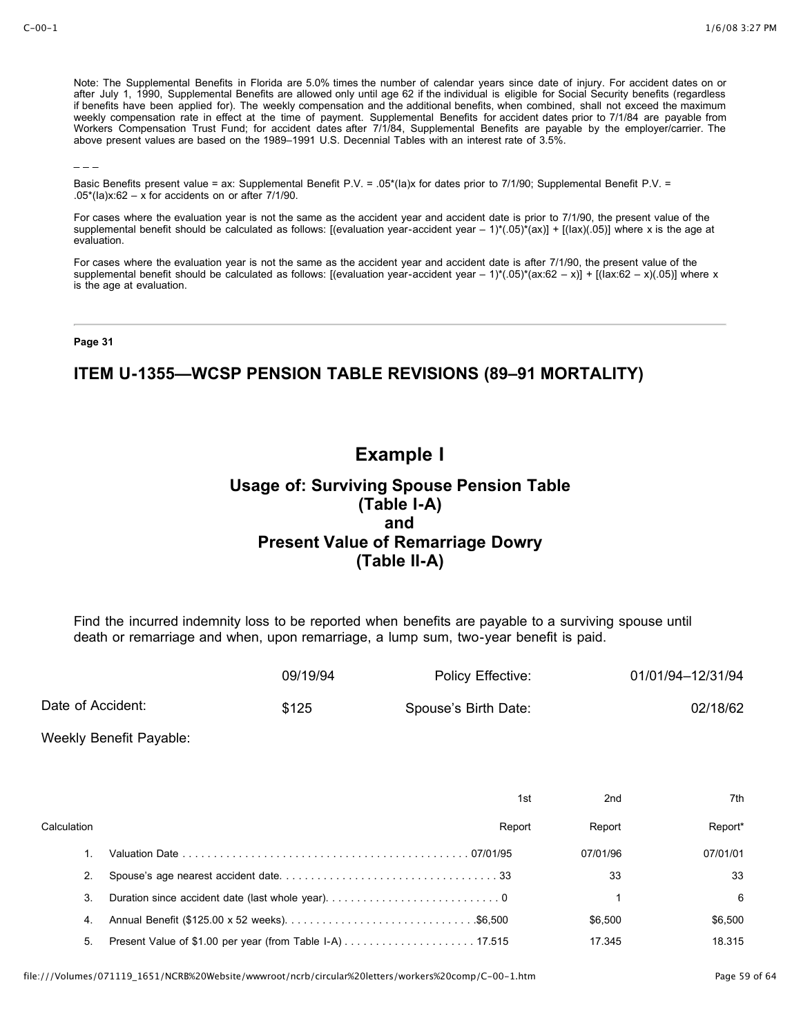Note: The Supplemental Benefits in Florida are 5.0% times the number of calendar years since date of injury. For accident dates on or after July 1, 1990, Supplemental Benefits are allowed only until age 62 if the individual is eligible for Social Security benefits (regardless if benefits have been applied for). The weekly compensation and the additional benefits, when combined, shall not exceed the maximum weekly compensation rate in effect at the time of payment. Supplemental Benefits for accident dates prior to 7/1/84 are payable from Workers Compensation Trust Fund; for accident dates after 7/1/84, Supplemental Benefits are payable by the employer/carrier. The above present values are based on the 1989–1991 U.S. Decennial Tables with an interest rate of 3.5%.

 $-$ 

Basic Benefits present value = ax: Supplemental Benefit P.V. = .05\*(Ia)x for dates prior to 7/1/90; Supplemental Benefit P.V. = .05\*(Ia)x:62 – x for accidents on or after  $7/1/90$ .

For cases where the evaluation year is not the same as the accident year and accident date is prior to 7/1/90, the present value of the supplemental benefit should be calculated as follows: [(evaluation year-accident year  $- 1$ )\*(.05)\*(ax)] + [(lax)(.05)] where x is the age at evaluation.

For cases where the evaluation year is not the same as the accident year and accident date is after 7/1/90, the present value of the supplemental benefit should be calculated as follows: [(evaluation year-accident year – 1)\*(.05)\*(ax:62 – x)] + [(lax:62 – x)(.05)] where x is the age at evaluation.

#### **Page 31**

## **ITEM U-1355—WCSP PENSION TABLE REVISIONS (89–91 MORTALITY)**

# **Example I**

## **Usage of: Surviving Spouse Pension Table (Table I-A) and Present Value of Remarriage Dowry (Table II-A)**

Find the incurred indemnity loss to be reported when benefits are payable to a surviving spouse until death or remarriage and when, upon remarriage, a lump sum, two-year benefit is paid.

|                   | 09/19/94 | Policy Effective:    | 01/01/94-12/31/94 |
|-------------------|----------|----------------------|-------------------|
| Date of Accident: | \$125    | Spouse's Birth Date: | 02/18/62          |

Weekly Benefit Payable:

|             | 1st                                             | 2 <sub>nd</sub> | 7th      |
|-------------|-------------------------------------------------|-----------------|----------|
| Calculation | Report                                          | Report          | Report*  |
|             |                                                 | 07/01/96        | 07/01/01 |
| 2.          |                                                 | 33              | 33       |
| 3.          | Duration since accident date (last whole year)0 |                 | 6        |
| 4.          |                                                 | \$6.500         | \$6.500  |
| 5.          |                                                 | 17.345          | 18 315   |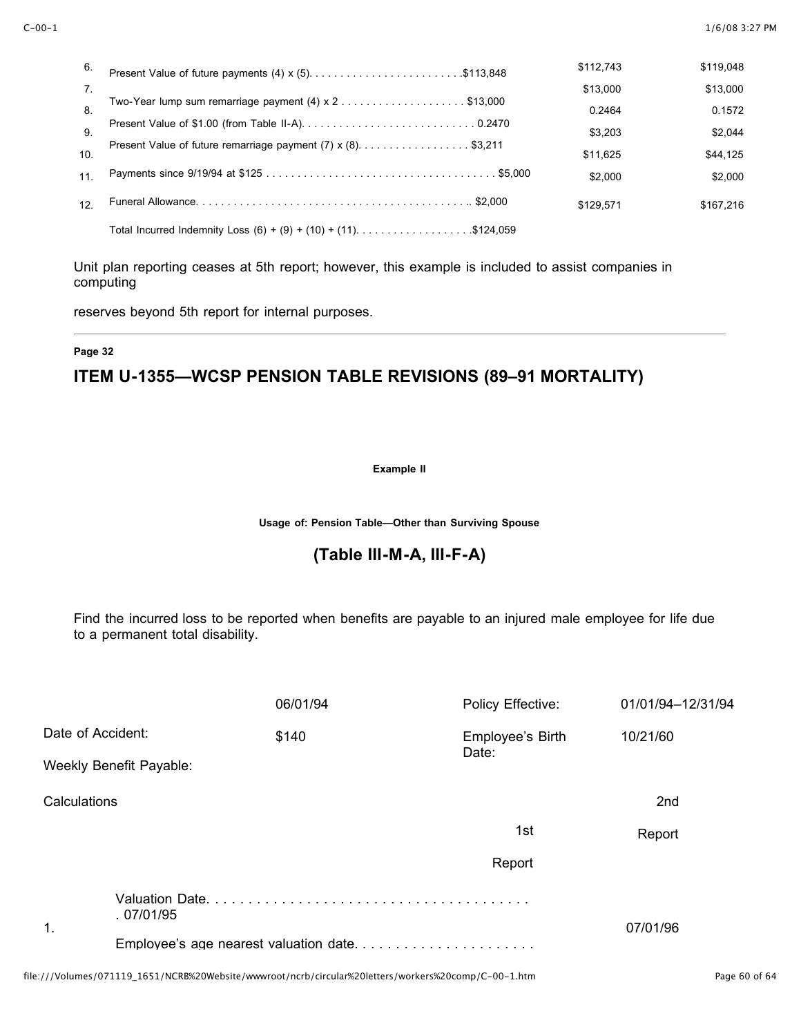| 6.              |                                                                   | \$112.743 | \$119,048 |
|-----------------|-------------------------------------------------------------------|-----------|-----------|
| 7 <sub>1</sub>  |                                                                   | \$13,000  | \$13,000  |
| 8.              |                                                                   | 0.2464    | 0.1572    |
| 9               |                                                                   | \$3.203   | \$2.044   |
|                 | Present Value of future remarriage payment (7) x (8). \$3,211     |           |           |
| 10.             |                                                                   | \$11.625  | \$44,125  |
| 11              |                                                                   | \$2,000   | \$2.000   |
| 12 <sup>°</sup> |                                                                   | \$129.571 | \$167.216 |
|                 | Total Incurred Indemnity Loss $(6) + (9) + (10) + (11)$ \$124,059 |           |           |

Unit plan reporting ceases at 5th report; however, this example is included to assist companies in computing

reserves beyond 5th report for internal purposes.

### **Page 32**

# **ITEM U-1355—WCSP PENSION TABLE REVISIONS (89–91 MORTALITY)**

### **Example II**

**Usage of: Pension Table—Other than Surviving Spouse**

## **(Table III-M-A, III-F-A)**

Find the incurred loss to be reported when benefits are payable to an injured male employee for life due to a permanent total disability.

|               |                         | 06/01/94                                                                                  | Policy Effective:         | 01/01/94-12/31/94 |
|---------------|-------------------------|-------------------------------------------------------------------------------------------|---------------------------|-------------------|
|               | Date of Accident:       | \$140                                                                                     | Employee's Birth<br>Date: | 10/21/60          |
|               | Weekly Benefit Payable: |                                                                                           |                           |                   |
| Calculations  |                         |                                                                                           |                           | 2nd               |
|               |                         |                                                                                           | 1st                       | Report            |
|               |                         |                                                                                           | Report                    |                   |
| $\mathbf 1$ . | .07/01/95               |                                                                                           |                           | 07/01/96          |
|               |                         |                                                                                           |                           |                   |
|               |                         | اللا مقامات المقدار المالية المقدار المناسب المنتقل والمتحدد والمتحدد والمتحدد والمستقدات |                           |                   |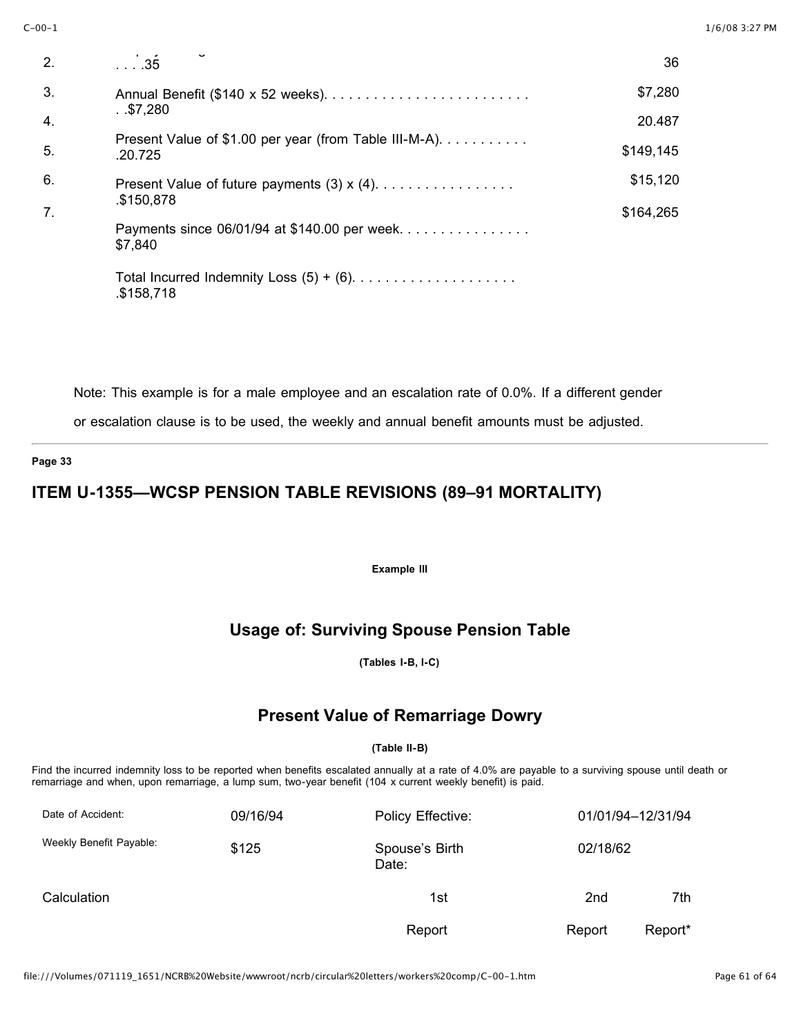| 2.               | $\overline{\phantom{0}}\phantom{0}\phantom{0}35$                  | 36        |
|------------------|-------------------------------------------------------------------|-----------|
| 3.               |                                                                   | \$7,280   |
| $\overline{4}$ . | . .\$7,280                                                        | 20.487    |
| 5.               | Present Value of \$1.00 per year (from Table III-M-A).<br>.20.725 | \$149,145 |
| 6.               |                                                                   | \$15,120  |
| 7.               | \$150,878                                                         | \$164,265 |
|                  | Payments since 06/01/94 at \$140.00 per week<br>\$7,840           |           |
|                  | \$158,718                                                         |           |

Note: This example is for a male employee and an escalation rate of 0.0%. If a different gender

or escalation clause is to be used, the weekly and annual benefit amounts must be adjusted.

### **Page 33**

# **ITEM U-1355—WCSP PENSION TABLE REVISIONS (89–91 MORTALITY)**

**Example III**

# **Usage of: Surviving Spouse Pension Table**

**(Tables I-B, I-C)**

## **Present Value of Remarriage Dowry**

### **(Table II-B)**

Find the incurred indemnity loss to be reported when benefits escalated annually at a rate of 4.0% are payable to a surviving spouse until death or remarriage and when, upon remarriage, a lump sum, two-year benefit (104 x current weekly benefit) is paid.

| Date of Accident:       | 09/16/94 | Policy Effective:       |                 | 01/01/94-12/31/94 |  |
|-------------------------|----------|-------------------------|-----------------|-------------------|--|
| Weekly Benefit Payable: | \$125    | Spouse's Birth<br>Date: | 02/18/62        |                   |  |
| Calculation             |          | 1st                     | 2 <sub>nd</sub> | 7th               |  |
|                         |          | Report                  | Report          | Report*           |  |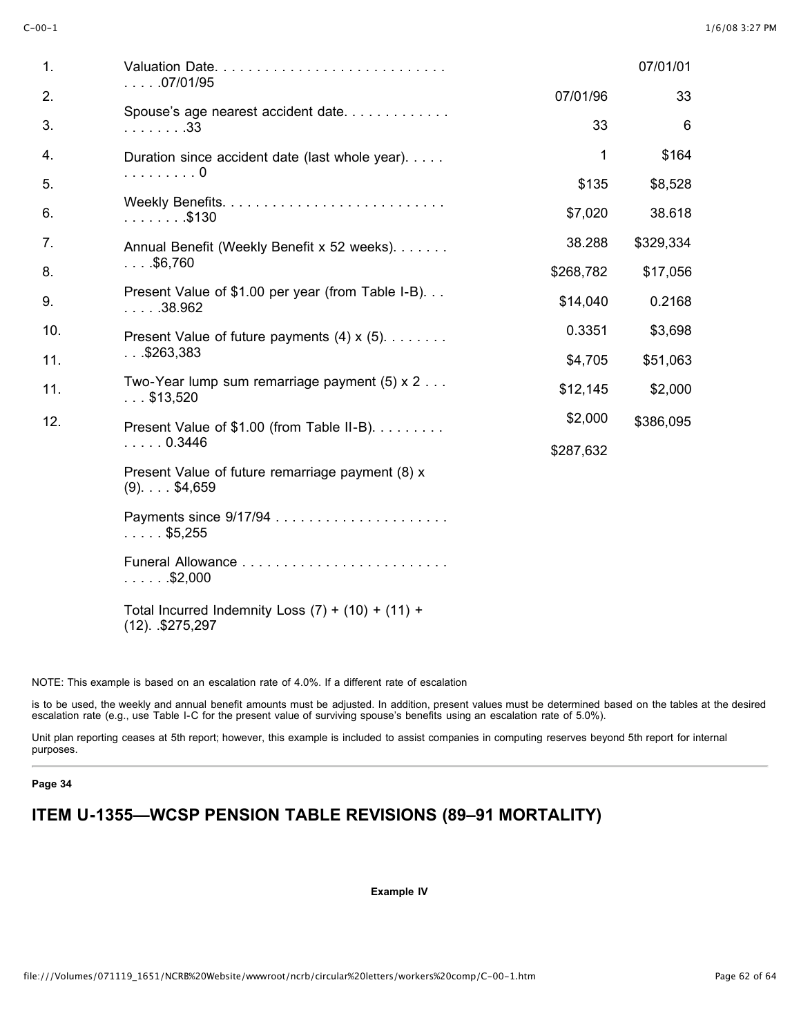| 1.  |                                                                           |           | 07/01/01  |
|-----|---------------------------------------------------------------------------|-----------|-----------|
| 2.  | $\ldots$ .07/01/95                                                        | 07/01/96  | 33        |
| 3.  | Spouse's age nearest accident date<br>.33                                 | 33        | 6         |
| 4.  | Duration since accident date (last whole year).<br>. 0                    | 1         | \$164     |
| 5.  |                                                                           | \$135     | \$8,528   |
| 6.  | . \$130                                                                   | \$7,020   | 38.618    |
| 7.  | Annual Benefit (Weekly Benefit x 52 weeks).                               | 38.288    | \$329,334 |
| 8.  | $$ \$6,760                                                                | \$268,782 | \$17,056  |
| 9.  | Present Value of \$1.00 per year (from Table I-B).<br>$\ldots$ . 38.962   | \$14,040  | 0.2168    |
| 10. | Present Value of future payments $(4) \times (5)$ .                       | 0.3351    | \$3,698   |
| 11. | 0.05263,383                                                               | \$4,705   | \$51,063  |
| 11. | Two-Year lump sum remarriage payment $(5) \times 2$<br>$\ldots$ \$13,520  | \$12,145  | \$2,000   |
| 12. | Present Value of \$1.00 (from Table II-B).                                | \$2,000   | \$386,095 |
|     | $\ldots$ . 0.3446                                                         | \$287,632 |           |
|     | Present Value of future remarriage payment (8) x<br>$(9)$ . \$4,659       |           |           |
|     | $\ldots$ . \$5,255                                                        |           |           |
|     | $\ldots$ . \$2,000                                                        |           |           |
|     | Total Incurred Indemnity Loss $(7) + (10) + (11) +$<br>$(12)$ . \$275,297 |           |           |

NOTE: This example is based on an escalation rate of 4.0%. If a different rate of escalation

is to be used, the weekly and annual benefit amounts must be adjusted. In addition, present values must be determined based on the tables at the desired escalation rate (e.g., use Table I-C for the present value of surviving spouse's benefits using an escalation rate of 5.0%).

Unit plan reporting ceases at 5th report; however, this example is included to assist companies in computing reserves beyond 5th report for internal purposes.

### **Page 34**

# **ITEM U-1355—WCSP PENSION TABLE REVISIONS (89–91 MORTALITY)**

**Example IV**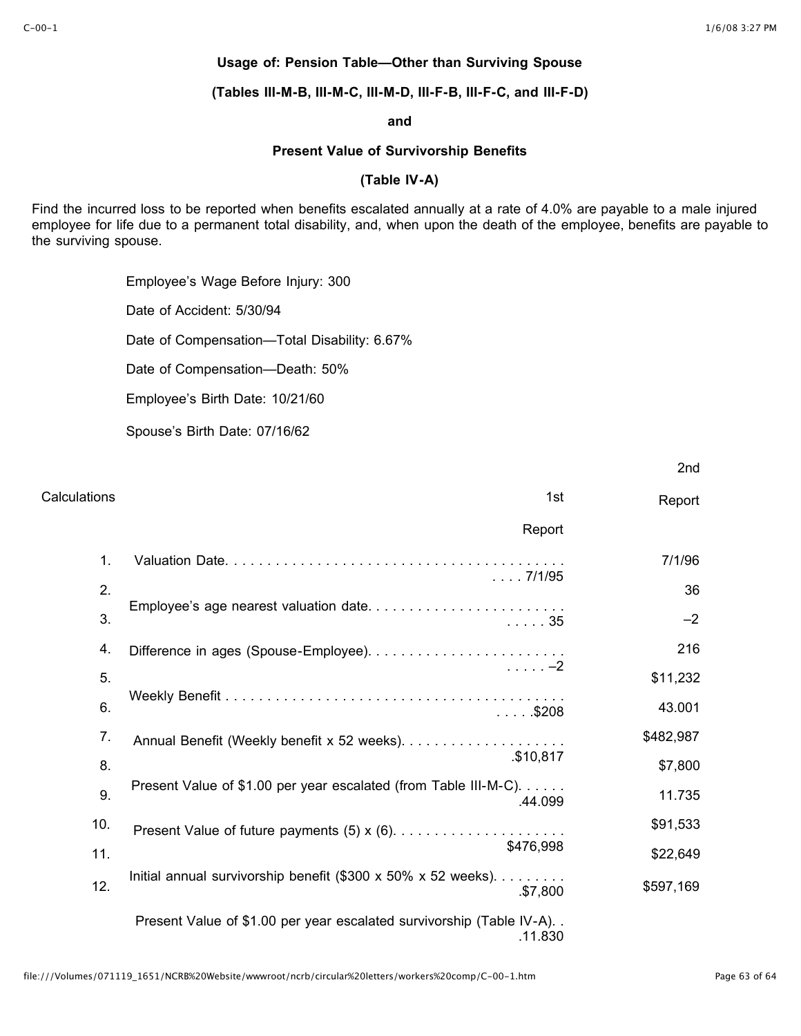2nd

## **Usage of: Pension Table—Other than Surviving Spouse**

**(Tables III-M-B, III-M-C, III-M-D, III-F-B, III-F-C, and III-F-D)**

### **and**

## **Present Value of Survivorship Benefits**

## **(Table IV-A)**

Find the incurred loss to be reported when benefits escalated annually at a rate of 4.0% are payable to a male injured employee for life due to a permanent total disability, and, when upon the death of the employee, benefits are payable to the surviving spouse.

Employee's Wage Before Injury: 300

Date of Accident: 5/30/94

Date of Compensation—Total Disability: 6.67%

Date of Compensation—Death: 50%

Employee's Birth Date: 10/21/60

Spouse's Birth Date: 07/16/62

| Calculations | 1st                                                                                   | Report    |
|--------------|---------------------------------------------------------------------------------------|-----------|
|              | Report                                                                                |           |
| 1.           | $\ldots$ 7/1/95<br>Employee's age nearest valuation date<br>. 35                      | 7/1/96    |
| 2.           |                                                                                       | 36        |
| 3.           |                                                                                       | $-2$      |
| 4.           |                                                                                       | 216       |
| 5.           | . -2                                                                                  | \$11,232  |
| 6.           | $\ldots$ . \$208                                                                      | 43.001    |
| 7.           | \$10,817                                                                              | \$482,987 |
| 8.           |                                                                                       | \$7,800   |
| 9.           | Present Value of \$1.00 per year escalated (from Table III-M-C).<br>.44.099           | 11.735    |
| 10.          |                                                                                       | \$91,533  |
| 11.          | \$476,998                                                                             | \$22,649  |
| 12.          | Initial annual survivorship benefit $(\$300 \times 50\% \times 52$ weeks).<br>\$7,800 | \$597,169 |
|              | Present Value of \$1.00 per year escalated survivorship (Table IV-A)<br>.11.830       |           |